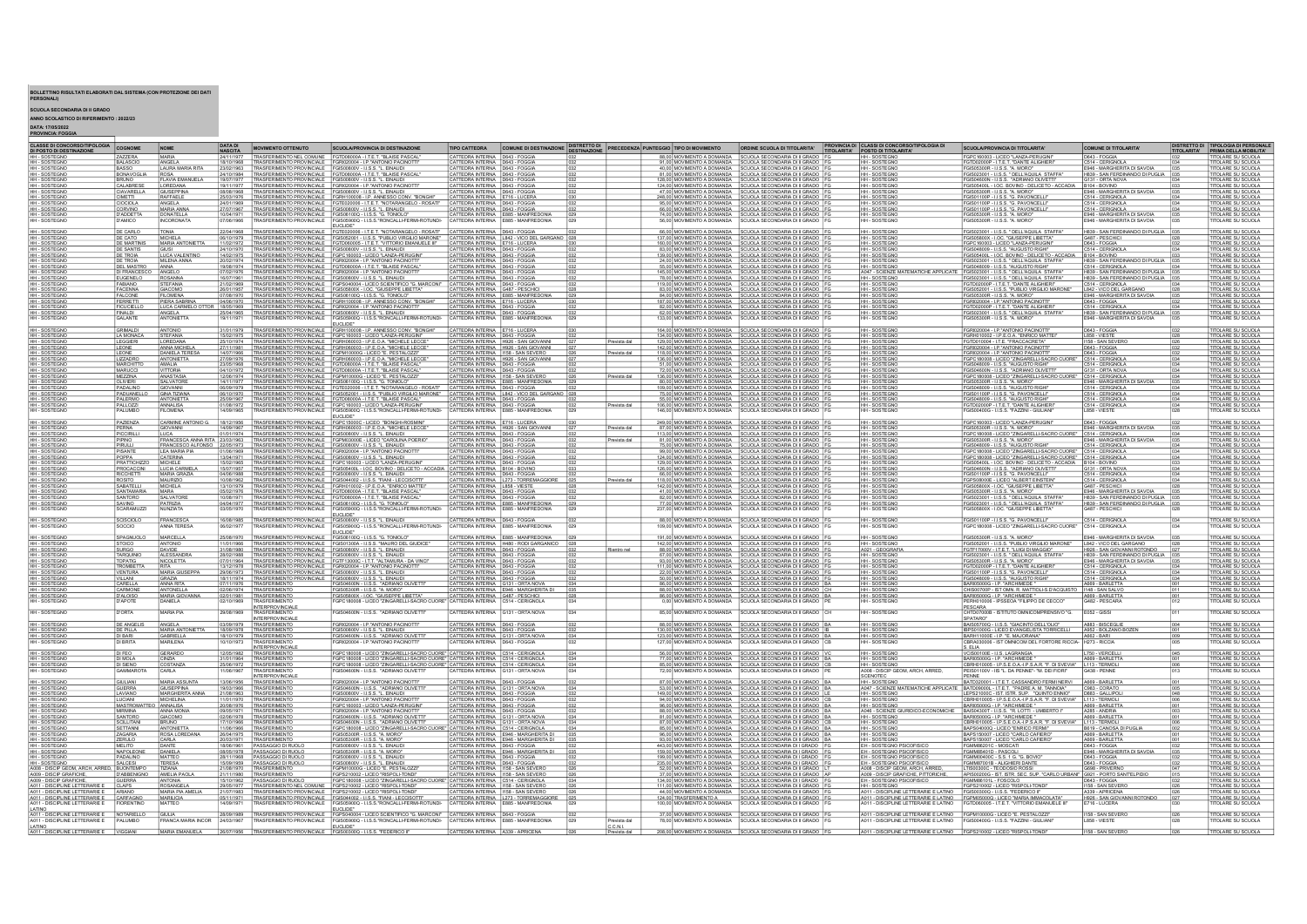## BOLLETTINO RISULTATI ELABORATI DAL SISTEMA (CON PROTEZIONE DEI DATI PERSONALI)

## SCUOLA SECONDARIA DI II GRADO<br>Anno Scolastico di Riferimento : 2022/23<br>DATA: 17/05/2022<br>Provincia: Foggia

| CLASSE DI CONCORSO/TIPOLOGIA<br>DI POSTO DI DESTINAZIONE                            | COGNOME                               | <b>NOME</b>                                        | <b>DATA DI</b><br><b>NASCITA</b> | MOVIMENTO OTTENUTO                                          | SCUOLA/PROVINCIA DI DESTINAZIONE                                                                                                                                                                                               | <b>TIPO CATTEDRA</b>                                                   | COMUNE DI DESTINAZIONE DISTRETTO DI                                   |     |                        | PRECEDENZA PUNTEGGIO TIPO DI MOVIMENTO         | ORDINE SCUOLA DI TITOI ARITA'                                                                                              | PROVINCIA DI CLASSI DI CONCORSO/TIPOLOGIA DI<br>TITOLARITA' POSTO DI TITOLARITA'          | SCUOLA/PROVINCIA DI TITOI ARITA*                                                                                                              | COMUNE DI TITOI ARITA                                                                             |                   | DISTRETTO DI TIPOLOGIA DI PERSONALI<br>TITOLARITA' PRIMA DELLA MOBILITA' |
|-------------------------------------------------------------------------------------|---------------------------------------|----------------------------------------------------|----------------------------------|-------------------------------------------------------------|--------------------------------------------------------------------------------------------------------------------------------------------------------------------------------------------------------------------------------|------------------------------------------------------------------------|-----------------------------------------------------------------------|-----|------------------------|------------------------------------------------|----------------------------------------------------------------------------------------------------------------------------|-------------------------------------------------------------------------------------------|-----------------------------------------------------------------------------------------------------------------------------------------------|---------------------------------------------------------------------------------------------------|-------------------|--------------------------------------------------------------------------|
| HH - SOSTEGNO                                                                       | AZZERA<br><b>ALASCIO</b>              | MARIA<br>ANGELA                                    | 24/11/1977<br>18/10/1968         | <b>TRASFERIMENT</b>                                         | TRASFERIMENTO NEL COMUNE FGTD08000A - I.T.E.T. "BLAISE PASCA<br>O PROVINCIALE FGRI020004 - I.P. "ANTONIO PACINOTT                                                                                                              | CATTEDRA INTERNA D643 - FOGGIA                                         |                                                                       |     |                        |                                                | 88.00 MOVIMENTO A DOMANDA SCUOLA SECONDARIA DI II GRADO<br>91.00 MOVIMENTO A DOMANDA SCUOLA SECONDARIA DI II GRADO         | <b>HH-SOSTEGNO</b>                                                                        | FGPC160003 - LICEO "LANZA-PERUGIN<br>GTD02000P - I.T.E.T. "DANTE ALIGHIER                                                                     | D643 - FOGGIA                                                                                     |                   | TOLARE SU SCUOLA                                                         |
| <b>HH-SOSTEGNO</b>                                                                  | <b>BASSO</b>                          | <b>LAURA MARIA RITA</b>                            | 23/02/1963                       |                                                             | TRASFERIMENTO PROVINCIALE FGIS00800V - I.I.S.S. "L. EINAUDI                                                                                                                                                                    | CATTEDRA INTERNA D643 - FOGGIA<br>CATTEDRA INTERNA D643 - FOGGIA       |                                                                       |     |                        |                                                | 40.00 MOVIMENTO A DOMANDA SCUOLA SECONDARIA DI II GRADO                                                                    | HH-SOSTEGNO<br><b>HH-SOSTEGNO</b>                                                         | FGIS05300R - LLS.S. "A. MORO"                                                                                                                 | C514 - CERIGNOLA<br>E946 - MARGHERITA DI SAVOIA                                                   |                   | TOLARE SU SCUOLA                                                         |
| <b>HH-SOSTEGNO</b>                                                                  | BONAVOGLIA                            |                                                    | 24/10/1984                       |                                                             | TRASFERIMENTO PROVINCIALE FGTD08000A - I.T.E.T. "BLAISE PASCAL                                                                                                                                                                 | CATTEDRA INTERNA   D643 - FOGGIA                                       |                                                                       |     |                        |                                                | 81.00 MOVIMENTO A DOMANDA SCUOLA SECONDARIA DI II GRADO                                                                    | <b>HH-SOSTEGNO</b>                                                                        | FGIS023001 - I.LS.S. * DELL'AQUILA STAFFA'                                                                                                    | H839 - SAN FERDINANDO DI PUGLIA 035                                                               |                   | TOLARE SU SCUOLA                                                         |
| <b>HH-SOSTEGNO</b>                                                                  | <b>BRUNO</b>                          | <b>FLAVIA EMANUELA</b>                             | 19/07/1977                       | TRASFERIMENTO PROVINCIALE FGIS00800V - I.I.S.S. "L. EINAUDI |                                                                                                                                                                                                                                | CATTEDRA INTERNA D643 - FOGGIA                                         |                                                                       |     |                        |                                                | 128.00 MOVIMENTO A DOMANDA SCUOLA SECONDARIA DI II GRADO                                                                   | <b>HH-SOSTEGNO</b>                                                                        | FGIS04600N - LLS.S. "ADRIANO OLIVETTI                                                                                                         | G131 - ORTA NOVA                                                                                  |                   | <b>TOLARE SU SCUOLA</b>                                                  |
| HH - SOSTEGNO<br><b>HH-SOSTEGNO</b>                                                 | CALABRES<br>CIAVARELLA                | LOREDANA<br>GIUSEPPINA                             | 19/11/1977<br>08/08/1968         |                                                             | TRASFERIMENTO PROVINCIALE FGRI020004 - I.P."ANTONIO PACINOTT<br>TRASFERIMENTO PROVINCIALE FGIS00800V - I.I.S.S. "L. EINAUDI                                                                                                    | CATTEDRA INTERNA D643 - FOGGIA<br>CATTEDRA INTERNA   D643 - FOGGIA     |                                                                       |     |                        |                                                | 124.00 MOVIMENTO A DOMANDA SCUOLA SECONDARIA DI II GRADO<br>47.00 MOVIMENTO A DOMANDA SCUOLA SECONDARIA DI II GRADO FI     | HH - SOSTEGNO<br><b>HH-SOSTEGNO</b>                                                       | FGIS05400L - I.OC. BOVINO - DELICETO - ACCADIA<br>FGIS05300R - I.I.S.S. "A. MORO"                                                             | B104 - BOVINO<br>E946 - MARGHERITA DI SAVOIA                                                      | 035               | <b>TOLARE SU SCUOLA</b><br><b>ITOLARE SU SCUOLA</b>                      |
| HH - SOSTEGNO                                                                       | <b>CIMETTI</b>                        | RAFFAELE<br>ANGELA                                 | 25/03/1976                       |                                                             | TRASFERIMENTO PROVINCIALE FGRH100008 - LP. ANNESSO CONV. "BONGHI" TRASFERIMENTO PROVINCIALE FGTE020006 - LT.E.T. "NOTARANGELO - ROSATI"                                                                                        | CATTEDRA INTERNA E716 - LUCERA<br>CATTEDRA INTERNA D643 - FOGGIA       |                                                                       |     |                        |                                                | 248.00 MOVIMENTO A DOMANDA SCUOLA SECONDARIA DI II GRADO FO                                                                | HH - SOSTEGNO                                                                             | FGIS01100P - I.I.S.S. "G. PAVONCELL!                                                                                                          | C514 - CERIGNOLA                                                                                  |                   | TOLARE SU SCUOLA                                                         |
|                                                                                     | CIOCIOLA                              | <b>MARIA ANNA</b>                                  | 24/01/1969                       |                                                             |                                                                                                                                                                                                                                | ATTEDRA INTERNA   D643 - FOGGI/                                        |                                                                       |     |                        |                                                | 95,00 MOVIMENTO A DOMANDA   SCUOLA SECONDARIA DI II GRADO<br>66,00 MOVIMENTO A DOMANDA SCUOLA SECONDARIA DI II GRADO       | <b>HH-SOSTEGNO</b>                                                                        | FGIS01100P - I.I.S.S. "G. PAVONCELLI<br>FGIS01100P - I.I.S.S. "G. PAVONCELLI                                                                  | C514 - CERIGNOLA<br>C514 - CERIGNOLA                                                              |                   | <b>TOLARE SU SCUOLA</b><br><b>OLARE SU SCUOLA</b>                        |
| HH - SOSTEGNO<br>HH - SOSTEGNO<br>HH - SOSTEGNO                                     | CORVINO<br>D'ADDETTA                  | DONATELLA                                          | 10/04/1971                       |                                                             | TRASFERIMENTO PROVINCIALE FGIS00800V - I.LS.S. "L. EINAUDI<br>TRASFERIMENTO PROVINCIALE FGIS06100Q - I.LS.S. "G. TONIOLO                                                                                                       |                                                                        | CATTEDRA INTERNA E885 - MANFREDONI                                    |     |                        |                                                | 74,00 MOVIMENTO A DOMANDA SCUOLA SECONDARIA DI II GRADO                                                                    | HH - SOSTEGNO                                                                             | FGIS05300R - I.I.S.S. "A. MORO"                                                                                                               | E946 - MARGHERITA DI SAVOIA                                                                       |                   | TOLARE SU SCUOLA                                                         |
|                                                                                     | YAMICO                                | NCORONATA                                          | 07/06/1966                       | TRASFERIMENTO PROVINCIALE                                   | FGIS05900Q - I.I.S.S."RONCALLI-FERMI-ROTUNDI-                                                                                                                                                                                  | CATTEDRA INTERNA                                                       | E885 - MANFREDONIA                                                    |     |                        | 56,00 MOVIMENTO A DOMANDA                      | SCUOLA SECONDARIA DI II GRADO                                                                                              | HH-SOSTEGNO                                                                               | FGIS05300R - LLS.S. "A. MORO                                                                                                                  | E946 - MARGHERITA DI SAVOI                                                                        |                   | <b>TOLARE SU SCUOL/</b>                                                  |
|                                                                                     | DE CARLO                              | <b>ONIA</b>                                        |                                  |                                                             | EUCLIDE*<br>TRASFERIMENTO PROVINCIALE FGTE020006 - I.T.E.T. "NOTARANGELO - ROSATI"                                                                                                                                             | CATTEDRA INTERNA D643 - FOGGI                                          |                                                                       |     |                        |                                                | 66,00 MOVIMENTO A DOMANDA SCUOLA SECONDARIA DI II GRADO                                                                    | <b>HH-SOSTEGNO</b>                                                                        | FGIS023001 - I.LS.S. * DELL'AQUILA STAFFA'                                                                                                    | H839 - SAN FERDINANDO DI PUGLIA 035                                                               |                   | <b>OLARE SU SCUOL</b>                                                    |
| HH - SOSTEGNO<br>HH - SOSTEGNO<br>HH - SOSTEGNO                                     | DE CATO                               | MICHELA                                            | 06/10/1979                       |                                                             | TRASFERIMENTO PROVINCIALE FGIS052001 - LLS.S. "PUBLIO VIRGILIO MARONE" CATTEDRA INTERNA LB42 - VICO DEL GARGANO   028<br>TRASFERIMENTO PROVINCIALE FGTD060005 - LT.E.T. "VITTORIO EMANUELE III" CATTEDRA INTERNA E716 - LUCERA |                                                                        |                                                                       |     |                        |                                                | 137.00 MOVIMENTO A DOMANDA SCUOLA SECONDARIA DI II GRADO                                                                   | HH-SOSTEGNO                                                                               | FGIS05800X - I.OC. "GIUSEPPE LIBETTA"                                                                                                         | G487 - PESCHICI                                                                                   |                   | <b>TOLARE SU SCUOLA</b>                                                  |
|                                                                                     | <b>DE MARTINIS</b>                    | <b>MARIA ANTONIE</b>                               | 11/02/1972                       |                                                             |                                                                                                                                                                                                                                |                                                                        |                                                                       |     |                        |                                                | 160.00 MOVIMENTO A DOMANDA SCUOLA SECONDARIA DI II GRADO                                                                   |                                                                                           | FGPC160003 - LICEO "LANZA-PERUGIN                                                                                                             | D643 - FOGGIA                                                                                     |                   | <b>OLARE SU SCUOLA</b>                                                   |
| <b>HH-SOSTEGNO</b><br>HH - SOSTEGNO                                                 | DE SANTIS<br><b>DE TROIA</b>          | GIUSI<br><b>LUCA VALENTING</b>                     | 24/10/1970<br>14/02/1975         | TRASFERIMENTO PROVINCIALE FGIS00800V - I.I.S.S. "L. EINAUDI | TRASFERIMENTO PROVINCIALE FGPC160003 - LICEO "LANZA-PERUGIN                                                                                                                                                                    | CATTEDRA INTERNA D643 - FOGGIA<br>CATTEDRA INTERNA   D643 - FOGGIA     |                                                                       |     |                        |                                                | 83.00 MOVIMENTO A DOMANDA SCUOLA SECONDARIA DI II GRADO<br>139.00 MOVIMENTO A DOMANDA SCUOLA SECONDARIA DI II GRADO        | <b>HH-SOSTEGNO</b><br><b>HH-SOSTEGNO</b>                                                  | FGIS048009 - I.LS.S. "AUGUSTO RIGHI"<br>FGIS05400L - I.OC. BOVINO - DELICETO - ACCADIA B104 - BOVINO                                          | C514 - CERIGNOLA                                                                                  |                   | <b>TOLARE SU SCUOLA</b><br>TOLARE SU SCUOLA                              |
| <b>HH-SOSTEGNO</b>                                                                  | DE TROIA                              | <b>MILENA ANNA</b>                                 | 20/02/1974                       |                                                             | TRASFERIMENTO PROVINCIALE FGRI020004 - I.P. "ANTONIO PACINOTTI"                                                                                                                                                                | CATTEDRA INTERNA D643 - FOGGIA                                         |                                                                       |     |                        |                                                | 24.00 MOVIMENTO A DOMANDA SCUOLA SECONDARIA DI II GRADO FO                                                                 | <b>HH-SOSTEGNO</b>                                                                        | FGIS023001 - I.LS.S. * DELL'AQUILA STAFFA*                                                                                                    | H839 - SAN FERDINANDO DI PUGLIA 035                                                               |                   | <b>ITOLARE SU SCUOLA</b>                                                 |
| HH - SOSTEGNO                                                                       | <b>DEL MASTRO</b>                     | ANNA                                               | 19/08/1974<br>07/02/1976         |                                                             | TRASFERIMENTO PROVINCIALE FGTD08000A - I.T.E.T. "BLAISE PASCAL"<br>TRASFERIMENTO PROVINCIALE FGRI020004 - I.P. "ANTONIO PACINOTTI"                                                                                             | CATTEDRA INTERNA D643 - FOGGIA<br>CATTEDRA INTERNA   D643 - FOGGIA     |                                                                       |     |                        |                                                | 55.00 MOVIMENTO A DOMANDA SCUOLA SECONDARIA DI II GRADO F<br>145.00 MOVIMENTO A DOMANDA SCUOLA SECONDARIA DI II GRADO FO   | <b>HH-SOSTEGNO</b>                                                                        | FGIS048009 - I.I.S.S. "AUGUSTO RIGHI"<br>A047 - SCIENZE MATEMATICHE APPLICATE FGIS023001 - I.I.S.S. * DELL'AQUILA STAFFA*                     | C514 - CERIGNOLA<br>H839 - SAN FERDINANDO DI PUGLIA 035                                           |                   | <b>TOLARE SU SCUOLA</b><br><b>ITOLARE SU SCUOLA</b>                      |
| HH - SOSTEGNO<br>HH - SOSTEGNO<br>HH - SOSTEGNO                                     | DI FRANCESCO ANGELO<br><b>UGENELC</b> |                                                    | 16/07/1961                       |                                                             | TRASFERIMENTO PROVINCIALE FOISOBROV - I.I.S.S. "L. EINAUDI CATTEDRA INTERNA DB43 - FOGGIA                                                                                                                                      |                                                                        |                                                                       |     |                        |                                                | 78,00 MOVIMENTO A DOMANDA SCUOLA SECONDARIA DI II GRADO                                                                    |                                                                                           |                                                                                                                                               | H839 - SAN FERDINANDO DI PUGLIA                                                                   |                   | <b>OLARE SU SCUOLA</b>                                                   |
|                                                                                     | ABIANO                                | STEFANIA                                           | 21/02/1969                       |                                                             |                                                                                                                                                                                                                                |                                                                        |                                                                       |     |                        |                                                | 119,00 MOVIMENTO A DOMANDA SCUOLA SECONDARIA DI II GRADO                                                                   | <b>HH-SOSTEGNO</b>                                                                        | FGIS023001 - LLS.S. * DELL'AQUILA STAFFA*<br>FGTD02000P - LT.E.T. "DANTE ALISHIERI"                                                           | C514 - CERIGNOLA                                                                                  |                   | <b>OLARE SU SCUOLA</b>                                                   |
| HH - SOSTEGNO                                                                       | <b>FACENN/</b><br>FALCONE             | <b>GIACOMO</b><br>FILOMENA                         | 07/08/1970                       |                                                             | TRASFERIMENTO PROVINCIALE FGIS05800X - I.OC. "GIUSEPPE LIBETTA"<br>TRASFERIMENTO PROVINCIALE FGIS06100Q - I.I.S.S. "G. TONIOLO                                                                                                 | <b>ITTEDRA INTERNA</b>                                                 | G487 - PESCHIO<br>CATTEDRA INTERNA   E885 - MANFREDONI                |     |                        |                                                | 83,00 MOVIMENTO A DOMANDA SCUOLA SECONDARIA DI II GRADO<br>84.00 MOVIMENTO A DOMANDA   SCUOLA SECONDARIA DI II GRADO       | HH - SOSTEGNO<br><b>HH-SOSTEGNO</b>                                                       | 3IS052001 - I.LS.S. "PUBLIO VIRGILIO MARC<br>FGIS05300R - I.I.S.S. "A. MORO                                                                   | L842 - VICO DEL GARGAN<br>E946 - MARGHERITA DI SAVOIA                                             |                   | <b>OLARE SU SCUOLA</b><br><b>OLARE SU SCUOLA</b>                         |
|                                                                                     |                                       | <b>PIERA SABR</b>                                  |                                  | TRASFERIMENTO PROVINCIALE                                   | LP. ANNESSO CONV. "BONGHI                                                                                                                                                                                                      | CATTEDRA INTERNA                                                       |                                                                       |     |                        |                                                | 87,00 MOVIMENTO A DOMANDA   SCUOLA SECONDARIA DI II GRADO                                                                  | <b>HH-SOSTEGNO</b>                                                                        | FGRI020004 - I.P. "ANTONIO PACINOTTI"<br>FGTD02000P - I.T.E.T. "DANTE ALIGHIERI                                                               |                                                                                                   |                   | <b>OLARE SU SCUOLA</b>                                                   |
|                                                                                     | <b>FICUCIELLO</b>                     | LUCA CARMELO OTTO                                  | 18/05/1969                       |                                                             | TRASFERIMENTO PROVINCIALE FGRI020004 - I.P. "ANTONIO PACINOTTI"                                                                                                                                                                | CATTEDRA INTERNA D643 - FOGGIA                                         |                                                                       |     |                        |                                                | 82.00 MOVIMENTO A DOMANDA   SCUOLA SECONDARIA DI II GRADO   F                                                              | <b>HH-SOSTEGNO</b>                                                                        |                                                                                                                                               | C514 - CERIGNOLA                                                                                  |                   | <b>TOLARE SU SCUOLA</b>                                                  |
| HH - SOSTEGNO<br>HH - SOSTEGNO<br>HH - SOSTEGNO<br>HH - SOSTEGNO<br>HH - SOSTEGNO   | <b>FINALDI</b><br><b>GALANTE</b>      | ANGELA<br>ANTONIETTA                               | 19/11/1971                       |                                                             | TRASFERIMENTO PROVINCIALE FGIS00800V - I.I.S.S. "L. EINAUDI<br>TRASFERIMENTO PROVINCIALE FGIS05900Q - I.I.S.S."RONCALLI-FERMI-ROTUNDI-                                                                                         | CATTEDRA INTERNA   D643 - FOGGV                                        | CATTEDRA INTERNA E885 - MANFREDONIA                                   |     |                        |                                                | 62.00 MOVIMENTO A DOMANDA SCUOLA SECONDARIA DI II GRADO<br>133.00 MOVIMENTO A DOMANDA SCUOLA SECONDARIA DI II GRADO FO     | HH-SOSTEGNO<br><b>HH-SOSTEGNO</b>                                                         | FGIS023001 - I.LS.S. * DELL'AQUILA STAFFA<br>FGIS05300R - I.I.S.S. "A. MORO"                                                                  | H839 - SAN FERDINANDO DI PUGLIA 035<br>E946 - MARGHERITA DI SAVOIA                                |                   | OLARE SU SCUOLA<br><b>TOLARE SU SCUOLA</b>                               |
|                                                                                     |                                       |                                                    |                                  |                                                             | EUCLIDE*                                                                                                                                                                                                                       |                                                                        |                                                                       |     |                        |                                                |                                                                                                                            |                                                                                           |                                                                                                                                               |                                                                                                   |                   |                                                                          |
| HH - SOSTEGNO                                                                       | <b>GRIMALDI</b><br>LA MONACA          | <b>OINOTAN</b>                                     | 31/01/1979<br>15/02/1975         |                                                             | TRASFERIMENTO PROVINCIALE FGRH100008 - LP. ANNESSO CONV. "BONGHI"<br>TRASFERIMENTO PROVINCIALE FGPC160003 - LICEO "LANZA-PERUGINI                                                                                              | CATTEDRA INTERNA E716 - LUCERA<br>CATTEDRA INTERNA D643 - FOGGIA       |                                                                       |     |                        |                                                | 164.00 MOVIMENTO A DOMANDA SCUOLA SECONDARIA DI II GRADO                                                                   | <b>HH-SOSTEGNO</b><br>HH-SOSTEGNO                                                         | FGRI020004 - LP."ANTONIO PACINOTTI<br>FGRH010002 - I.P.E.O.A. "ENRICO MATTE                                                                   | D643 - FOGGIA                                                                                     |                   | <b>TOLARE SU SCUOLA</b><br><b>TOLARE SU SCUOLA</b>                       |
| HH - SOSTEGNO<br><b>HH-SOSTEGNO</b>                                                 | LEGGIERI                              | STEFANIA<br>LOREDANA                               | 25/10/1974                       |                                                             | TRASFERIMENTO PROVINCIALE FGRH060003 - LP.E.O.A. "MICHELE LECCE                                                                                                                                                                |                                                                        | CATTEDRA INTERNA H926 - SAN GIOVANNI                                  |     | revista dal            |                                                | 134.00 MOVIMENTO A DOMANDA SCUOLA SECONDARIA DI II GRADO F<br>129.00 MOVIMENTO A DOMANDA SCUOLA SECONDARIA DI II GRADO FI  | <b>HH-SOSTEGNO</b>                                                                        | FGTD010004 - I.T.E. "FRACCACRETA"                                                                                                             | L858 - VIESTE<br>1158 - SAN SEVERO                                                                |                   | <b>ITOLARE SU SCUOLA</b>                                                 |
| HH - SOSTEGNO<br>HH - SOSTEGNO                                                      | <b>LEONE</b>                          | ANNA MICHEL/                                       | 27/11/1981                       |                                                             | TRASFERIMENTO PROVINCIALE FGRH080003 - LP.E.O.A. "MICHELE LECCE<br>TRASFERIMENTO PROVINCIALE FGPM10000G - LICEO "E. PESTALOZZI"                                                                                                |                                                                        | CATTEDRA INTERNA H926 - SAN GIOVANNI                                  |     |                        |                                                | 142.00 MOVIMENTO A DOMANDA SCUOLA SECONDARIA DI II GRADO                                                                   | HH - SOSTEGNO                                                                             | FGRI020004 - LP."ANTONIO PACINOTTI<br>FGRI020004 - LP."ANTONIO PACINOTTI                                                                      | D643 - FOGGIA                                                                                     |                   | TOLARE SU SCUOLA                                                         |
| HH - SOSTEGNO                                                                       | LEONE<br>LIZZADRO                     | <b>DANIELA TERESA</b><br><b>INTONIETTA</b>         | 14/07/1966                       |                                                             |                                                                                                                                                                                                                                | ATTEDRA INTERNA                                                        |                                                                       |     | Prevista dal           |                                                | 118,00 MOVIMENTO A DOMANDA   SCUOLA SECONDARIA DI II GRADO<br>136,00 MOVIMENTO A DOMANDA SCUOLA SECONDARIA DI II GRADO     | <b>HH-SOSTEGNO</b><br>HH-SOSTEGNO                                                         | FGPC180008 - LICEO "ZINGARELLI-SACRO (                                                                                                        | D643 - FOGGIA<br>C514 - CERIGNOL                                                                  |                   | TOLARE SU SCUOLA<br><b>OLARE SU SCUOLA</b>                               |
| <b>HH - SOSTEGNO</b>                                                                | <b>MARCHITTO</b>                      | AMALIA                                             | 23/05/1968                       |                                                             | TRASFERIMENTO PROVINCIALE FGRH080003 - LP.E.O.A. "MICHELE LECCENTRASFERIMENTO PROVINCIALE FGTD08000A - LT.E.T. "BLAISE PASCAL"                                                                                                 | CATTEDRA INTERNA   D643 - FOGGIA                                       |                                                                       |     |                        |                                                | 51,00 MOVIMENTO A DOMANDA   SCUOLA SECONDARIA DI II GRADO                                                                  | HH - SOSTEGNO                                                                             | FGIS048009 - I.LS.S. "AUGUSTO RIGHI                                                                                                           | C514 - CERIGNOLA                                                                                  |                   | TOLARE SU SCUOLA                                                         |
| HH - SOSTEGNO                                                                       |                                       | VITTORIA<br>ANASTASIA                              | 04/10/1972                       |                                                             | TRASFERIMENTO PROVINCIALE FGTD08000A - I.T.E.T. "BLAISE PASCAL<br>TRASFERIMENTO PROVINCIALE FGPM10000G - LICEO "E. PESTALOZZI                                                                                                  | CATTEDRA INTERNA   D643 - FOGGI<br>CATTEDRA INTERNA 1158 - SAN SEVER   |                                                                       |     |                        |                                                | 72,00 MOVIMENTO A DOMANDA SCUOLA SECONDARIA DI II GRADO<br>136.00 MOVIMENTO A DOMANDA SCUOLA SECONDARIA DI II GRADO        | HH - SOSTEGNO                                                                             | GIS04600N - I.I.S.S. "ADRIANO OLIVET<br>FGPC180008 - LICEO "ZINGARELLI-SACRO CUOR                                                             | G131 - ORTA NOVA<br>C514 - CERIGNOLA                                                              |                   | <b>OLARE SU SCUOLA</b><br>TOLARE SU SCUOLA                               |
| HH - SOSTEGNO                                                                       | MEZZINA<br>OLIVIERI                   | SALVATORE                                          | 12/06/1974                       |                                                             | TRASFERIMENTO PROVINCIALE FGIS06100Q - I.I.S.S. "G. TONIOLO"                                                                                                                                                                   |                                                                        | CATTEDRA INTERNA E885 - MANFREDONI                                    |     | Prevista dal           |                                                | 80,00 MOVIMENTO A DOMANDA SCUOLA SECONDARIA DI II GRADO                                                                    | <b>HH-SOSTEGNO</b>                                                                        | GIS05300R - LLS.S. "A. MORO"                                                                                                                  | E946 - MARGHERITA                                                                                 |                   | <b>OLARE SU SCUOLA</b>                                                   |
| <b>HH - SOSTEGNO</b>                                                                | PADALINO                              | <b>GIOVANNI</b>                                    | 06/09/1979                       |                                                             | TRASFERIMENTO PROVINCIALE   FGTE020006 - I.T.E.T. "NOTARANGELO - ROSATI"                                                                                                                                                       | CATTEDRA INTERNA D643 - FOGGIA                                         |                                                                       |     |                        |                                                | 109.00 MOVIMENTO A DOMANDA SCUOLA SECONDARIA DI II GRADO                                                                   | <b>HH-SOSTEGNO</b>                                                                        | GIS048009 - I.LS.S. "AUGUSTO RIGH                                                                                                             | C514 - CERIGNOLA                                                                                  |                   | TOLARE SU SCUOLA                                                         |
| HH - SOSTEGNO                                                                       | ADUANEL<br>PALERMO                    | <b>GINA TIZIAN</b><br><b>ANTONIETTA</b>            | 06/10/1970<br>25/09/1967         |                                                             | TRASFERIMENTO PROVINCIALE FGIS052001 - I.I.S.S. "PUBLIO VIRGILIO MARONE"<br>TRASFERIMENTO PROVINCIALE FGTD08000A - I.T.E.T. "BLAISE PASCAL"                                                                                    | CATTEDRA INTERNA D643 - FOGGIA                                         | CATTEDRA INTERNA L842 - VICO DEL GARGANO 028                          |     |                        |                                                | 75.00 MOVIMENTO A DOMANDA SCUOLA SECONDARIA DI II GRADO<br>55.00 MOVIMENTO A DOMANDA SCUOLA SECONDARIA DI II GRADO         | HH - SOSTEGNO                                                                             | FGIS01100P - I.I.S.S. "G. PAVONCELL<br>FGIS048009 - I.LS.S. "AUGUSTO RIGHI"                                                                   | C514 - CERIGNOLA<br>C514 - CERIGNOLA                                                              |                   | <b>OLARE SU SCUOLA</b><br><b>ITOLARE SU SCUOLA</b>                       |
| <b>HH-SOSTEGNO</b><br>HH - SOSTEGNO                                                 | <b>PALLOZZ</b>                        | ANNALISA                                           | 01/08/1972                       |                                                             | TRASFERIMENTO PROVINCIALE FGPC160003 - LICEO "LANZA-PERUGINI                                                                                                                                                                   | CATTEDRA INTERNA D643 - FOGGIA                                         |                                                                       |     | Prevista dal           |                                                | 106.00 MOVIMENTO A DOMANDA SCUOLA SECONDARIA DI II GRADO FG                                                                | <b>HH-SOSTEGNO</b><br>HH-SOSTEGNO                                                         | FGTD02000P - I.T.E.T. "DANTE ALIGHIER!"                                                                                                       | C514 - CERIGNOLA                                                                                  |                   | <b>ITOLARE SU SCUOLA</b>                                                 |
| <b>HH-SOSTEGNO</b>                                                                  | ALUMBO                                | <b>FILOMENA</b>                                    | 14/09/1965                       |                                                             | TRASFERIMENTO PROVINCIALE FGIS05900Q - I.I.S.S."RONCALLI-FERMI-ROTUNDI-                                                                                                                                                        |                                                                        | CATTEDRA INTERNA E885 - MANFREDONIA                                   |     |                        |                                                | 146.00 MOVIMENTO A DOMANDA SCUOLA SECONDARIA DI II GRADO                                                                   | <b>HH-SOSTEGNO</b>                                                                        | FGIS00400G - I.I.S.S. "FAZZINI - GIULIANI                                                                                                     | L858 - VIESTE                                                                                     |                   | <b>TOLARE SU SCUOLA</b>                                                  |
| <b>HH-SOSTEGNO</b>                                                                  | PAZIENZA                              | CARMINE ANTONIO G.                                 | 18/12/1956                       |                                                             | EUCLIDE*<br>TRASFERIMENTO PROVINCIALE FGPC15000C - LICEO "BONGHI-ROSMINI"                                                                                                                                                      | CATTEDRA INTERNA E716 - LUCERA                                         |                                                                       | 030 |                        |                                                | 249.00 MOVIMENTO A DOMANDA SCUOLA SECONDARIA DI II GRADO FO                                                                | <b>HH-SOSTEGNO</b>                                                                        | FGPC160003 - LICEO "LANZA-PERUGINI"                                                                                                           | D643 - FOGGIA                                                                                     |                   | <b>ITOLARE SU SCUOLA</b>                                                 |
|                                                                                     |                                       | <b>SIOVANNI</b>                                    |                                  |                                                             | TRASFERIMENTO PROVINCIALE FGR1080003 - LP.E.O.A. "MICHELE LECCE                                                                                                                                                                | DRA INTERNA                                                            |                                                                       |     | revista dal            | 87,00 MOVIMENTO A DOMANDA SCUOLA SECONDARIA DI |                                                                                                                            | HH - SOSTEGNO                                                                             |                                                                                                                                               | E946 - MARGHERITA D                                                                               |                   | OLARE SU SCUOLA                                                          |
| HH - SOSTEGNO                                                                       | PICCIRILLI                            | LUCA                                               | 01/01/1974                       |                                                             |                                                                                                                                                                                                                                | CATTEDRA INTERNA   D643 - FOGGIA                                       |                                                                       |     |                        |                                                | 113,00 MOVIMENTO A DOMANDA SCUOLA SECONDARIA DI II GRADO                                                                   |                                                                                           | FGPC180008 - LICEO "ZINGARELLI-SACRO CUORE" C514 - CERIGNOLA                                                                                  |                                                                                                   |                   | OLARE SU SCUOLA                                                          |
|                                                                                     | PIPINO<br>PIRULLI                     | RANCESCA ANNA RIT/<br>FRANCESCO ALFONSO 22/05/1973 | 23/03/1963                       |                                                             | TRASFERIMENTO PROVINCIALE FGPM03000E - LICEO "CAROLINA POERIO<br>TRASFERIMENTO PROVINCIALE FGIS00800V - I.I.S.S. "L. EINAUDI                                                                                                   | CATTEDRA INTERNA<br>CATTEDRA INTERNA   D643 - FOGGIA                   | D643 - FOGGM                                                          |     | revista dal            |                                                | 81,00 MOVIMENTO A DOMANDA SCUOLA SECONDARIA DI II GRADO<br>75,00 MOVIMENTO A DOMANDA   SCUOLA SECONDARIA DI II GRADO       | <b>HH-SOSTEGNO</b><br><b>HH-SOSTEGNO</b>                                                  | 3IS05300R - LLS.S. "A. MORO"<br>FGIS048009 - I.LS.S. "AUGUSTO RIGH                                                                            | E946 - MARGHERITA DI SAVOI<br>C514 - CERIGNOLA                                                    |                   | OLARE SU SCUOLA<br>TOLARE SU SCUOLA                                      |
| HH - SOSTEGNO                                                                       | PISANTE                               | <b>EA MARIA PIA</b>                                |                                  |                                                             | TRASFERIMENTO PROVINCIALE FGRI020004 - I.P. "ANTONIO PACINOTI                                                                                                                                                                  | CATTEDRA INTERNA   D643 - FOGGV                                        |                                                                       |     |                        |                                                | 99,00 MOVIMENTO A DOMANDA SCUOLA SECONDARIA DI II GRADO                                                                    | <b>HH-SOSTEGNO</b>                                                                        | FGPC180008 - LICEO "ZINGARELLI-SACRO CUORE"                                                                                                   | C514 - CERIGNOL                                                                                   |                   | <b>OLARE SU SCUOLA</b>                                                   |
| HH - SOSTEGNO                                                                       | POPPA<br><b>RATTICHIZZ</b>            | CATERINA<br>MICHELE                                | 13/04/1971                       | TRASFERIMENTO PROVINCIALE FGIS00800V - I.I.S.S. "L. EINAUDI | TRASFERIMENTO PROVINCIALE FGPC160003 - LICEO "LANZA-PERL                                                                                                                                                                       | CATTEDRA INTERNA   D643 - FOGGIA<br>ATTEDRA INTERNA   D643 - FOGGL     |                                                                       |     |                        |                                                | 124,00 MOVIMENTO A DOMANDA SCUOLA SECONDARIA DI II GRADO<br>129.00 MOVIMENTO A DOMANDA SCUOLA SECONDARIA DI II GRADI       | HH - SOSTEGNO                                                                             | FGPC180008 - LICEO "ZINGARELLI-SACRO CUORE" C514 - CERIGNOLA<br>GIS05400L - I.OC. BOVINO - DELICETO - ACCADIA   B104 - BOVINO                 |                                                                                                   |                   | TOLARE SU SCUOLA<br><b>OLARE SU SCUOLA</b>                               |
| HH - SOSTEGNO                                                                       | PROCACCINI                            | LUCIA CARMELA                                      | 15/07/1957                       |                                                             | TRASFERIMENTO PROVINCIALE FGIS05400L - I.OC. BOVINO - DELICETO - ACCADIA CATTEDRA INTERNA B104 - BOVINO                                                                                                                        |                                                                        |                                                                       |     |                        |                                                | 126.00 MOVIMENTO A DOMANDA SCUOLA SECONDARIA DI II GRADO                                                                   | <b>HH-SOSTEGNO</b>                                                                        | FGIS04600N - I.I.S.S. "ADRIANO OLIVETTI"                                                                                                      | G131 - ORTA NOVA                                                                                  |                   | <b>TOLARE SU SCUOLA</b>                                                  |
| HH - SOSTEGNO                                                                       | <b>RICCHETTI</b>                      | MARIA GRAZIA                                       | 04/06/1988                       |                                                             | TRASFERIMENTO PROVINCIALE FGIS00800V - I.I.S.S. "L. EINAUDI                                                                                                                                                                    | CATTEDRA INTERNA D643 - FOGGIA                                         |                                                                       |     |                        |                                                | 66.00 MOVIMENTO A DOMANDA SCUOLA SECONDARIA DI II GRADO                                                                    | <b>HH-SOSTEGNO</b>                                                                        | FGIS01100P - I.I.S.S. "G. PAVONCELL                                                                                                           | C514 - CERIGNOLA                                                                                  |                   | TOLARE SU SCUOLA                                                         |
| <b>HH-SOSTEGNO</b><br>HH - SOSTEGNO                                                 | <b>ROSITO</b><br><b>ABATELL</b>       | MAURIZIO<br><b>MICHELA</b>                         | 10/08/1962<br>13/10/1979         |                                                             | TRASFERIMENTO PROVINCIALE FGIS044002 - I.I.S.S. "FIANI - LECCISOTT<br>TRASFERIMENTO PROVINCIALE FGRH010002 - LP.E.O.A. "ENRICO MATTE                                                                                           | CATTEDRA INTERNA   L858 - VIESTE                                       | CATTEDRA INTERNA L273 - TORREMAGGIORE                                 |     | Prevista dal           |                                                | 118.00 MOVIMENTO A DOMANDA SCUOLA SECONDARIA DI II GRADO<br>142.00 MOVIMENTO A DOMANDA SCUOLA SECONDARIA DI II GRADO       | <b>HH-SOSTEGNO</b><br>HH - SOSTEGNO                                                       | FGPS08000E - LICEO "ALBERT EINSTEIN"<br>FGIS05800X - I.OC. "GIUSEPPE LIBETTA                                                                  | C514 - CERIGNOLA<br>G487 - PESCHICI                                                               |                   | <b>ITOLARE SU SCUOLA</b><br>TOLARE SU SCUOLA                             |
|                                                                                     | SANTAMARIA                            |                                                    | 05/02/1976                       |                                                             |                                                                                                                                                                                                                                | CATTEDRA INTERNA   D643 - FOGGIA                                       |                                                                       |     |                        |                                                | 41.00 MOVIMENTO A DOMANDA SCUOLA SECONDARIA DI II GRADO FO                                                                 |                                                                                           | FGIS05300R - LLS.S. "A. MORO"                                                                                                                 | E946 - MARGHERITA DI SAVOIA                                                                       | 035               | <b>ITOLARE SU SCUOLA</b>                                                 |
|                                                                                     | SANTORO<br>SAVINO                     | MARA<br>SALVATORE<br>PATRIZIA                      | 04/04/1977                       |                                                             | TRASFERIMENTO PROVINCIALE FGTD08000A - I T.E.T. "BLAISE PASCAL" TRASFERIMENTO PROVINCIALE FGTD0800A - I T.E.T. "BLAISE PASCAL"<br>TRASFERIMENTO PROVINCIALE FGIT00800A - I T.E.T. "BLAISE PASCAL"                              | CATTEDRA INTERNA                                                       | D643 - FOGGL<br>CATTEDRA INTERNA E885 - MANFREDONIA                   |     |                        |                                                | 82,00 MOVIMENTO A DOMANDA SCUOLA SECONDARIA DI II GRADO<br>77,00 MOVIMENTO A DOMANDA SCUOLA SECONDARIA DI II GRADO         |                                                                                           | FGIS02300R - ILS.S. A. MURO<br>FGIS023001 - I.LS.S. " DELL'AQUILA STAFFA"<br>FGIS023001 - I.LS.S. " DELL'AQUILA STAFFA"                       |                                                                                                   |                   | TOLARE SU SCUOLA                                                         |
| HH - SOSTEGNO<br>HH - SOSTEGNO<br>HH - SOSTEGNO<br>HH - SOSTEGNO                    | CARAMUZZ                              | <b><i>NUNZIATA</i></b>                             |                                  | TRASFERIMENTO PROVINCIALE                                   | FGIS05900Q - I.I.S.S."RONCALLI-FERMI-ROTUNDI-                                                                                                                                                                                  | CATTEDRA INTERNA                                                       | <b>F885 - MANEREDONIA</b>                                             |     |                        | 237.00 MOVIMENTO A DOMANDA                     | SCUOLA SECONDARIA DI II GRADO                                                                                              | HH - SOSTEGNO<br>HH - SOSTEGNO<br>HH - SOSTEGNO<br>HH - SOSTEGNO                          | 05800X - I.OC. "GIUSEPPE LIBETTA"                                                                                                             | H839 - SAN FERDINANDO DI PUGLIA 035<br>H839 - SAN FERDINANDO DI PUGLIA 035<br>G487 - PESCHICI 028 |                   | <b>OLARE SU SCUOLA</b>                                                   |
|                                                                                     |                                       |                                                    |                                  |                                                             | EUCLIDE*                                                                                                                                                                                                                       |                                                                        |                                                                       |     |                        |                                                |                                                                                                                            |                                                                                           |                                                                                                                                               |                                                                                                   |                   |                                                                          |
| HH - SOSTEGNO                                                                       | SCISCIOLO<br>SOCCIO                   | FRANCESCA<br>ANNA TERESA                           | 06/02/1977                       |                                                             | TRASFERIMENTO PROVINCIALE FGIS00800V - I.I.S.S. "L. EINAUDI<br>TRASFERIMENTO PROVINCIALE FGIS05900Q - I.I.S.S. "RONCALLI-FERMI-ROTUNDI-                                                                                        |                                                                        | CATTEDRA INTERNA D643 - FOGGIA<br>CATTEDRA INTERNA E885 - MANFREDONIA |     |                        |                                                | 88,00 MOVIMENTO A DOMANDA SCUOLA SECONDARIA DI II GRADO FO                                                                 | HH - SOSTEGNO<br><b>HH-SOSTEGNO</b>                                                       | FGIS01100P - I.I.S.S. "G. PAVONCELLI"<br>FGPC180008 - LICEO "ZINGARELLI-SACRO CUORE"                                                          | C514 - CERIGNOLA<br>C514 - CERIGNOLA                                                              |                   | <b>TTOLARE SU SCUOLA</b><br>TTOLARE SU SCUOLA                            |
|                                                                                     |                                       |                                                    |                                  |                                                             | EUCLIDE*                                                                                                                                                                                                                       |                                                                        |                                                                       |     |                        |                                                |                                                                                                                            |                                                                                           |                                                                                                                                               |                                                                                                   |                   |                                                                          |
| HH-SOSTEGNO<br>HH - SOSTEGNO                                                        | SPAGNUOLO<br>STOICO                   | MARCELLA<br>ANTONIO                                | 25/08/1970                       |                                                             | TRASFERIMENTO PROVINCIALE FGIS06100Q - I.I.S.S. "G. TONIOLO<br>TRASFERIMENTO PROVINCIALE FGIS01300A - I.LS.S. "MAURO DEL GIUDICE"                                                                                              |                                                                        | CATTEDRA INTERNA   E885 - MANFREDONIA                                 |     |                        |                                                | 191.00 MOVIMENTO A DOMANDA SCUOLA SECONDARIA DI II GRADO<br>142.00 MOVIMENTO A DOMANDA SCUOLA SECONDARIA DI II GRADO       | <b>HH-SOSTEGNO</b><br>HH-SOSTEGNO                                                         | FGISO5300R - LLS S "A MORO                                                                                                                    | E946 - MARGHERITA DI SAVOIA<br>L842 - VICO DEL GARGANO                                            |                   | OLARE SU SCUOLA<br>OLARE SU SCUOLA                                       |
| <b>HH-SOSTEGNO</b>                                                                  | <b>SURGO</b>                          | <b>DAVIDE</b>                                      | 31/08/1980                       | TRASFERIMENTO PROVINCIALE FGIS00800V - I.I.S.S. "L. EINAUDI |                                                                                                                                                                                                                                |                                                                        | CATTEDRA INTERNA H480 - RODI GARGANICO 021                            |     | tientro nel            |                                                | 88.00 MOVIMENTO A DOMANDA SCUOLA SECONDARIA DI II GRADO                                                                    | A021 - GEOGRAFIA                                                                          | FGIS052001 - I.LS.S. "PUBLIO VIRGILIO MARONE"<br>FGTF17000V - I.T.E.T. "LUIGI DI MAGGIO"                                                      | H926 - SAN GIOVANNI ROTONDO                                                                       |                   | <b>TOLARE SU SCUOLA</b>                                                  |
| HH - SOSTEGNO<br><b>HH-SOSTEGNO</b>                                                 | ARQUINIO<br><b>TOPATIG</b>            | <b>ALESSANDR</b><br><b>NICOLETTA</b>               | 28/02/1988<br>07/01/1964         |                                                             | TRASFERIMENTO PROVINCIALE FGIS00800V - I.LS.S. "L. EINAUD<br>TRASFERIMENTO PROVINCIALE FGTF13000C - I.T.T. "ALTAMURA - DA VINCI"                                                                                               | CATTEDRA INTERNA   D643 - FOGGIA<br>CATTEDRA INTERNA D643 - FOGGIA     |                                                                       |     |                        |                                                | 67.00 MOVIMENTO A DOMANDA SCUOLA SECONDARIA DI II GRADO<br>93.00 MOVIMENTO A DOMANDA SCUOLA SECONDARIA DI II GRADO FO      | <b>HH-SOSTEGNO</b><br><b>HH-SOSTEGNO</b>                                                  | FGIS023001 - I.I.S.S. * DELL'AQUILA STAFFA'<br>FGIS05300R - I.I.S.S. "A. MORO"                                                                | H839 - SAN FERDINANDO DI PUGLIA 035<br>E946 - MARGHERITA DI SAVOIA                                | 1035              | TOLARE SU SCUOLA<br><b>ITOLARE SU SCUOLA</b>                             |
|                                                                                     | TROMBETTA                             |                                                    | 13/12/1978                       |                                                             |                                                                                                                                                                                                                                | CATTEDRA INTERNA D643 - FOGGIA                                         |                                                                       |     |                        |                                                |                                                                                                                            | HH-SOSTEGNO                                                                               |                                                                                                                                               | C514 - CERIGNOLA                                                                                  |                   |                                                                          |
| HH - SOSTEGNO                                                                       | <b>/ENTURA</b>                        | RITA<br>MARIA GIUSEPF                              | 29/06/1973                       |                                                             | TRASFERIMENTO PROVINCIALE FGR1020004 - I.P. "ANTONIO PACINOTTI" TRASFERIMENTO PROVINCIALE FGIS00800V - I.LS.S. "L. EINAUDI                                                                                                     | <b>ITTEDRA INTERNA</b>                                                 |                                                                       |     |                        |                                                | 111.00 MOVIMENTO A DOMANDA SCUOLA SECONDARIA DI II GRADO FORDA 22,00 MOVIMENTO A DOMANDA SCUOLA SECONDARIA DI II GRADO FO  | <b>HH-SOSTEGNO</b>                                                                        | FGTD02000P - I.T.E.T. "DANTE ALIGHIER!"<br>FGIS01100P - I.I.S.S. "G. PAVONCELL!"                                                              | C514 - CERIGNOLA                                                                                  |                   | TOLARE SU SCUOLA<br>ITOLARE SU SCUOLA                                    |
| HH - SOSTEGNO                                                                       | <b>VILLANI</b><br>CARELLA             | GRAZIA<br>ANNA RITA                                | 07/11/1976                       | TRASFERIMENTO PROVINCIALE<br><b>TRASFERIMENT</b>            | FGIS00800V - LLS.S. "L. EINAUDI<br>FGIS04600N - I.I.S.S. "ADRIANO OLIVE"                                                                                                                                                       | CATTEDRA INTERNA G131 - ORTA NOV                                       | D643 - FOGGV                                                          |     |                        |                                                | 50,00 MOVIMENTO A DOMANDA SCUOLA SECONDARIA DI II GRADO<br>86,00 MOVIMENTO A DOMANDA   SCUOLA SECONDARIA DI II GRADO   B/  | HH - SOSTEGNO                                                                             | GIS048009 - I.LS.S. "AUGUSTO RIGHI<br>BARI05000G - I.P. "ARCHIMEDE                                                                            | C514 - CERIGNOLA<br>A669 - BARLETTA                                                               |                   | <b>OLARE SU SCUOLA</b><br>TOLARE SU SCUOLA                               |
| HH - SOSTEGNO                                                                       | CARMONE                               | ANTONELLA                                          | 02/06/1974                       | TRASFERIMENT                                                | FGIS05300R - LLS.S. "A. MORO"                                                                                                                                                                                                  |                                                                        | CATTEDRA INTERNA E946 - MARGHERITA D                                  |     |                        |                                                | 88,00 MOVIMENTO A DOMANDA SCUOLA SECONDARIA DI II GRADO C                                                                  | HH-SOSTEGNO                                                                               | CHIS00700P - IST OMN. R. MATTIOLI-S.D'ACQUISTO   1148 - SAN SALVO                                                                             |                                                                                                   |                   | <b>TOLARE SU SCUOLA</b>                                                  |
| HH - SOSTEGNO                                                                       | D'ALOISO<br><b>YAPOTE</b>             | <b>MARIA GIOVAN</b><br>DANIELA                     | 02/01/1981                       | TRASFERIMENTO<br><b>TRASFERIMENT</b>                        | FGIS05800X - I.OC. "GIUSEPPE LIBETTA<br>FGPC180008 - LICEO "ZINGARELLI-SACRO CUORE" CATTEDRA INTERNA                                                                                                                           | CATTEDRA INTERNA   G487 - PESCHIC                                      | C514 - CERIGNOLI                                                      |     |                        | 0,00 MOVIMENTO A DOMANDA                       | 86,00 MOVIMENTO A DOMANDA SCUOLA SECONDARIA DI II GRADO BA<br>SCUOLA SECONDARIA DI II GRADO                                | HH - SOSTEGNO                                                                             | BARI05000G - I.P. "ARCHIMEDE<br>PERH010006 - IPSSEOA "FILIPPO DE CECCO"                                                                       | A669 - BARLETTA<br>G482 - PESCARA                                                                 |                   | <b>ITOLARE SU SCUOLA</b><br><b>TOLARE SU SCUOLA</b>                      |
|                                                                                     |                                       |                                                    |                                  | <b>INTERPROVINGIALI</b>                                     |                                                                                                                                                                                                                                |                                                                        |                                                                       |     |                        |                                                |                                                                                                                            |                                                                                           | PESCARA                                                                                                                                       |                                                                                                   |                   |                                                                          |
| HH - SOSTEGNO                                                                       | D'ORTA                                | ARIA PIA                                           | 29/08/198                        | <b>TRASFERIMENTO</b>                                        | GIS04600N - I.I.S.S. "ADRIANO OLIVETTI                                                                                                                                                                                         | CATTEDRA INTERNA                                                       | G131 - ORTA NOVA                                                      |     |                        | 85.00 MOVIMENTO A DOMANDA                      | SCUOLA SECONDARIA DI II GRADO                                                                                              | <b>IH - SOSTEGNO</b>                                                                      | CHTD07000B - ISTITUTO OMNICOMPRENSIVO "G                                                                                                      | F052 - GISSI                                                                                      |                   | TOLARE SU SCUOLA                                                         |
| HH - SOSTEGNO                                                                       | DE ANGELIS                            | ANGELA                                             | 03/09/197                        | <b>INTERPROVINGIALI</b><br><b>TRASFERIMENT</b>              | FGRI020004 - I.P. "ANTONIO PACINOTTI"                                                                                                                                                                                          | CATTEDRA INTERNA D643 - FOGGIA                                         |                                                                       |     |                        |                                                | 88.00 MOVIMENTO A DOMANDA SCUOLA SECONDARIA DI II GRADO                                                                    | HH-SOSTEGNO                                                                               | SPATARO*<br>BAIS05700Q - I.I.S.S. "GIACINTO DELL'OLIO                                                                                         | A883 - BISCEGLIE                                                                                  |                   | <b>OLARE SU SCUOLA</b>                                                   |
| HH - SOSTEGNO                                                                       | DE PILLA                              | <b>MARIA ANTONIETT</b>                             | 18/09/1978                       | <b>TRASFERIMENTO</b>                                        | FGIS00800V - I.I.S.S. "L. EINAUDI                                                                                                                                                                                              | CATTEDRA INTERNA D643 - FOGGIA                                         |                                                                       |     |                        |                                                | 130.00 MOVIMENTO A DOMANDA SCUOLA SECONDARIA DI II GRADO IB                                                                | HH-SOSTEGNO                                                                               | IBPS01000G - LICEO EVANGELISTA TORRICELLI                                                                                                     | A952 - BOLZANO.BOZEN                                                                              |                   | <b>ITOLARE SU SCUOLA</b>                                                 |
| HH - SOSTEGNO<br><b>HH-SOSTEGNO</b>                                                 | DI BARI<br>DI BRITA                   | GABRIELLA<br>MARILENA                              | 18/10/1979<br>10/10/1973         | <b>TRASFERIMENT</b><br><b>TRASFERIMENTO</b>                 | FGIS04600N - I.I.S.S. "ADRIANO OLIVETTI"<br>FGRI020004 - I.P."ANTONIO PACINOTTI"                                                                                                                                               | CATTEDRA INTERNA G131 - ORTA NOVA<br>CATTEDRA INTERNA D643 - FOGGIA    |                                                                       |     |                        |                                                | 123.00 MOVIMENTO A DOMANDA SCUOLA SECONDARIA DI II GRADO BA<br>127.00 MOVIMENTO A DOMANDA SCUOLA SECONDARIA DI II GRADO CE | HH-SOSTEGNO<br><b>HH-SOSTEGNO</b>                                                         | BARH11000E - I.P. "E. MAJORANA<br>CBRA030006 - IST OMNICOM DEL FORTORE RICCIA- H273 - RICCIA                                                  | A662 - BARI                                                                                       |                   | <b>TOLARE SU SCUOLA</b><br><b>TOLARE SU SCUOLA</b>                       |
|                                                                                     |                                       |                                                    |                                  | <b>VTERPROVINCIAL</b>                                       |                                                                                                                                                                                                                                |                                                                        |                                                                       |     |                        |                                                |                                                                                                                            |                                                                                           | S. ELIA                                                                                                                                       |                                                                                                   |                   |                                                                          |
| HH - SOSTEGNO                                                                       | <b>IFEO</b>                           | <b>GERARDO</b>                                     | 12/05/1982                       | TRASFERIMENTO                                               | FGPC180008 - LICEO "ZINGARELLI-SACRO CUORE" CATTEDRA INTERNA C514 - CERIGNOLA                                                                                                                                                  |                                                                        |                                                                       |     |                        |                                                | 56,00 MOVIMENTO A DOMANDA SCUOLA SECONDARIA DI II GRADO                                                                    | HH-SOSTEGNO                                                                               | VCIS00100E - I.I.S. LAGRANGIA                                                                                                                 | .750 - VERCELL                                                                                    |                   | <b>OLARE SU SCUOLA</b>                                                   |
|                                                                                     | AJOM IG<br>DI SIENO                   | CINZIA<br>COSTANZA                                 | 31/01/1964<br>25/06/1972         | <b>TRASFERIMENT</b><br><b>TRASFERIMENT</b>                  | FGPC180008 - LICEO "ZINGARELLI-SACRO CUORE" CATTEDRA INTERNA C514 - CERIGNOLA<br>FGPC180008 - LICEO "ZINGARELLI-SACRO CUORE" CATTEDRA INTERNA C514 - CERIGNOLA                                                                 |                                                                        |                                                                       |     |                        |                                                | 77,00 MOVIMENTO A DOMANDA SCUOLA SECONDARIA DI II GRADO<br>85,00 MOVIMENTO A DOMANDA   SCUOLA SECONDARIA DI II GRADO CB    | HH-SOSTEGNO<br><b>HH-SOSTEGNO</b>                                                         | BARI05000G - I.P. "ARCHIMEDE"<br>CBRH010005 - I.P.S.E.O.A.-I.P.S.A.R. "F. DI SVEVIA"   L113 - TERMOL                                          | A669 - BARLETTA                                                                                   |                   | <b>OLARE SU SCUOLA</b><br>TOLARE SU SCUOLA                               |
| HH - SOSTEGNO                                                                       | MMARO"                                | CARLA                                              |                                  | <b>TRASFERIMENT</b>                                         | IS04600N - I.I.S.S. "ADRIANO OLIVETTI"                                                                                                                                                                                         | CATTEDRA INTERNA                                                       | G131 - ORTA NOVA                                                      |     |                        | 72.00 MOVIMENTO A DOMANDA                      | SCUOLA SECONDARIA DI ILGRADO                                                                                               | A008 - DISCIP GEOM, ARCH, ARRED                                                           | PEIS01100V - IIS "L. DA PENNE"- "M. DEI FIORI                                                                                                 | G438 - PENNE                                                                                      |                   | TOLARE SU SCUOLA                                                         |
|                                                                                     |                                       | <b>IARIA ASSUN</b>                                 | 13/06/1956                       | <b>INTERPROVINCIALI</b>                                     |                                                                                                                                                                                                                                |                                                                        |                                                                       |     |                        |                                                | 87,00 MOVIMENTO A DOMANDA SCUOLA SECONDARIA DI II GRADO                                                                    | SCENOTEC                                                                                  | PENNE                                                                                                                                         | A669 - BARLETT/                                                                                   |                   |                                                                          |
| HH - SOSTEGNO<br>HH - SOSTEGNO<br>HH - SOSTEGNO                                     | <b>GIULIANI</b><br><b>GUERRA</b>      | <b>GIUSEPPINA</b>                                  | 19/03/1966                       | <b>TRASFERIMENT</b>                                         | FGRI020004 - I.P."ANTONIO PACINOTT<br>FGIS04600N - I.I.S.S. "ADRIANO OLIVET                                                                                                                                                    | CATTEDRA INTERNA   D643 - FOGGIA<br>CATTEDRA INTERNA G131 - ORTA NOV   |                                                                       |     |                        |                                                | 53.00 MOVIMENTO A DOMANDA SCUOLA SECONDARIA DI II GRADO B                                                                  |                                                                                           | HH - SOSTEGNO BATD320001 - I.T.E.T. CASSANDRO FERMI NERVI<br>A047 - SCIENZE MATEMATICHE APPLICATE BATD09000L - I.T.E.T. "PADRE A. M. TANNOIA" | C983 - CORATO                                                                                     |                   | <b>OLARE SU SCUOLA</b><br>TOLARE SU SCUOLA                               |
|                                                                                     | LAVIANO                               | <b>ARGHERITA</b>                                   | 21/08/1963                       | <b>TRASFERIMENT</b>                                         | GIS00800V - I.LS.S. "L. EINAUDI                                                                                                                                                                                                | CATTEDRA INTERNA   D643 - FOGGIA                                       |                                                                       |     |                        |                                                | 49.00 MOVIMENTO A DOMANDA SCUOLA SECONDARIA DI II GRADO                                                                    | HH-SOSTEGNO                                                                               | LEPS21000C - IST. ISTR. SUP. "QUINTO ENNIO"                                                                                                   | D883 - GALLIPOL                                                                                   |                   | <b>OLARE SU SCUOLA</b>                                                   |
| <b>HH-SOSTEGNO</b><br>HH - SOSTEGNO                                                 | LUCIANI<br><b>MASTROMA</b>            | <b>MICHELINA</b><br><b>TEO ANNALISA</b>            | 11/01/1970<br>20/08/1976         | <b>TRASFERIMENT</b><br><b>TRASFERIMENT</b>                  | FGRI020004 - I.P."ANTONIO PACINOTI<br>FGPC160003 - LICEO "LANZA-PERUGINI                                                                                                                                                       | CATTEDRA INTERNA   D643 - FOGGIA<br>CATTEDRA INTERNA   D643 - FOGGIA   |                                                                       |     |                        |                                                | 94.00 MOVIMENTO A DOMANDA SCUOLA SECONDARIA DI II GRADO CE<br>96.00 MOVIMENTO A DOMANDA SCUOLA SECONDARIA DI II GRADO BA   | <b>HH-SOSTEGNO</b><br><b>HH-SOSTEGNO</b>                                                  | CBRH010005 - LP.S.E.O.A -LP.S.A.R. "F. DI SVEVIA"<br>ARI05000G - I.P. "ARCHIMEDE                                                              | L113 - TERMOL<br>A669 - BARLETT/                                                                  |                   | <b>TOLARE SU SCUOLA</b><br><b>TOLARE SU SCUOLA</b>                       |
| <b>HH-SOSTEGNO</b>                                                                  | <b>MIRMINA</b>                        | ANNA MONIA                                         | 09/05/1971                       | <b>TRASFERIMENTO</b>                                        | FGRI020004 - I.P."ANTONIO PACINOTTI"                                                                                                                                                                                           | CATTEDRA INTERNA   D643 - FOGGIA                                       |                                                                       |     |                        |                                                | 88.00 MOVIMENTO A DOMANDA SCUOLA SECONDARIA DI II GRADO BA                                                                 |                                                                                           | A046 - SCIENZE GIURIDICO-ECONOMICHE BAIS04300T - I.I.S.S. "R. LOTTI - UMBERTO I"                                                              | A285 - ANDRIA                                                                                     |                   | <b>ITOLARE SU SCUOLA</b>                                                 |
| HH - SOSTEGNO<br>HH - SOSTEGNO                                                      | SANTORO<br>SCILLITANI                 | GIACOMO<br>BRUNO                                   | 02/06/1978<br>17/10/1966         | <b>TRASFERIMENT</b>                                         | FGIS04600N - I.I.S.S. "ADRIANO OLIVETT<br>FGIS04600N - I.I.S.S. "ADRIANO OLIVETT                                                                                                                                               | CATTEDRA INTERNA G131 - ORTA NOVA<br>CATTEDRA INTERNA G131 - ORTA NOVA |                                                                       |     |                        |                                                | 81.00 MOVIMENTO A DOMANDA SCUOLA SECONDARIA DI II GRADO BA<br>87,00 MOVIMENTO A DOMANDA SCUOLA SECONDARIA DI II GRADO CE   | HH - SOSTEGNO                                                                             | BARI05000G - I.P. "ARCHIMEDE "<br>CBRH010005 - I.P.S.E.O.A.-I.P.S.A.R. "F. DI SVEVIA"                                                         | A669 - BARLETTA<br>L113 - TERMOLI                                                                 |                   | TOLARE SU SCUOLA<br>ITOLARE SU SCUOLA                                    |
|                                                                                     | SETTANNI                              |                                                    |                                  | <b>TRASFERIMENT</b>                                         | FGPC180008 - LICEO "ZINGARELLI-SACRO                                                                                                                                                                                           | CATTEDRA INTERNA                                                       | C514 - CERIGNOL                                                       |     |                        |                                                | 85,00 MOVIMENTO A DOMANDA SCUOLA SECONDARIA DI II GRADO                                                                    |                                                                                           | APS04000Q - LICEO "ENRICO FERM                                                                                                                |                                                                                                   |                   | <b>OLARE SU SCUOLA</b>                                                   |
| HH - SOSTEGNO<br>HH - SOSTEGNO                                                      | <b>ZAGARIA</b>                        | ANTONIETTA<br>ROSA LOREDAN                         | 26/04/1975                       | TRASFERIMENTO                                               | FGIS05300R - LLS.S. "A. MORC                                                                                                                                                                                                   |                                                                        | CATTEDRA INTERNA E946 - MARGHERITA DI                                 |     |                        |                                                | 96,00 MOVIMENTO A DOMANDA SCUOLA SECONDARIA DI II GRADO B                                                                  | HH - SOSTEGNO                                                                             | BAPS150007 - LICEO "CARLO CAFIERO"                                                                                                            | B619 - CANOSA DI PUGLI<br>A669 - BARLETTA                                                         |                   | <b>OLARE SU SCUOLA</b>                                                   |
| HH - SOSTEGNO<br>HH - SOSTEGNO                                                      | ZERULO<br><b>MELITO</b>               | CARLA<br>DANTE                                     | 18/06/1961                       | TRASFERIMENT<br><b>PASSAGGIO DI RUOLO</b>                   | FGIS05300R - I.I.S.S. "A. MORO"<br>FGIS00800V - I.I.S.S. "L. EINAUDI                                                                                                                                                           | CATTEDRA INTERNA   D643 - FOGGIA                                       | CATTEDRA INTERNA E946 - MARGHERITA I                                  |     |                        |                                                | 93,00 MOVIMENTO A DOMANDA SCUOLA SECONDARIA DI II GRADO<br>443,00 MOVIMENTO A DOMANDA SCUOLA SECONDARIA DI I GRADO         | EH - SOSTEGNO PSICOFISICO                                                                 | BAPS150007 - LICEO "CARLO CAFIERO"<br>FGMM86201C - MOSCATI                                                                                    | A669 - BARLETTA<br>D643 - FOGGIA                                                                  |                   | OLARE SU SCUOLA<br><b>OLARE SU SCUOLA</b>                                |
|                                                                                     | NAPOLEON                              | DANIELA                                            |                                  | PASSAGGIO DI RUOLO                                          | FGIS05300R - LLS.S. "A. MORC                                                                                                                                                                                                   |                                                                        | CATTEDRA INTERNA E946 - MARGHERITA DI                                 |     |                        |                                                | 159,00 MOVIMENTO A DOMANDA SCUOLA SECONDARIA DI IGRADO                                                                     | EH - SOSTEGNO PSICOFISIC                                                                  | FGMM85401D - PASCOLI                                                                                                                          | E946 - MARGHERITA DI SAVOIA                                                                       |                   | <b>OLARE SU SCUOLA</b>                                                   |
| <b>HH-SOSTEGNO</b>                                                                  | PADALINO                              | MATTEO                                             | 28/11/1968                       | <b>PASSAGGIO DI RUOLO</b>                                   | FGIS00800V - I.LS.S. "L. EINAUDI                                                                                                                                                                                               | CATTEDRA INTERNA   D643 - FOGGIA                                       |                                                                       |     |                        |                                                | 199.00 MOVIMENTO A DOMANDA   SCUOLA SECONDARIA DI I GRADO                                                                  | <b>EH-SOSTEGNO PSICOFISICO</b>                                                            | FGMM00400C - S.S. 1 G. "G. BOVIO"                                                                                                             | <b>ID643 - FOGGIA</b>                                                                             |                   | <b>OLARE SU SCUOLA</b>                                                   |
| A008 - DISCIP GEOM, ARCH, ARRED. BUONTEMPO                                          |                                       | ERESA<br><b>TIZIANA</b>                            | 15/09/1959<br>21/08/1970         | PASSAGGIO DI RUOLO<br><b>TRASFERIMENTO</b>                  | GIS00800V - I.LS.S. "L. EINAUD<br>FGPM10000G - LICEO "E. PESTALOZZ                                                                                                                                                             | ATTEDRA INTERNA   D643 - FOGG<br>CATTEDRA INTERNA 1158 - SAN SEVERO    |                                                                       |     |                        |                                                | 235.00 MOVIMENTO A DOMANDA SCUOLA SECONDARIA DI I GRADO<br>52.00 MOVIMENTO A DOMANDA SCUOLA SECONDARIA DI II GRADO         | EH - SOSTEGNO PSICOFISICI<br>A008 - DISCIP GEOM, ARCH, ARRED                              | GMM87001B - ALIGHIERI DANTE<br>TIS00300C - TEODOSIO ROSSI                                                                                     | D643 - FOGGI<br>G698 - PRIVERNO                                                                   |                   | <b>OLARE SU SCUOLA</b><br><b>TOLARE SU SCUOLA</b>                        |
| A009 - DISCIP GRAFICHE                                                              | D'ABBENIGNO                           | AMELIA PAOLA                                       |                                  | TRASFERIMENTO                                               | FGPS210002 - LICEO "RISPOLI-TONDI                                                                                                                                                                                              | CATTEDRA INTERNA   I158 - SAN SEVERO                                   |                                                                       |     |                        |                                                | 37.00 MOVIMENTO A DOMANDA SCUOLA SECONDARIA DI II GRADO A                                                                  | A009 - DISCIP GRAFICHE. PITTORICHE.                                                       | APIS00200G - IST. ISTR. SEC. SUP. "CARLO URBANI" G921 - PORTO SANTELPIDIO                                                                     |                                                                                                   |                   | TOLARE SU SCUOLA                                                         |
| A009 - DISCIP GRAFICHE.<br>A011 - DISCIPLINE LETTERARIE E                           | <b>GUERRA</b><br><b>CLAPS</b>         | <b>ANTONIA</b><br><b>COSANGEL</b>                  | 15/10/1962<br>29/05/1977         | PASSAGGIO DI RUOLO<br>TRASFERIMENTO NEL COMUNE              | FGPC180008 - LICEO "ZINGARELLI-SACRO CUORE" CATTEDRA INTERNA C514 - CERIGNOLA<br>FGPS210002 - LICEO "RISPOLI-TONDI"                                                                                                            | CATTEDRA INTERNA   1158 - SAN SEVERO                                   |                                                                       |     |                        |                                                | 134.00 MOVIMENTO A DOMANDA SCUOLA SECONDARIA DI IGRADO FO<br>111.00 MOVIMENTO A DOMANDA SCUOLA SECONDARIA DI II GRADO      | EH - SOSTEGNO PSICOFISICO<br>HH-SOSTEGNO                                                  | FGMM86101L - FOSCOLO<br>FGPS210002 - LICEO "RISPOLI-TONDI                                                                                     | D643 - FOGGIA<br>1158 - SAN SEVERO                                                                |                   | <b>ITOLARE SU SCUOLA</b><br>TOLARE SU SCUOLA                             |
| A011 - DISCIPLINE LETTERARIE E ARIANO                                               |                                       | MARIA PIA AMELIA                                   | 21/07/1983                       |                                                             | TRASFERIMENTO PROVINCIALE FGPS210002 - LICEO "RISPOLI-TONDI"<br>TRASFERIMENTO PROVINCIALE FGIS044002 - LLS.S. "FIANI - LECCISOT                                                                                                | CATTEDRA INTERNA 1158 - SAN SEVERO                                     |                                                                       |     |                        |                                                | 44.00 MOVIMENTO A DOMANDA SCUOLA SECONDARIA DI II GRADO FG                                                                 | A011 - DISCIPLINE LETTERARIE E LATINO                                                     | FGIS00300Q - I.I.S.S. "FEDERICO II"                                                                                                           | A339 - APRICENA                                                                                   |                   | <b>TOLARE SU SCUOLA</b>                                                  |
| A011 - DISCIPLINE LETTERARIE E<br>A011 - DISCIPLINE LETTERARIE E                    | CAREAGN<br><b>IORENTINO</b>           | MARILICIA<br><b>ATTEO</b>                          | 05/11/1971                       | <b>TRASFERIMENTO PROVINCIALE</b>                            | FGIS044002 - I.I.S.S. "FIANI - LECCISOTTI" CATTEDRA INTERNA L273 - TORREMAGGIO                                                                                                                                                 |                                                                        |                                                                       |     |                        |                                                | 124,00 TRASFERMENTO A SCUOLA SECONDARIA DI II GRADO FO 100,00 MOVIMENTO A DOMANDA SCUOLA SECONDARIA DI II GRADO FO         | A011 - DISCIPLINE LI<br><b>TTERARIE E LATINO</b><br>A011 - DISCIPLINE LETTERARIE E LATINO | FGPM05000Q - LICEO "MARIA IMMACOLAT.<br>FGTD060005 - I.T.E.T. "VITTORIO EMANUELE III"                                                         | H926 - SAN GIOVANNI ROTONDO                                                                       | $\frac{026}{027}$ | TOLARE SU SCUOLA<br>TOLARE SU SCUOLA                                     |
| LATINO                                                                              |                                       |                                                    | 14/09/1971                       |                                                             | EUCLIDE*                                                                                                                                                                                                                       |                                                                        |                                                                       |     |                        |                                                |                                                                                                                            |                                                                                           |                                                                                                                                               |                                                                                                   |                   |                                                                          |
| A011 - DISCIPLINE LETTERARIE E NOTARIELLO<br>A011 - DISCIPLINE LETTERARIE E PALUMBO |                                       | GIULIA                                             | 28/09/1989                       |                                                             | TRASFERIMENTO PROVINCIALE FGPS040004 - LICEO SCIENTIFICO "G. MARCONI" CATTEDRA INTERNA D643 - FOGGIA                                                                                                                           |                                                                        |                                                                       |     |                        |                                                | 37,00 MOVIMENTO A DOMANDA SCUOLA SECONDARIA DI II GRADO FO                                                                 | A011 - DISCIPLINE LETTERARIE E LATINO FGPM10000G - LICEO "E. PESTALOZZI"                  |                                                                                                                                               | I158 - SAN SEVERO                                                                                 | $rac{026}{028}$   | TOLARE SU SCUOLA                                                         |
| LATINO                                                                              |                                       | <b>RANCA MARIA INCOR</b>                           | 24/03/1967                       | TRASFERIMENTO PROVINCIALE                                   | FGIS05900Q - I.I.S.S."RONCALLI-FERMI-ROTUNDI- CATTEDRA INTERNA E885 - MANFREDONIA<br>EUCLIDE*                                                                                                                                  |                                                                        |                                                                       |     | evista dal<br>C.C.N.I. |                                                | 78,00 MOVIMENTO A DOMANDA SCUOLA SECONDARIA DI II GRADO F                                                                  | A011 - DISCIPLINE LETTERARIE E LATINO                                                     | FGIS00400G - I.I.S.S. "FAZZINI - GIULIAN                                                                                                      | L858 - VIESTE                                                                                     |                   | <b>TOLARE SU SCUOLA</b>                                                  |
| A011 - DISCIPLINE LETTERARIE E                                                      |                                       |                                                    |                                  |                                                             |                                                                                                                                                                                                                                | CATTEDRA INTERNA                                                       |                                                                       |     | vista da               |                                                |                                                                                                                            | A011 - DISCIPLINE LETTERARIE E LATINO                                                     |                                                                                                                                               | 1158 - SAN SEVER                                                                                  |                   |                                                                          |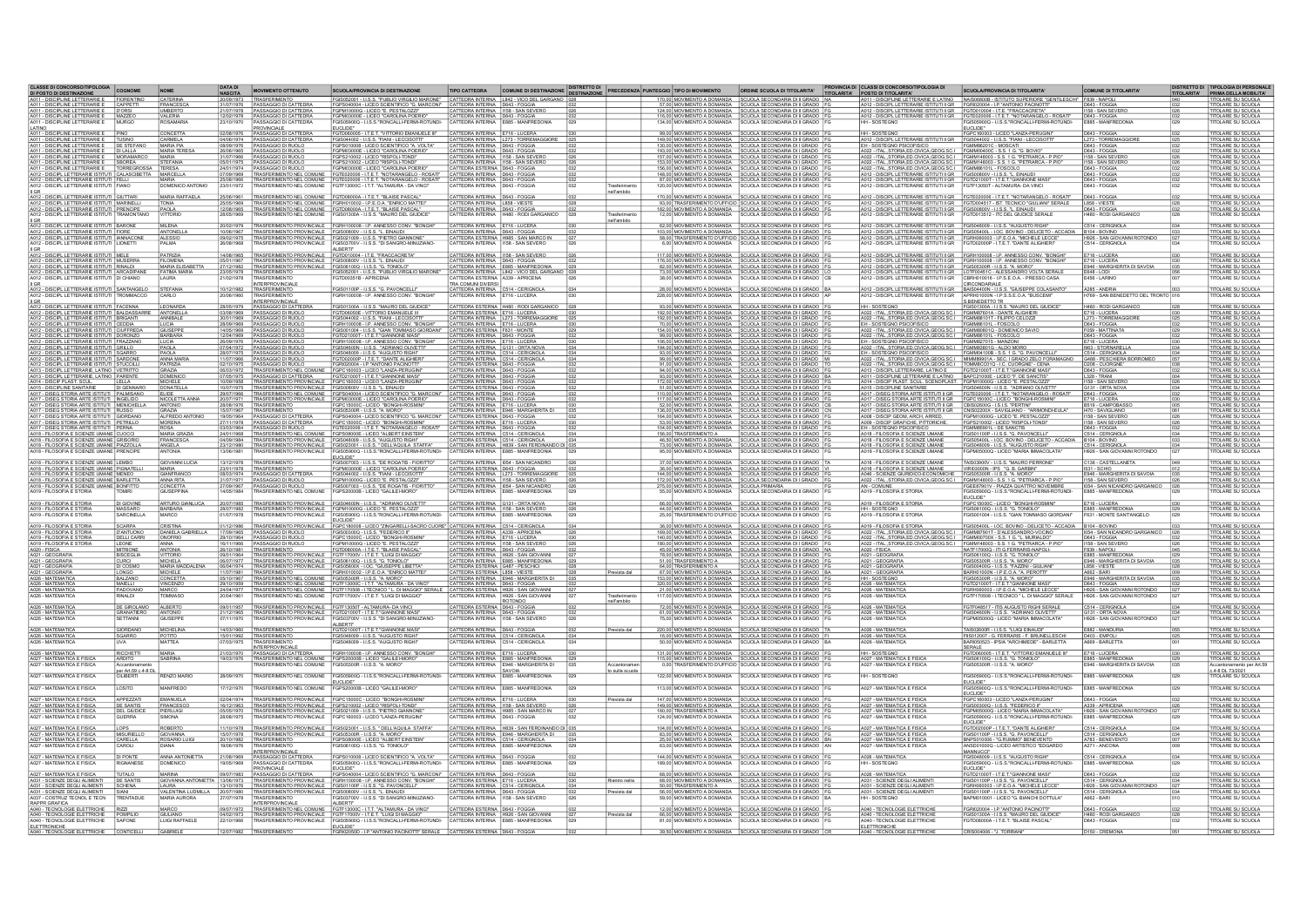| ASSE DI CONCORSO/TIPOLOGIA COGNOME<br>DI POSTO DI DESTINAZIONE                                                                                                                                           |                                          | NOME                                            | <b>DATA DI</b><br><b>NASCITA</b> | <b>MOVIMENTO OTTENUTO</b>                                                              | <b>SCUOLA/PROVINCIA DI DESTINAZIONE</b>                                                                                                                                                                                                                                     | <b>TIPO CATTEDRA</b>                                                                                        | COMUNE DI DESTINAZIONE DESTINAZIONE PRECEDENZA PUNTEGGIO TIPO DI MOVIMENTO                                     |                              |                                        | ORDINE SCUOLA DI TITOLARITA'                                                                                                                                                                                                         | <b>PROVINCIA DI CLASSI DI CONCORSO/TIPOLOGIA DI<br/>TITOLARITA' POSTO DI TITOLARITA'</b>                                                                    | <b>SCUOLA/PROVINCIA DI TITOLARITA</b>                                                                                                                                                                                                                                                                                                                                                      | COMUNE DI TITOLARITA'                                  |      | <b>DISTRETTO DI TIPOLOGIA DI PERSONALI</b><br>TITOLARITA' PRIMA DELLA MOBILITA' |
|----------------------------------------------------------------------------------------------------------------------------------------------------------------------------------------------------------|------------------------------------------|-------------------------------------------------|----------------------------------|----------------------------------------------------------------------------------------|-----------------------------------------------------------------------------------------------------------------------------------------------------------------------------------------------------------------------------------------------------------------------------|-------------------------------------------------------------------------------------------------------------|----------------------------------------------------------------------------------------------------------------|------------------------------|----------------------------------------|--------------------------------------------------------------------------------------------------------------------------------------------------------------------------------------------------------------------------------------|-------------------------------------------------------------------------------------------------------------------------------------------------------------|--------------------------------------------------------------------------------------------------------------------------------------------------------------------------------------------------------------------------------------------------------------------------------------------------------------------------------------------------------------------------------------------|--------------------------------------------------------|------|---------------------------------------------------------------------------------|
| 4011 - DISCIPLINE LETTERARIE E FIORENTINO                                                                                                                                                                |                                          | CATERINA                                        |                                  | TRASFERIMENTO                                                                          | FGIS052001 - I.I.S.S. "PUBLIO VIRGILIO MARONE" CATTEDRA INTERNA   L842 - VICO DEL GARGANO   D                                                                                                                                                                               |                                                                                                             |                                                                                                                |                              |                                        | 170.00 MOVIMENTO A DOMANDA SCUOLA SECONDARIA DI II GRADO NA                                                                                                                                                                          | 1 - DISCIPLINE LETTERARIE E LATINO                                                                                                                          | NAIS06800B - ISTITUTO SUPERIORE "GENTILESCHI" F839 - NAPOLI                                                                                                                                                                                                                                                                                                                                |                                                        |      |                                                                                 |
| A011 - DISCIPLINE LETTERARIE E CAPPETTI<br>A011 - DISCIPLINE LETTERARIE E D'ORSI                                                                                                                         |                                          | FRANCESCA<br><b>UMBERTO</b>                     | 21/07/1978                       | 31/07/1976   PASSAGGIO DI CATTEDRA<br>PASSAGGIO DI CATTEDRA                            | FGPS040004 - LICEO SCIENTIFICO "G. MARCONI" CATTEDRA INTERNA   D643 - FOGGIA<br>FGPM10000G - LICEO "E. PESTALOZZI"                                                                                                                                                          | CATTEDRA INTERNA 1158 - SAN SEVERO                                                                          |                                                                                                                |                              |                                        | 57.00 MOVIMENTO A DOMANDA SCUOLA SECONDARIA DI II GRADO FG<br>124.00 MOVIMENTO A DOMANDA SCUOLA SECONDARIA DI II GRADO FO                                                                                                            | A012 - DISCIPL LETTERARIE ISTITUTI II GR FGRI020004 - I.P. "ANTONIO PACINOTTI<br>A012 - DISCIPL LETTERARIE ISTITUTI II GR FGTD010004 - I.T.E. "FRACCACRETA" |                                                                                                                                                                                                                                                                                                                                                                                            | D643 - FOGGIA<br>1158 - SAN SEVERO                     | 026  | <b>TOLARE SU SCUOLA</b><br><b>TITOLARE SU SCUOLA</b>                            |
| A011 - DISCIPLINE LETTERARIE E MAZZEO<br>A011 - DISCIPLINE LETTERARIE E MAZZEO                                                                                                                           |                                          | VALERIA                                         | 12/02/1978<br>23/10/1970         | PASSAGGIO DI CATTEDRA<br>PASSAGGIO DI CATTEDRA<br>PROVINCIALE                          | FGPM03000E - LICEO "CAROLINA POERIO"<br>00Q - I.I.S.S."RONCALLI-FERMI-ROTUNDI                                                                                                                                                                                               |                                                                                                             | CATTEDRA NTERNA D643 - FOGGIA                                                                                  |                              |                                        | 116.00 MOVIMENTO A DOMANDA SCUOLA SECONDARIA DI II GRADO<br>114.00 MOVIMENTO A DOMANDA SCUOLA SECONDARIA DI II GRADO                                                                                                                 |                                                                                                                                                             | A012 - DISCIPL LETTERARIE ISTITUTI IIGR FGTE020008 - I.T.E.T. "NOTARANGELO - ROSATI"<br> HH - SOSTEGNO FGIS05900Q - I.LS.S."RONCALLI-FERMI-ROTUNDI-                                                                                                                                                                                                                                        | B&S-CONTROLLED                                         |      | <b>TITOLARE SU SCUOLA</b><br>TOLARE SU SCUOLA                                   |
|                                                                                                                                                                                                          |                                          | ONCETTA                                         | 12/08/1976                       | PASSAGGIO DI CATTEDRA                                                                  | UCLIDE*<br>GTD060005 - I.T.E.T. "VITTORIO EMANUELE III"                                                                                                                                                                                                                     | ATTEDRA INTERNA E716 - LUCERA                                                                               |                                                                                                                |                              |                                        | 99.00 MOVIMENTO A DOMANDA SCUOLA SECONDARIA DI II GRADO                                                                                                                                                                              | <b>HH-SOSTEGN</b>                                                                                                                                           | EUCLIDE"<br>FGPC160003 - LICEO "LANZA-PERUGIN                                                                                                                                                                                                                                                                                                                                              | D643 - FOGGIA                                          |      | <b>TOLARE SU SCUOLA</b>                                                         |
| <b>A011 - DISCIPLINE LETTERARIE E<br/>A011 - DISCIPLINE LETTERARIE E<br/>A011 - DISCIPLINE LETTERARIE E</b>                                                                                              |                                          | CARMELA<br>MARIA PIA                            |                                  | PASSAGGIO DI CATTEDRA                                                                  | GIS044002 - I.LS.S. "FIANI - LECCISOTTI"<br>GPS010008 - LICEO SCIENTIFICO "A. VOLTA"                                                                                                                                                                                        |                                                                                                             | CATTEDRA INTERNA L273 - TORREMAGGIORI<br>CATTEDRA INTERNA D643 - FOGGIA                                        |                              |                                        | 149,00 MOVIMENTO A DOMANDA SCUOLA SECONDARIA DI II GRADO<br>130,00 MOVIMENTO A DOMANDA SCUOLA SECONDARIA DI II GRADO                                                                                                                 | A012 - DISCIPL LETTERARIE ISTITUTI II GR<br>EH - SOSTEGNO PSICOFISICO<br>FOMM86201C - MOSCATI                                                               |                                                                                                                                                                                                                                                                                                                                                                                            | L273 - TORREMAGGIOR<br>D643 - FOGGIA                   |      | TOLARE SU SCUOLA                                                                |
| A011 - DISCIPLINE LETTERARIE E                                                                                                                                                                           | DE STEFANO<br><b>DI LALLA</b>            | <b>MARIA TERES/</b>                             | 08/09/1976<br>26/06/1965         | PASSAGGIO DI RUOLO                                                                     | FGPM03000E - LICEO "CAROLINA POERIO"                                                                                                                                                                                                                                        | ATTEDRA INTERNA D643 - FOGGI                                                                                |                                                                                                                |                              |                                        | 193.00 MOVIMENTO A DOMANDA SCUOLA SECONDARIA DI I GRADO                                                                                                                                                                              | A022 - ITAL. STORIA ED.CIVICA GEOG.SC.I FGMM00400C - S.S. 1 G. "G. BOVI                                                                                     |                                                                                                                                                                                                                                                                                                                                                                                            | D643 - FOGGIA                                          |      | <b>TOLARE SU SCUOLA</b>                                                         |
| A011 - DISCIPLINE LETTERARIE E<br>A011 - DISCIPLINE LETTERARIE E                                                                                                                                         | MORAMARCO<br>SBOREA                      | MARIA<br>STEFANIA                               | 05/01/1975                       | PASSAGGIO DI RUOLO<br>PASSAGGIO DI RUOLO                                               | FGPS210002 - LICEO "RISPOLI-TONDI"<br>FGPS210002 - LICEO "RISPOLI-TONDI"                                                                                                                                                                                                    | CATTEDRA INTERNA 1158 - SAN SEVERO<br>CATTEDRA INTERNA 1158 - SAN SEVERO                                    |                                                                                                                |                              |                                        | 157,00 MOVIMENTO A DOMANDA SCUOLA SECONDARIA DI IGRADO<br>153.00 MOVIMENTO A DOMANDA SCUOLA SECONDARIA DI IGRADO                                                                                                                     |                                                                                                                                                             | A022 - ITAL_STORIALED.CIVICA.GEOG.SC.I FGMM148003 - S.S. 1 G. "PETRARCA - P.PIO"<br>A022 - ITAL_STORIALED.CIVICA.GEOG.SC.I FGMM148003 - S.S. 1 G. "PETRARCA - P.PIO"                                                                                                                                                                                                                       | 1158 - SAN SEVERO                                      |      | TOLARE SU SCUOLA                                                                |
| A011 - DISCIPLINE LETTERARIE E                                                                                                                                                                           | TORREGROSSA TERESA                       |                                                 | 7/09/1969                        | 24/01/1974 PASSAGGIO DI RUOLO<br>TRASFERIMENTO NEL COMUNE                              | FGPM03000E - LICEO "CAROLINA POERIO"                                                                                                                                                                                                                                        | CATTEDRA ESTERNA   D643 - FOGGIA<br>CATTEDRA INTERNA   D643 - FOGGIA                                        |                                                                                                                |                              |                                        | 156.00 MOVIMENTO A DOMANDA SCUOLA SECONDARIA DI I GRADO                                                                                                                                                                              | A022 - ITALSTORIA.ED.CIVICA.GEOG.SC.I FGMM86101L - FOSCOLO                                                                                                  |                                                                                                                                                                                                                                                                                                                                                                                            | D643 - FOGGIA<br>D643 - FOGGIA                         |      | <b>ITOLARE SU SCUOLA</b><br><b>TOLARE SU SCUOLA</b>                             |
| A012 - DISCIPL LETTERARE ISTITUTI CALASCIBETTA MARCELLA<br>A012 - DISCIPL LETTERARE ISTITUTI FELLI MARIA<br>A012 - DISCIPL LETTERARE ISTITUTI FIANO DOMENICO                                             |                                          |                                                 | 25/08/1966                       |                                                                                        | TRASFERIMENTO NEL COMUNE FGTE020006 - I.T.E.T. "NOTARANGELO - ROSATI" TRASFERIMENTO NEL COMUNE FGTE020006 - I.T.E.T. "NOTARANGELO - ROSATI"                                                                                                                                 | CATTEDRA INTERNA   D643 - FOGGIA                                                                            |                                                                                                                |                              |                                        | 148.00 MOVIMENTO A DOMANDA SCUOLA SECONDARIA DI II GRADO 87.00 MOVIMENTO A DOMANDA SCUOLA SECONDARIA DI II GRADO                                                                                                                     | A012 - DISCIPL LETTERARIE ISTITUTI II GR<br>A012 - DISCIPL LETTERARIE ISTITUTI II GR FGTD21000T - I T.E.T. "GIANNONE MAS                                    |                                                                                                                                                                                                                                                                                                                                                                                            | D643 - FOGGIA                                          |      | <b>TOLARE SU SCUOLA</b>                                                         |
| II GR                                                                                                                                                                                                    |                                          | DOMENICO ANTONIO                                | 23/01/1972                       | RASFERIMENTO NEL COMUNE                                                                | GTF13000C - I.T.T. "ALTAMURA - DA VINCI"                                                                                                                                                                                                                                    | CATTEDRA INTERNA   D643 - FOGGIA                                                                            |                                                                                                                | ell'ambito                   |                                        | 120,00 MOVIMENTO A DOMANDA SCUOLA SECONDARIA DI II GRADO                                                                                                                                                                             | A012 - DISCIPL LETTERARIE ISTITUTI II GR                                                                                                                    | FGTF13050T - ALTAMURA- DA VINCI                                                                                                                                                                                                                                                                                                                                                            | D643 - FOGGIA                                          |      | <b>ITOLARE SU SCUOLA</b>                                                        |
| A012 - DISCIPL LETTERARE ISTITUTI GIUTTARI<br>A012 - DISCIPL LETTERARE ISTITUTI MARINELLI<br>A012 - DISCIPL LETTERARE ISTITUTI PRENCIPE<br>A012 - DISCIPL LETTERARE ISTITUTI TRAMONTA                    |                                          | <b>MARIA RAFFAELA</b>                           | 25/06/1961<br>25/05/1969         |                                                                                        | TRASFERIMENTO NEL COMUNE FGTD08000A - I T.E.T. "BLAISE PASLAL"<br>TRASFERIMENTO NEL COMUNE FGR1010002 - I P.E.O.A "ENRICO MATTE"<br>TRASFERIMENTO NEL COMUNE FGTD08000A - I T.E.T. "BLAISE PASCAL"<br>"TRASFERIMENTO NEL COMUNE FGIS013                                     | CATTEDRA INTERNA D643 - FOGGIA                                                                              |                                                                                                                |                              |                                        | 170.00 MOVIMENTO A DOMANDA SCUOLA SECONDARIA DI II GRADO<br>93,00 TRASFERIMENTO D'UFFICIO SCUOLA SECONDARIA DI II GRADO                                                                                                              |                                                                                                                                                             | $\overbrace{0.012\cdot\text{DISCPELETTERABE BITUDI IGR}^{\text{AOTEQ20006}-\text{I. T.E. T. 'NOTARANGELO-ROSAT}}^{\text{AOTEQ2}-\text{DISCPE LETTERABE SITUDI IIGR}}\overbrace{0.012\cdot\text{DISCPE}}^{\text{FGTD0045}-\text{I. ST. T.C. NUCD}^{\text{SCTD00600}}\overbrace{0.11\cdot\text{I. S.S.}\cdot\text{T. C. N. U. D. N. T. E. N. U. D. N. D. N. D. N. D. N. D. N. D. N. D. N. D$ | D643 - FOGGIA<br>L858 - VIESTE                         |      | TOLARE SU SCUOLA                                                                |
|                                                                                                                                                                                                          | <b>DAMONTAL</b>                          | TONIA<br>PAOLA<br><b>ITTORIO</b>                | 12/08/1965                       |                                                                                        |                                                                                                                                                                                                                                                                             | CATTEDRA INTERNA   L858 - VIESTE<br>CATTEDRA INTERNA   D643 - FOGGIA<br>CATTEDRA INTERNA                    | H480 - RODI GARGANICO                                                                                          |                              |                                        | 182,00 MOVIMENTO A DOMANDA SCUOLA SECONDARIA DI II GRADO<br>12.00 MOVIMENTO A DOMANDA SCUOLA SECONDARIA DI II GRADO                                                                                                                  |                                                                                                                                                             |                                                                                                                                                                                                                                                                                                                                                                                            | D643 - FOGGIA<br>4480 - RODI GARGANICO                 |      | <u>ITOLARE SU SCUOLA.</u><br>ITOLARE SU SCUOLA<br>TOLARE SU SCUOLA              |
|                                                                                                                                                                                                          |                                          |                                                 |                                  |                                                                                        |                                                                                                                                                                                                                                                                             |                                                                                                             |                                                                                                                | ell'ambito                   |                                        |                                                                                                                                                                                                                                      |                                                                                                                                                             |                                                                                                                                                                                                                                                                                                                                                                                            |                                                        |      |                                                                                 |
| A012 - DISCIPL LETTERARIE ISTITUT                                                                                                                                                                        | <b>BARONE</b><br><b>FIORE</b>            | MILENA<br><b>ANTONELLA</b>                      | 20/02/1979                       | TRASFERIMENTO PROVINCIALE                                                              | TRASFERIMENTO PROVINCIALE FGRH100008 - LP. ANNESSO CONV. "BONGHI"<br>FGIS00800V - I.I.S.S. "L. EINAUDI                                                                                                                                                                      | CATTEDRA INTERNA E716 - LUCERA                                                                              |                                                                                                                |                              |                                        | 62,00 MOVIMENTO A DOMANDA SCUOLA SECONDARIA DI II GRADO  <br>SCUOLA SECONDARIA DI ILGRADO                                                                                                                                            | A012 - DISCIPL LETTERARIE ISTITUTI II GR FGIS048009 - I.I.S.S. "AUGUSTO RIGHI                                                                               |                                                                                                                                                                                                                                                                                                                                                                                            | C514 - CERIGNOLA<br>R104 - ROVINO                      |      | TOLARE SU SCUOLA<br>TOLARE SLI SCHOLA                                           |
| A012 - DISCIPL LETTERARIE ISTITUTI<br>A012 - DISCIPL LETTERARIE ISTITUTI<br>A012 - DISCIPL LETTERARIE ISTITUTI                                                                                           | <b>IANNACONE</b><br><b>LIONETT</b>       | ALESSIO<br><b>PALMA</b>                         | 09/02/1976<br>6/08/1968          | TRASFERIMENTO PROVINCIALE                                                              | FGIS021009 - I.LS.S. L. ENVOUR<br>FGIS021009 - I.LS.S. "PIETRO GIANNONE"<br>FGIS03700V - I.LS.S. "DI SANGRO-MINUZIANO                                                                                                                                                       |                                                                                                             | CATTEDRA INTERNA D643 - FOGGIA<br>CATTEDRA ESTERNA H985 - SAN MARCO IN<br>CATTEDRA INTERNA IT58 - SAN SEVERO   |                              | 6.00 MOVIMENTO A DOMANDA               | 103,00 MOVIMENTO A DOMANDA SCUOLA SECONDARIA DI II GRADO<br>SCUOLA SECONDARIA DI II GRADO                                                                                                                                            |                                                                                                                                                             | A012 - DISCIPL LETTERARIE ISTITUTI II GR. FGIS05400L - LOC. BOVINO - DELICETO - ACCADIA<br>A012 - DISCIPL LETTERARIE ISTITUTI II GR. FGISN08003 - I.P.E.O.A. "MICHELE LECCE"<br>A012 - DISCIPL LETTERARIE ISTITUTI II GR. FGT002000P                                                                                                                                                       | H926 - SAN GIOVANNI ROTONDO                            |      | TOLARE SU SCUOLA<br>TOLARE SU SCUOLA                                            |
|                                                                                                                                                                                                          |                                          |                                                 |                                  |                                                                                        | ALBERTI                                                                                                                                                                                                                                                                     |                                                                                                             |                                                                                                                |                              |                                        |                                                                                                                                                                                                                                      |                                                                                                                                                             |                                                                                                                                                                                                                                                                                                                                                                                            |                                                        |      |                                                                                 |
| A012 - DISCIPL LETTERARIE ISTITUT<br>A012 - DISCIPL LETTERARIE ISTITUTI MUSERRA                                                                                                                          |                                          | <b>FILOMENA</b>                                 | 05/01/1967                       | RASFERIMENTO PROVINCIAL<br>TRASFERIMENTO PROVINCIALE FGIS00800V - I.I.S.S. "L. EINAUDI | FGTD010004 - I.T.E. "FRACCACRETA                                                                                                                                                                                                                                            | CATTEDRA INTERNA   D643 - FOGGIA                                                                            | TTEDRA INTERNA   I158 - SAN SEVERO                                                                             |                              |                                        | 117.00 MOVIMENTO A DOMANDA SCUOLA SECONDARIA DI II GRADO<br>176.00 MOVIMENTO A DOMANDA SCUOLA SECONDARIA DI II GRADO FO                                                                                                              | A012 - DISCIPL LETTERARIE ISTITUTI II GR                                                                                                                    | A012 - DISCIPL LETTERARIE ISTITUTI II GR FGRH100008 - I.P. ANNESSO CONV. "BONGHI"                                                                                                                                                                                                                                                                                                          | E716 - LUCERA                                          | 1030 | <b>OLARE SU SCUOL</b><br>TITOLARE SU SCUOLA                                     |
| A012 - DISCIPL LETTERARIE ISTITUTI RINALDI                                                                                                                                                               |                                          | MARIA ELISABETTA                                | 27/12/1982                       | TRASFERIMENTO PROVINCIALE FGIS061000 - I.I.S.S. "G. TONIOLO"                           |                                                                                                                                                                                                                                                                             |                                                                                                             | CATTEDRA INTERNA E885 - MANFREDONIA                                                                            |                              |                                        | 82.00 MOVIMENTO A DOMANDA SCUOLA SECONDARIA DI II GRADO FO                                                                                                                                                                           | A012 - DISCIPL LETTERARIE ISTITUTI II GR FGIS05300R - I.I.S.S. "A. MORO"                                                                                    |                                                                                                                                                                                                                                                                                                                                                                                            | E946 - MARGHERITA DI SAVOIA                            | 035  | <b>TITOLARE SU SCUOLA</b>                                                       |
| A012 - DISCIPL LETTERARIE ISTITUTI ARCADIPANE<br>II GF                                                                                                                                                   |                                          | FATIMA MARIA                                    | 23/05/1978<br>21/02/1978         | TRASFERIMENTO<br><b>INTERPROVINCIALE</b>                                               | SISO52001 - I.I.S.S. "PUBLIO VIRGILIO MARONE"<br>STD00351B - APRICENA                                                                                                                                                                                                       | <b>TRA COMUNI DIVERSI</b>                                                                                   | CATTEDRA INTERNA L842 - VICO DEL GARGANO 028<br>CATTEDRA ESTERNA A339 - APRICENA 026                           |                              |                                        | 73.00 MOVIMENTO A DOMANDA SCUOLA SECONDARIA DI II GRADO<br>38,00 MOVIMENTO A DOMANDA SCUOLA SECONDARIA DI II GRADO                                                                                                                   | A012 - DISCIPL LETTERARIE ISTITUTI II GR<br>A012 - DISCIPL LETTERARIE ISTITUTI II GR                                                                        | LOTF00451C - ALESSANDRO VOLTA SERALE<br>CBRH010016 - LP.S.E.O.A. - PRESSO CASA<br>CIRCONDARIALE                                                                                                                                                                                                                                                                                            |                                                        |      | TOLARE SU SCUOLA<br>TOLARE SU SCUOLA                                            |
| A012 - DISCIPL LETTERARIE ISTITUTI SANTANGELO                                                                                                                                                            |                                          | <b>STEFANIA</b>                                 | 10/12/1982                       | TRASFERIMENTO                                                                          | FGIS01100P - I.LS.S. "G. PAVONCELLI"<br>FGRH100008 - I.P. ANNESSO CONV. "B<br><b>BONGHI</b>                                                                                                                                                                                 | ATTEDRA INTERNA C514 - CERIGNOLA                                                                            |                                                                                                                |                              |                                        | $\frac{28,00}{228,00}$ MOVIMENTO A DOMANDA<br>$\frac{1}{100}$ SCUOLA SECONDARIA DI II GRADO   AP                                                                                                                                     |                                                                                                                                                             | A012 - DISCIPL LETTERARIE ISTITUTI II GR. BAIS04400N - LLS.S. "GIUSEPPE COLASANTO"<br>A012 - DISCIPL LETTERARIE ISTITUTI II GR. APRH01000N - LP.S.S.E.O.A. "BUSCEMI"                                                                                                                                                                                                                       | A285 - ANDRIA<br>H769 - SAN BENEDETTO DEL TRONTO       |      | <b>TOLARE SU SCUOLA</b>                                                         |
|                                                                                                                                                                                                          |                                          |                                                 |                                  | <b>INTERPROVINCIALE</b>                                                                |                                                                                                                                                                                                                                                                             | CATTEDRA INTERNA E716 - LUCERA                                                                              |                                                                                                                |                              |                                        | SCUOLA SECONDARIA DI II GRADO                                                                                                                                                                                                        |                                                                                                                                                             | S.BENEDETTO TR<br>FGIS01300A - I.I.S.S. "MAURO DEL GIUDICE"                                                                                                                                                                                                                                                                                                                                |                                                        |      | TOLARE SU SCUOL                                                                 |
| <u>II GR. -</u><br>  AD12 - DISCIPL LETTERARIE ISTITUTI   FACENNA   LEONARDA<br>  AD12 - DISCIPL LETTERARIE ISTITUTI   BRIGANTI   ANNIBALE<br>  AD12 - DISCIPL LETTERARIE ISTITUTI   BRIGANTI   ANNIBALE |                                          |                                                 | 28/05/1979<br>03/08/1969         | <b>PASSAGGIO DI CATTEDRA</b><br>PASSAGGIO DI RUOLO                                     | GIS01300A - I.LS.S. "MAURO DEL GIUDICE                                                                                                                                                                                                                                      |                                                                                                             | ATTEDRA ESTERNA   H480 - RODI GARGANIC                                                                         |                              |                                        | 93.00 MOVIMENTO A DOMANDA SCUOLA SECONDARIA DI II GRADO                                                                                                                                                                              | <b>HH-SOSTEGN</b>                                                                                                                                           |                                                                                                                                                                                                                                                                                                                                                                                            | <b>H480 - RODI GARGANIC</b>                            |      | TOLARE SU SCUOLA                                                                |
|                                                                                                                                                                                                          |                                          |                                                 |                                  | 30/01/1969 PASSAGGIO DI RUOLO                                                          | FGTD06050E - VITTORIO EMANUELE III<br>FGIS044002 - I.I.S.S. "FIANI - LECCISOTT                                                                                                                                                                                              |                                                                                                             | CATTEDRA ESTERNA E716 - LUCERA<br>CATTEDRA INTERNA L273 - TORREMAGGIORE                                        |                              |                                        | 192.00 MOVIMENTO A DOMANDA SCUOLA SECONDARIA DI IGRADO<br>192.00 MOVIMENTO A DOMANDA SCUOLA SECONDARIA DI IGRADO                                                                                                                     | A022 - ITAL. STORIA.ED.CIVICA.GEOG.SC.I FGMM87601A - DANTE ALIGHIER<br>A022 - ITAL.STORIA.ED.CIVICA.GEOG.SC.I FGMM88101T - FILIPPO CELOZZI                  |                                                                                                                                                                                                                                                                                                                                                                                            | E716 - LUCERA<br>L273 - TORREMAGGIORE                  |      | TITOLARE SU SCUOLA.<br>TITOLARE SU SCUOLA                                       |
| A012 - DISCIPL LETTERARIE ISTITUT<br>A012 - DISCIPL LETTERARIE ISTITUT                                                                                                                                   | CEDDIA<br>CILIFERED.                     | LUCIA<br><b>GIUSEPPE</b>                        | 28/09/1969                       | PASSAGGIO DI RUOLO<br>PASSAGGIO DI RUOL                                                | FGRH100008 - LP. ANNESSO CONV. "BONGHI<br>FGIS001004 - I.I.S.S. "GIAN TOMMASO GIORDAN                                                                                                                                                                                       | CATTEDRA INTERNA E716 - LUCERA<br>ATTEDRA ESTERNA F631 - MONT                                               |                                                                                                                |                              |                                        | 70.00 MOVIMENTO A DOMANDA SCUOLA SECONDARIA DI I GRADO<br>154.00 MOVIMENTO A DOMANDA SCUOLA SECONDARIA DI I GRADO                                                                                                                    | EH - SOSTEGNO PSICOFISICO<br>A022 - ITAL STORIA ED CIVICA GEOG SC.I FGMM80801Q -                                                                            | FGMM86101L - FOSCOLO<br>DOMENICO SAVIO                                                                                                                                                                                                                                                                                                                                                     | D643 - FOGGIA<br>F059 - MATTINATA                      |      | <b>TITOLARE SU SCUOLA</b><br><b>ITOLARE SU SCUOLA</b>                           |
| A012 - DISCIPL LETTERARIE ISTITUTI DORONZO<br>A012 - DISCIPL LETTERARIE ISTITUTI FRAZZANO                                                                                                                |                                          | BARBARA<br>LUCIA                                |                                  | 12/04/1969 PASSAGGIO DI RUOLO<br>26/09/1976  PASSAGGIO DI RUOLO                        | FGRH100008 - LP. ANNESSO CONV. "BONGHI"                                                                                                                                                                                                                                     | CATTEDRA INTERNA D643 - FOGGIA<br>CATTEDRA INTERNA E716 - LUCERA                                            |                                                                                                                |                              |                                        | 99.00 MOVIMENTO A DOMANDA SCUOLA SECONDARIA DI I GRADO<br>106.00 MOVIMENTO A DOMANDA SCUOLA SECONDARIA DI I GRADO F                                                                                                                  | A022 - ITAL.STORIA.ED.CIVICA.GEOG.SC.I FGMM86101L - FOSCOLO<br>EH - SOSTEGNO PSICOFISICO                                                                    | FGMM827015 - MANZONI                                                                                                                                                                                                                                                                                                                                                                       | D643 - FOGGIA<br>E716 - LUCERA                         |      | TITOLARE SU SCUOLA<br>TITOLARE SU SCUOLA                                        |
| A012 - DISCIPLI LETTERAR E ISTITUTI GRILLO<br>A012 - DISCIPLI LETTERAR E ISTITUTI SGARRO<br>A012 - DISCIPLI LETTERAR E ISTITUTI SARDONE                                                                  |                                          | PAOLA<br>PAOLA                                  |                                  | PASSAGGIO DI RUOLO                                                                     | GIS04600N - I.I.S.S. "ADRIANO OLIVETTI"<br>GIS046009 - I.I.S.S. "AUGUSTO RIGHI"<br>GTD02000P - I.T.E.T. "DANTE ALIGHIER"                                                                                                                                                    | CATTEDRA INTERNA G131 - ORTA NOVA<br>CATTEDRA INTERNA C514 - CERIGNOLA<br>CATTEDRA INTERNA C514 - CERIGNOLA |                                                                                                                |                              |                                        | 194.00 MOVIMENTO A DOMANDA SCUOLA SECONDARIA DI IGRADO<br>93,00 MOVIMENTO A DOMANDA SCUOLA SECONDARIA DI IGRADO<br>99,00 MOVIMENTO A DOMANDA SCUOLA SECONDARIA DI IGRADO                                                             |                                                                                                                                                             | 1/422. TIM, STORM ED ANGELO ACCO SCI   FORMASSICO ALICORALISTICO   1995. STORMASILA<br>  EN - SOSTEGIO PSICOFISCO   COMMISSION - SE I GRADO ZELO FORMANO   CISI - CERCINGLIA<br>  ANZI - TEM, STORM ED CIVICA GEOGRIC   TOMMISSION -                                                                                                                                                       |                                                        |      | TITOLARE SU SCUOLA                                                              |
|                                                                                                                                                                                                          |                                          | ANNA MARIA                                      |                                  | 11/07/1966 PASSAGGIO DI RUOLO                                                          |                                                                                                                                                                                                                                                                             |                                                                                                             |                                                                                                                |                              |                                        |                                                                                                                                                                                                                                      |                                                                                                                                                             |                                                                                                                                                                                                                                                                                                                                                                                            |                                                        |      |                                                                                 |
| A012 - DISCIPL LETTERARIE ISTITUTI STUCCILLI<br>A013 - DISCIPL LETTERARIE, LATINO VETRITTO<br>A013 - DISCIPL LETTERARIE, LATINO PARENTE                                                                  |                                          | PATRIZIA<br>GRAZIA                              | 2/10/1975<br>6/03/1972           | <b>PASSAGGIO DI RUOLO</b><br>TRASFERIMENTO NEL COMUNE                                  | SRI020004 - LP."ANTONIO PACINOTT                                                                                                                                                                                                                                            | ATTEDRA ESTERNA D643 - FOGGIA                                                                               |                                                                                                                |                              |                                        | 91,00 MOVIMENTO A DOMANDA SCUOLA SECONDARIA DI I GRADO<br>94,00 MOVIMENTO A DOMANDA SCUOLA SECONDARIA DI II GRADO<br>93,00 MOVIMENTO A DOMANDA SCUOLA SECONDARIA DI II GRADO                                                         | A013 - DISCIPLI LETTERARIE, LATINO E FGTD21000T - I.T.E.T." GIANNONE MAS<br>A011 - DISCIPLINE LETTERARIE, LATINO BAPC21000E - LICEO "F. DE SANCTIS"         |                                                                                                                                                                                                                                                                                                                                                                                            | D643 - FOGGIA                                          |      | <b>TOLARE SU SCUOLA</b><br>TOLARE SU SCUOLA                                     |
| A014 - DISCIP PLAST. SCUL.                                                                                                                                                                               | IIFIIA                                   | <b>DOMENICO</b><br>MICHELE                      | 07/05/1975<br>10/09/1958         | PASSAGGIO DI CATTEDRA<br><b>TRASFERIMENTO PROVINCIALE</b>                              | FGPC160003 - LICEO "LANZA-PERUGINI"<br>FGTD21000T - I.T.E.T. "GIANNONE MASI"<br>FGPC160003 - LICEO "LANZA-PERUGINI"                                                                                                                                                         | CATTEDRA INTERNA D643 - FOGGIA<br>CATTEDRA INTERNA D643 - FOGGIA<br>CATTEDRA INTERNA D643 - FOGGIA          |                                                                                                                |                              |                                        | 172.00 MOVIMENTO A DOMANDA SCUOLA SECONDARIA DI II GRADO                                                                                                                                                                             | A014 - DISCIP PLAST. SCUL. SCENOPLAST. FGPM10000G - LICEO "E. PESTALOZZ                                                                                     |                                                                                                                                                                                                                                                                                                                                                                                            | L328 - TRANI<br>1158 - SAN SEVER                       |      | TOLARE SU SCUOLA<br><b>ITOLARE SU SCUOLA</b>                                    |
| A015 - DISCIPLINE SANITARIE DI GENNARIO 2017 - DISEGISTORIA ARTE ISTITUTI PALMISANO                                                                                                                      |                                          | <b>DONATELLA</b>                                |                                  | <b>TRASFERIMENTO PROVINCIALE</b>                                                       | TRASFERIMENTO PROVINCIALE FGISOBBOV - LLS.S. "L. EINAUDI CATTEDRA ESTERNA D843 - FOGGIA TRASFERIMENTO NEL COMUNE FGPS040004 - LICEO SCIENTIFICO "G. MARCONI" CATTEDRA INTERNA D843 - FOGGIA                                                                                 |                                                                                                             |                                                                                                                |                              |                                        | 51.00 MOVIMENTO A DOMANDA SCUOLA SECONDARIA DI II GRADO                                                                                                                                                                              |                                                                                                                                                             | A015 - DISCIPLINE SANITARIE<br>A015 - DISCIPLINE SANITARIE<br>A017 - DISEG STORIA ARTE ISTITUTI II GREE FGTE020006 - I.T.E.T. "NOTARANGELO - ROSATI                                                                                                                                                                                                                                        | G131 - ORTA NOVA                                       |      | TOLARE SU SCUOLA                                                                |
| A017 - DISEG STORIA ARTE ISTITUTI INGELIDO                                                                                                                                                               |                                          | NICOLETTA ANN                                   | 29/07/1966<br>20/07/1971         |                                                                                        | TRASFERIMENTO PROVINCIALE FGPM03000E - LICEO "CAROLINA POERIO"                                                                                                                                                                                                              | CATTEDRA INTERNA D643 - FOGGIA                                                                              |                                                                                                                |                              |                                        | 117.00 MOVIMENTO A DOMANDA SCUOLA SECONDARIA DI II GRADO                                                                                                                                                                             | A017 - DISEG STORIA ARTE ISTITUTI II GR FGPC15000C - LICEO "BONGHI-ROSMINI"                                                                                 |                                                                                                                                                                                                                                                                                                                                                                                            | E716 - LUCERA                                          |      | <b>TITOLARE SU SCUOLA</b>                                                       |
| A017 - DISEG STORIA ARTE ISTITUTI MENICHELL<br>A017 - DISEG STORIA ARTE ISTITUTI RUSSO                                                                                                                   |                                          | ANTONIC<br>GRAZIA                               | 28/08/1976<br>15/07/1967         | <b>TRASFERIMENTO</b><br><b>TRASFERIMENTO</b>                                           | FGPC15000C - LICEO "BONGHI-ROSMINI"<br>FGIS05300R - LLS.S. "A. MORO"                                                                                                                                                                                                        | CATTEDRA INTERNA E716 - LUCER                                                                               | CATTEDRA INTERNA E946 - MARGHERITA D                                                                           |                              |                                        | 52.00 MOVIMENTO A DOMANDA SCUOLA SECONDARIA DI II GRADO CE<br>136.00 MOVIMENTO A DOMANDA SCUOLA SECONDARIA DI II GRADO CI                                                                                                            | A017 - DISEG STORIA ARTE ISTITUTI II GR CBIS02600G - I.S.I.S. "PERTINI"                                                                                     | A017 - DISEG STORIA ARTE ISTITUTI II GR CNIS02200X - SAVIGLIANO - "ARIMONDI-EULA"                                                                                                                                                                                                                                                                                                          | B519 - CAMPOBASS<br>1470 - SAVIGLIANO                  |      | <b>TOLARE SU SCUOLA</b><br><b>ITOLARE SU SCUOLA</b>                             |
| A017 - DISEG STORIA ARTE ISTITUTI GIORDANO                                                                                                                                                               |                                          | ALFREDO ANTONIO                                 | 19/05/1964                       | PASSAGGIO DI CATTEDRA                                                                  | FGPS040004 - LICEO SCIENTIFICO "G. MARCONI" CATTEDRA ESTERNA D643 - FOGGIA                                                                                                                                                                                                  |                                                                                                             |                                                                                                                |                              |                                        | 164.00 MOVIMENTO A DOMANDA SCUOLA SECONDARIA DI II GRADO FO                                                                                                                                                                          | A008 - DISCIP GEOM. ARCH. ARRED.                                                                                                                            | FGPM10000G - LICEO "E. PESTALOZZI"                                                                                                                                                                                                                                                                                                                                                         | 1158 - SAN SEVERO                                      | 026  | <b>TITOLARE SU SCUOLA</b>                                                       |
| A017 - DISEG STORIA ARTE ISTITUTI PETRILLO<br>A017 - DISEG STORIA ARTE ISTITUTI PERNA                                                                                                                    |                                          | MORENA<br>ROSA<br>MARIA GRAZIA                  | 27/11/1978<br>03/03/1964         |                                                                                        | PASSAGGIO DI CATTEDRA FGPC15000C - LICEO "BONGHI-ROSMINI"<br>PASSAGGIO DI RUOLO FGTE020006 - LICEO "BONGHI-ROSMINI"<br>TRASFERIMENTO NEL COMUNE FGPS08000E - LICEO "ALBERT EINSTEIN"<br>FGPC15000C - LICEO "BONGHI-ROSMINI"<br>FGTE020006 - I.T.E.T. "NOTARANGELO - ROSATI" | CATTEDRA INTERNA E716 - LUCERA                                                                              |                                                                                                                |                              |                                        |                                                                                                                                                                                                                                      | A009 - DISCIP GRAFICHE, PITTORICHE,<br>EH - SOSTEGNO PSICOFISICO<br>A018 - FILOSOFIA E SCIENZE UMANE                                                        | FGPS210002 - LICEO "RISPOLI-TONDI"<br>FGMM85901L - DE SANCTIS                                                                                                                                                                                                                                                                                                                              | 1158 - SAN SEVERO<br>D643 - FOGGIA<br>C514 - CERIGNOLA |      | TITOLARE SU SCUOLA<br>TITOLARE SU SCUOLA<br>TITOLARE SU SCUOLA                  |
| A018 - FILOSOFIA E SCIENZE UMANE CUOCCI<br>A018 - FILOSOFIA E SCIENZE UMANE GRISORIO                                                                                                                     |                                          | FRANCESCA                                       | 24/01/1968<br>04/09/1984         |                                                                                        | TRASFERIMENTO PROVINCIALE FGIS048009 - I.I.S.S. "AUGUSTO RIGHI                                                                                                                                                                                                              | CATTEDRA INTERNA C514 - CERIGNOLA<br>CATTEDRA ESTERNA C514 - CERIGNOLA                                      |                                                                                                                |                              |                                        | 35.30 MOVIMENTO A BOMANDA SCUOLA SECONDARIA DI ISRADO   1<br>104.00 MOVIMENTO A DOMANDA SCUOLA SECONDARIA DI ISRADO   1<br>156.00 MOVIMENTO A DOMANDA SCUOLA SECONDARIA DI ISRADO   1<br>156.00 MOVIMENTO A DOMANDA SCUOLA SECONDARI | A018 - FILOSOFIA E SCIENZE UMANE                                                                                                                            | FGIS01100P - I.I.S.S. "G. PAVONCELL<br>FGIS05400L - I.OC. BOVINO - DELICETO - ACCADIA B104 - BOVINO                                                                                                                                                                                                                                                                                        |                                                        |      | TOLARE SU SCUOLA                                                                |
| A018 - FILOSOFIA E SCIENZE UMANE PIAZZOLLA<br>A018 - FILOSOFIA E SCIENZE UMANE PRENCIPE                                                                                                                  |                                          | ANGELA                                          | 23/12/1980                       | TRASFERIMENTO PROVINCIALE                                                              | FGIS023001 - I.I.S.S. " DELL'AQUILA STAFFA"<br>FGIS05900Q - I.I.S.S. "RONCALLI-FERMI-ROTU                                                                                                                                                                                   |                                                                                                             | CATTEDRA INTERNA H839 - SAN FERDINANDO                                                                         |                              |                                        | 73.00 MOVIMENTO A DOMANDA SCUOLA SECONDARIA DI II GRADO<br>95.00 MOVIMENTO A DOMANDA SCUOLA SECONDARIA DI II GRADO                                                                                                                   | A018 - FLOSOFIA E SCIENZE UMANE                                                                                                                             | FGIS048009 - I.LS.S. "AUGUSTO RIGHI"<br>FGPM05000Q - LICEO "MARIA IMMACOLATA                                                                                                                                                                                                                                                                                                               | C514 - CERIGNOLA                                       |      | TOLARE SU SCUOLI<br>TOLARE SU SCUOLI                                            |
|                                                                                                                                                                                                          |                                          |                                                 | 13/12/1978                       | <b>TRASFERIMENTO</b>                                                                   | EUCLIDE"<br>007003 - LLS S *DE ROGATIS - FIORITTO                                                                                                                                                                                                                           |                                                                                                             | CATTEDRA INTERNA 1054 - SAN NICANDRO                                                                           |                              |                                        | 37.00 MOVIMENTO A DOMANDA SCUOLA SECONDARIA DI II GRADO                                                                                                                                                                              | A018 - FILOSOFIA E SCIENZE UMANE                                                                                                                            | TAIS03900V - LLS S "MALIRO PERRONE                                                                                                                                                                                                                                                                                                                                                         |                                                        |      | TOLARE SU SCUOLA                                                                |
| A018 - FILOSOFIA E SCIENZE UMANE LEMBO<br>A018 - FILOSOFIA E SCIENZE UMANE PIGNATELLI                                                                                                                    |                                          | <b>SIOVANNI LUCIA</b><br>MARIA                  | 23/01/1978                       | <b>TRASFERIMENT</b>                                                                    | FGPM03000E - LICEO "CAROLINA POERIO"                                                                                                                                                                                                                                        | CATTEDRA ESTERNA D643 - FOGGIA                                                                              |                                                                                                                |                              |                                        | 36.00 MOVIMENTO A DOMANDA SCUOLA SECONDARIA DI II GRADO \                                                                                                                                                                            | A018 - FILOSOFIA E SCIENZE UMANE                                                                                                                            | VIRI03000N - IPS "G. B. GARBIN"                                                                                                                                                                                                                                                                                                                                                            | C136 - CASTELLANET<br>I531 - SCHIO                     |      | <b>TOLARE SU SCUOLA</b>                                                         |
| A018 - FILOSOFIA E SCIENZE UMANE MENEO<br>A018 - FILOSOFIA E SCIENZE LIMANE RARLETTA                                                                                                                     |                                          | <b>GIANFRANCO</b><br><b>ANNA RITA</b>           | 08/03/1974<br>31/07/197          | <b>PASSAGGIO DI CATTEDRA</b><br>PASSAGGIO DI RUOLO                                     | FGIS044002 - I.I.S.S. "FIANI - LECCISOTTI"<br>EGPM10000S - LICEO "E PESTALOZZI                                                                                                                                                                                              | CATTEDRA INTERNA 1158 - SAN SEVERO                                                                          | CATTEDRA INTERNA   L273 - TORREMAGGIORE                                                                        |                              |                                        | 144.00 MOVIMENTO A DOMANDA SCUOLA SECONDARIA DI II GRADO F<br>172.00 MOVIMENTO A DOMANDA SCUOLA SECONDARIA DI I GRADO                                                                                                                | A046 - SCIENZE GIURIDICO-ECONOMICHE FGIS05300R - I.I.S.S. "A. MORO"                                                                                         | A022 - ITAL. STORIA ED.CIVICA GEOG.SC.I FGMM148003 - S.S. 1 G. "PETRARCA - P.PIC                                                                                                                                                                                                                                                                                                           | E946 - MARGHERITA DI SAVOIA<br>1158 - SAN SEVERO       |      | <b>TITOLARE SU SCUOLA</b><br><b>TOLARE SUISCHOLA</b>                            |
| A018 - FILOSOFIA E SCIENZE UMANE BONFITTO                                                                                                                                                                |                                          | CONCETTA<br><b>GIUSEPPINA</b>                   | 27/09/196<br>14/05/1984          | RASFERIMENTO NEL COMUNI                                                                | SS007003 - I.I.S.S. "DE ROGATIS - FIORITTO"<br>FGPS20000B - LICEO "GALILEI-MORO"                                                                                                                                                                                            |                                                                                                             | CATTEDRA INTERNA 054 - SAN NICANDRO<br>CATTEDRA INTERNA E885 - MANFREDONIA                                     |                              | 275.00 MOVIMENTO A DOMANDA SCUOLA PRIM | 55,00 MOVIMENTO A DOMANDA SCUOLA SECONDARIA DI II GRADO                                                                                                                                                                              | AN - COMUNE<br><b>1019 - FILOSOFIA E STORIA</b>                                                                                                             | FGEE87901V - PIAZZA QUATTRO NOVEMBR<br>FGIS05900Q - I.I.S.S."RONCALLI-FERMI-ROTUNDI                                                                                                                                                                                                                                                                                                        | 1054 - SAN NICANDRO GARGANICO<br>E885 - MANFREDONIA    |      | TOLARE SU SCUOLA                                                                |
|                                                                                                                                                                                                          | <b>IN GIOVINE</b>                        |                                                 | 20/07/1985                       |                                                                                        |                                                                                                                                                                                                                                                                             |                                                                                                             |                                                                                                                |                              |                                        |                                                                                                                                                                                                                                      |                                                                                                                                                             | EUCLIDE"                                                                                                                                                                                                                                                                                                                                                                                   | $F716 - I UCFR$                                        |      | <b>TOLARE SU SCUOLA</b>                                                         |
| A019 - FILOSOFIA E STORIA<br>A019 - FILOSOFIA E STORIA<br>A019 - FILOSOFIA E STORIA                                                                                                                      |                                          | ARTURO GIANLUCA<br>BARBARA<br>MARCO             | 28/07/1982                       |                                                                                        | TRASFERIMENTO PROVINCIALE FGIS04600N - LLS.S. "ADRIANO OLIVETTI"<br>TRASFERIMENTO PROVINCIALE FGPM10000S - LICEO "E. PESTALOZZI"<br>TRASFERIMENTO PROVINCIALE FGIS05900Q - LLS.S. "RONCALLI-FERMI-ROTUNDI-                                                                  | CATTEDRA INTERNA G131 - ORTA NOVA                                                                           | CATTEDRA INTERNA 1158 - SAN SEVERO<br>CATTEDRA INTERNA E885 - MANFREDONIA                                      |                              |                                        | 66,00 MOVIMENTO A DOMANDA SCUOLA SECONDARIA DI II GRADO<br>44,00 MOVIMENTO A DOMANDA SCUOLA SECONDARIA DI II GRADO<br>25,00 TRASFERMENTO D'UFFICIO SCUOLA SECONDARIA DI II GRADO                                                     | A019 - FILOSOFIA E STORIA                                                                                                                                   | FGPC15000C - LICEO "BONGHI-ROSMINI"<br>FGIS06100Q - I.I.S.S. "G. TONIOLO"<br>FGIS06100Q - I.I.S.S. "G. TONIOLO"<br>FGIS001004 - I.I.S.S. "GIAN TOMMASO GIORDANI"                                                                                                                                                                                                                           |                                                        |      |                                                                                 |
|                                                                                                                                                                                                          | <u>MASSARO</u><br>SARCINELLA             |                                                 | 1/07/1978                        |                                                                                        | FUCLIDE*                                                                                                                                                                                                                                                                    |                                                                                                             |                                                                                                                |                              |                                        |                                                                                                                                                                                                                                      | HH - SOSTEGNO<br>A019 - FILOSOFIA E STORIA                                                                                                                  |                                                                                                                                                                                                                                                                                                                                                                                            | E885 - MANFREDONIA<br>F631 - MONTE SANTANGELO          |      | <u>TOLARE SU SCUOLA.</u><br>TOLARE SU SCUOLA                                    |
| A019 - FILOSOFIA E STOR<br>A019 - FILOSOFIA E STORIA                                                                                                                                                     | <b>D'ANTUONO</b>                         | <b>DANIELA GABRIELLA</b>                        | 17/09/1965                       | PASSAGGIO DI RUOLO                                                                     | FGPC180008 - LICEO "ZINGARELLI-SACRO CUOR<br>FGIS00300Q - I.I.S.S. "FEDERICO II"                                                                                                                                                                                            | CATTEDRA INTERNA A339 - APRICENA                                                                            |                                                                                                                |                              | MOVIMENTO A DOMANDA SCUOLA SECONDARIA  | 169,00 MOVIMENTO A DOMANDA SCUOLA SECONDARIA DI I GRADO                                                                                                                                                                              |                                                                                                                                                             | 5400L - I.OC. BOVINO - DELICETO - ACCADIA                                                                                                                                                                                                                                                                                                                                                  | 1054 - SAN NICANDRO GARGANICO                          |      | <b>TOLARE SU SCUOLA</b>                                                         |
| A019 - FILOSOFIA E STORIA                                                                                                                                                                                | <b>JELLI CARR</b>                        | ONOFRIO                                         | 9/10/1964                        | PASSAGGIO DI RUOLO                                                                     | GPC15000C - LICEO "BONGHI-ROSMINI                                                                                                                                                                                                                                           | CATTEDRA INTERNA E716 - LUCERA<br>CATTEDRA INTERNA 1158 - SAN SEVERO                                        |                                                                                                                |                              |                                        | 140.00 MOVIMENTO A DOMANDA SECUOLA SECONDARIA DI IGRADO                                                                                                                                                                              | A022 - ITAL_STORIA ED.CIVICA GEOG.SC.I FGMM87901T - D'ALESSANDRO-VOCINO<br>A022 - ITAL_STORIA ED.CIVICA GEOG.SC.I FGMM00700X - S.S. 1 G. "L. MURIALDO"      |                                                                                                                                                                                                                                                                                                                                                                                            | D643 - FOGGIA                                          |      | TOLARE SU SCUOLA                                                                |
| A020 - FISICA                                                                                                                                                                                            | <b>MITRIONE</b>                          | ANNA<br>ANTONIA                                 | 26/10/1981                       | PASSAGGIO DI RUOLO<br><b>TRASFERIMENTO</b>                                             | FGPM10000G - LICEO "E. PESTALOZZI<br>FGTD08000A - I.T.E.T. "BLAISE PASCAL"                                                                                                                                                                                                  | CATTEDRA INTERNA   D643 - FOGGIA                                                                            |                                                                                                                |                              |                                        | 45.00 MOVIMENTO A DOMANDA SCUOLA SECONDARIA DI II GRADO N                                                                                                                                                                            | A022 - ITALSTORIA.ED.CIVICA.GEOG.SC.I<br>A020 - FISICA                                                                                                      | FGMM148003 - S.S. 1 G. "PETRARCA - P.PIO"<br>NATF17000Q - ITI G.FERRARIS-NAPOLI-                                                                                                                                                                                                                                                                                                           | 1158 - SAN SEVERO<br>F839 - NAPOLI                     |      | TOLARE SU SCUOLA<br><b>ITOLARE SU SCUOLA</b>                                    |
| A021 - GEOGRAFIA<br>A021 - GEOGRAFIA                                                                                                                                                                     | <b>BISCEGLIA</b>                         | VITTORIO<br><b>MICHELA</b>                      | 09/01/1964                       | <b>TRASFERIMENTO PROVINCIALE</b>                                                       | TRASFERIMENTO PROVINCIALE FGTF17000V - I.T.E.T. "LUIGI DI MAGGIO"<br>FGIS06100Q - I.I.S.S. "G. TONIOLO                                                                                                                                                                      |                                                                                                             | CATTEDRA INTERNA H926 - SAN GIOVANN<br>CATTEDRA INTERNA E885 - MANFREDONIA                                     |                              |                                        | 78.00 MOVIMENTO A DOMANDA SCUOLA SECONDARIA DI II GRADO<br>51.00 TRASFERMENTO A SCUOLA SECONDARIA DI II GRADO                                                                                                                        | A021 - GEOGRAFIA<br>A021 - GEOGRAFIA                                                                                                                        | FGIS06100Q - I.I.S.S. "G. TONIOLO"<br>S05300R - LLS.S. "A. MORC                                                                                                                                                                                                                                                                                                                            | E885 - MANFREDONIA<br>E946 - MARGHERITA DI SAVOI       |      | <b>TITOLARE SU SCUOLA</b><br>TOLARE SU SCUOLA                                   |
| A021 - GEOGRAFIA<br>A021 - GEOGRAFIA                                                                                                                                                                     | DI COSMO<br>ONGO                         | MARIA MADDALENA                                 | 06/04/1974                       |                                                                                        | TRASFERIMENTO PROVINCIALE FGIS05800X - LOC. "GIUSEPPE LIBETTA"<br>TRASFERIMENTO FGRH010002 - LP.E.O.A. "ENRICO MATTE                                                                                                                                                        | CATTEDRA ESTERNA   G487 - PESCHICI<br>  CATTEDRA ESTERNA   L858 - VIESTE                                    |                                                                                                                | revista dal                  |                                        | 64.00 TRASFERIMENTO A SCUOLA SECONDARIA DI II GRADO<br>67,00 MOVIMENTO A DOMANDA SCUOLA SECONDARIA DI II GRADO                                                                                                                       | A021 - GEOGRAFIA<br>A021 - GEOGRAFIA                                                                                                                        | FGIS00400G - I.I.S.S. "FAZZINI - GIULIANI".<br>BARH01000N - I.P.E.O.A. "A. PEROTTI"                                                                                                                                                                                                                                                                                                        | L858 - VIESTE<br>A662 - BAR                            |      | <u>TOLARE SU SCUOLA.</u><br>ITOLARE SU SCUOLA                                   |
| A026 - MATEMATICA<br>A026 - MATEMATICA                                                                                                                                                                   | <b>BALZANO</b>                           | CONCETTA                                        | 05/10/1967                       |                                                                                        |                                                                                                                                                                                                                                                                             |                                                                                                             | ATTEDRA INTERNA E946 - MARGHERITA DI                                                                           |                              |                                        | 153,00 MOVIMENTO A DOMANDA SECUOLA SECONDARIA DI II GRADO 320,00 MOVIMENTO A DOMANDA SECUOLA SECONDARIA DI II GRADO                                                                                                                  | HH - SOSTEGNO                                                                                                                                               | GIS05300R - LLS.S. "A. MORO"                                                                                                                                                                                                                                                                                                                                                               | E946 - MARGHERITA DI SAVOIA                            |      | TOLARE SU SCUOLA                                                                |
| A026 - MATEMATICA                                                                                                                                                                                        | PADOVANO                                 | MARCO                                           | 29/10/1959<br>24/04/1977         |                                                                                        | TRASFERMIENTO NEL COMUNE FOROSSODOR-LLS.S. YN MOROT TRASFERMINERENA I ESSE MARCHERITA D<br>TRASFERMIENTO NEL COMUNE FORT 50003-11.17. ALTAMURA - DA VNCT   CATTEDRA INTERNA   DASS - FORGIA<br>TRASFERMIENTO NEL COMUNE   FOTT-17050                                        |                                                                                                             |                                                                                                                |                              |                                        | 21,00 MOVIMENTO A DOMANDA SCUOLA SECONDARIA DI II GRADO   F                                                                                                                                                                          | A026 - MATEMATIC<br>A026 - MATEMATICA                                                                                                                       | FGTD21000T - LT.E.T."GIANNONE MAST<br>FGRH060003 - LP.E.O.A. "MICHELE LECCE                                                                                                                                                                                                                                                                                                                | D643 - FOGGIA<br>H926 - SAN GIOVANNI ROTONDO           |      | <b>ITOLARE SU SCUOLA</b>                                                        |
| A026 - MATEMATICA                                                                                                                                                                                        | <b>INALDI</b>                            | <b>TOMMASO</b>                                  | 20/04/1961                       | <b>TRASFERIMENTO NEL COMUNE</b>                                                        | FGTF17000V - I.T.E.T. "LUIGI DI MAGGIO"                                                                                                                                                                                                                                     |                                                                                                             | CATTEDRA INTERNA H926 - SAN GIOVANNI<br>ROTONDO                                                                | ell'ambito                   |                                        | 117.00 MOVIMENTO A DOMANDA SCUOLA SECONDARIA DI II GRADO                                                                                                                                                                             | A026 - MATEMATICA                                                                                                                                           | FGTF170508 - I.TECNICO " L. DI MAGGIO" SERALE                                                                                                                                                                                                                                                                                                                                              | H926 - SAN GIOVANNI ROTONDO                            |      | <b>TOLARE SU SCUOLA</b>                                                         |
| A026 - MATEMATICA                                                                                                                                                                                        | DE GIROLAMO ALBERTO<br><b>GRANATIERO</b> | ANTONIC                                         | 09/01/1957                       |                                                                                        | TRASFERIMENTO PROVINCIALE FGTF13050T - ALTAMURA- DA VINCI<br>TRASFERIMENTO PROVINCIALE FGTD21000T - I.T.E.T."GIANNONE MAS                                                                                                                                                   | CATTEDRA ESTERNA   D643 - FOGGIA<br>CATTEDRA INTERNA D643 - FOGGV                                           |                                                                                                                |                              |                                        | 72,00 MOVIMENTO A DOMANDA SCUOLA SECONDARIA DI II GRADO F<br>61.00 MOVIMENTO A DOMANDA SCUOLA SECONDARIA DI II GRADO                                                                                                                 | A026 - MATEMATICA<br>A026 - MATEMATICA                                                                                                                      | FGTF048517 - ITIS AUGUSTO RIGHI SERALE<br><b>FGIS04600N - LLS.S. "ADRIANO OLIVETT</b>                                                                                                                                                                                                                                                                                                      | C514 - CERIGNOLA<br>G131 - ORTA NOVA                   |      | OLARE SU SCUOLA<br>TOLARE SU SCUOLA                                             |
| A026 - MATEMATICA                                                                                                                                                                                        | <b>SETTANNI</b>                          | <b>GIUSEPPE</b>                                 | 07/11/1970                       | <b>TRASFERIMENTO PROVINCIALE</b>                                                       | FGIS03700V - I.I.S.S. "DI SANGRO-MINUZIANO                                                                                                                                                                                                                                  | CATTEDRA INTERNA                                                                                            | 1158 - SAN SEVERO                                                                                              |                              | 75,00 MOVIMENTO A DOMANDA              | SCUOLA SECONDARIA DI II GRADO                                                                                                                                                                                                        | A026 - MATEMATICA                                                                                                                                           | GPM05000Q - LICEO "MARIA IMMACOLATA                                                                                                                                                                                                                                                                                                                                                        | H926 - SAN GIOVANNI ROTONDO                            |      | <b>TOLARE SU SCUOLA</b>                                                         |
| A026 - MATEMATICA                                                                                                                                                                                        | <b>GIORDANO</b>                          | <b>MICHELINA</b>                                | 14/03/1960                       | TRASFERIMENTO                                                                          | FGTD21000T - I.T.E.T."GIANNONE MAS!                                                                                                                                                                                                                                         | CATTEDRA INTERNA D643 - FOGGIA                                                                              |                                                                                                                | Prevista dal                 |                                        | 220.00 MOVIMENTO A DOMANDA SCUOLA SECONDARIA DI II GRADO                                                                                                                                                                             | A026 - MATEMATICA                                                                                                                                           | TAIS02600R - I.I.S.S. "LUIGI EINAUDI"                                                                                                                                                                                                                                                                                                                                                      | E882 - MANDURIA                                        |      | <b>TITOLARE SU SCUOLA</b>                                                       |
| A026 - MATEMATICA                                                                                                                                                                                        | SGARRO                                   | <u>POTITO</u><br>MATTEA                         | 15/01/1992                       | <b>TRASFERIMENT</b>                                                                    | <br>  IS048009 - I.I.S.S. "AUGUSTO RIGHI<br>  IS048009 - I.I.S.S. "AUGUSTO RIGHI                                                                                                                                                                                            | CATTEDRA INTERNA C514 - CERIGNOLA                                                                           |                                                                                                                |                              |                                        | 16.00 MOVIMENTO A DOMANDA SCUOLA SECONDARIA DI II GRADO<br>50,00 MOVIMENTO A DOMANDA SCUOLA SECONDARIA DI II GRADO                                                                                                                   | A026 - MATEMATICA                                                                                                                                           | FIS012007 - G. FERRARIS - F. BRUNELLESCHI<br>BARI050523 - IPSIA "ARCHIMEDE" - BARLETTA<br>SERALE                                                                                                                                                                                                                                                                                           | D <sub>403</sub> - EMPOLI                              |      | <b>ITOLARE SU SCUOL</b><br>TOLARE SU SCUOLA                                     |
|                                                                                                                                                                                                          | RICCHETTI                                |                                                 | 21/03/1970                       | TRASFERIMENTO<br>PASSAGGIO DI CATTEDRA                                                 | 100008 - LP. ANNESSO CONV. "BONGHI"                                                                                                                                                                                                                                         | CATTEDRA INTERNA E716 - LUCER                                                                               |                                                                                                                |                              |                                        | 131,00 MOVIMENTO A DOMANDA SCUOLA SECONDARIA DI II GRADO                                                                                                                                                                             | HH - SOSTEGN                                                                                                                                                | STD060005 - I.T.E.T. "VITTORIO EMANUELE III"                                                                                                                                                                                                                                                                                                                                               | E716 - LUCERA                                          |      | OLARE SU SCUOLA                                                                 |
| A026 - MATEMATICA<br>A027 - MATEMATICA E FISICA<br>A027 - MATEMATICA E FISICA                                                                                                                            | ARDITO                                   | SABRINA                                         | 19/03/1976                       | TRASFERIMENTO NEL COMUNE<br>TRASFERIMENTO NEL COMUNE                                   | FGPS20000B - LICEO "GALILEI-MORO"<br>FGPS20000B - LICEO "GALILEI-MORO"                                                                                                                                                                                                      |                                                                                                             | CATTEDRA INTERNA E885 - MANFREDONIA<br>CATTEDRA INTERNA E946 - MARGHERITA D                                    |                              |                                        | 115.00 MOVIMENTO A DOMANDA SCUOLA SECONDARIA DI II GRADO<br>0,00 TRASFERMENTO D'UFFICIO SCUOLA SECONDARIA DI II GRADO                                                                                                                | A027 - MATEMATICA E FISICA<br>A027 - MATEMATICA E FISICA                                                                                                    | FGIS06100Q - I.I.S.S. "G. TONIOLO"<br>FGIS06100Q - I.I.S.S. "G. TONIOLO"<br>FGIS05300R - I.I.S.S. "A. MORO"                                                                                                                                                                                                                                                                                | E885 - MANFREDONIA<br>E885 - MANFREDONIA               |      | <b>ITOLARE SU SCUOLA</b>                                                        |
|                                                                                                                                                                                                          | er Art.59 c.4-8 DL                       |                                                 |                                  |                                                                                        |                                                                                                                                                                                                                                                                             |                                                                                                             | SAVOIA                                                                                                         | Accantona<br>to sulla scuola |                                        |                                                                                                                                                                                                                                      |                                                                                                                                                             |                                                                                                                                                                                                                                                                                                                                                                                            |                                                        |      | cantonamento per Art.5<br>c.4-8 DL 73/2021                                      |
| A027 - MATEMATICA E EISICA                                                                                                                                                                               | <b>ULIBERT</b>                           | RENZO MARK                                      | 28/09/1970                       | <b>TRASFERIMENTO NEL COMUNE</b>                                                        | FGIS05900Q - I.I.S.S."RONCALLI-FERMI-ROTUNDI-<br>EUCLIDE*                                                                                                                                                                                                                   |                                                                                                             | CATTEDRA INTERNA FRAS - MANEREDONI                                                                             |                              |                                        | 122.00 MOVIMENTO A DOMANDA SCUOLA SECONDARIA DI II GRADO                                                                                                                                                                             | HH - SOSTEGNO                                                                                                                                               | GIS05900Q - I.I.S.S."RONCALLI-FERMI-ROTUNDI-<br>EUCLIDE"                                                                                                                                                                                                                                                                                                                                   | <b>FRRS - MANEREDONIA</b>                              |      | <b>TTOLARE SU SCUOLA</b>                                                        |
| A027 - MATEMATICA E EISIC/                                                                                                                                                                               | OSITO                                    | <b>IANFREDC</b>                                 | 17/12/1970                       | <b>RASEFRIMENTO NEL COMUNI</b>                                                         | FGPS20000B - LICEO "GALILEI-MORC                                                                                                                                                                                                                                            |                                                                                                             | ATTEDRA INTERNA FRAS - MANEREDONI                                                                              |                              |                                        | 113.00 MOVIMENTO A DOMANDA SCUOLA SECONDARIA DI II GRADO                                                                                                                                                                             | A027 - MATEMATICA E EISIC                                                                                                                                   | FGIS05900Q - I.I.S.S."RONCALLI-FERMI-ROTUNDI                                                                                                                                                                                                                                                                                                                                               | <b>F885 - MANEREDONIA</b>                              |      | TOLARE SU SCUOLA                                                                |
|                                                                                                                                                                                                          | APPEZZATI                                | EMANUELA                                        | 02/04/1974                       | TRASFERIMENTO PROVINCIALE                                                              | FGPC15000C - LICEO "BONGHI-ROSMINI"                                                                                                                                                                                                                                         | CATTEDRA INTERNA E716 - LUCERA                                                                              |                                                                                                                | Prevista dal                 |                                        | 147.00 MOVIMENTO A DOMANDA SCUOLA SECONDARIA DI II GRADO                                                                                                                                                                             | A027 - MATEMATICA E FISICA                                                                                                                                  | EUCLIDE"<br>FGPC160003 - LICEO "LANZA-PERUGINI"                                                                                                                                                                                                                                                                                                                                            | D643 - FOGGIA                                          |      | <b>TOLARE SU SCUOLA</b>                                                         |
| <b>A027 - MATEMATICA E FISICA<br/>A027 - MATEMATICA E FISICA<br/>A027 - MATEMATICA E FISICA<br/>A027 - MATEMATICA E FISICA</b>                                                                           | <b>DE SANTIS</b><br>DEL GIUDIO           | FRANCESCO<br>PIERLUIGI                          | 05/05/1970                       |                                                                                        | 16/12/1963   TRASFERIMENTO PROVINCIALE FGPS210002 - LICEO "RISPOLI-TONDI"<br>TRASFERIMENTO PROVINCIALE FGIS021009 - I.LS.S. "PIETRO GIANNONE                                                                                                                                |                                                                                                             | CATTEDRA INTERNA 1158 - SAN SEVERO<br>CATTEDRA INTERNA 11985 - SAN MARCO IN<br>CATTEDRA INTERNA 10643 - FOGGIA |                              |                                        | 149.00 MOVIMENTO A DOMANDA SCUOLA SECONDARIA DI II GRADO FG<br>160.00 TRASFERIMENTO A SCUOLA SECONDARIA DI II GRADO FG<br>124,00 MOVIMENTO A DOMANDA SCUOLA SECONDARIA DI II GRADO FG                                                | A027 - MATEMATICA E FISICA<br>A027 - MATEMATICA E FISICA                                                                                                    | FGIS00300Q - I.I.S.S. "FEDERICO II"<br>FGPM05000Q - LICEO "MARIA IMMACOLATA                                                                                                                                                                                                                                                                                                                | A339 - APRICENA                                        |      | <b>TITOLARE SU SCUOLA</b><br><b>TITOLARE SU SCUOLA</b>                          |
|                                                                                                                                                                                                          |                                          | MONA                                            | 28/08/1975                       |                                                                                        | FGPC160003 - LICEO "LANZA-PERUGIN                                                                                                                                                                                                                                           |                                                                                                             |                                                                                                                |                              |                                        |                                                                                                                                                                                                                                      | - MATEMATICA E FISIC                                                                                                                                        | 000 - I.I.S.S."RONCALLI-FERMI-ROTUNDI<br>EUCLIDE"                                                                                                                                                                                                                                                                                                                                          | H926 - SAN GIOVANNI ROTONDO                            |      | TOLARE SU SCUOLA                                                                |
| A027 - MATEMATICA E FISICA<br>A027 - MATEMATICA E FISICA<br>A027 - MATEMATICA E FISICA                                                                                                                   |                                          | <b>OBERTO</b>                                   | 1/10/1978                        | <b>RASEFRIMENT</b>                                                                     | IS023001 - I.LS.S. * DELL'AQUILA STAFFA*                                                                                                                                                                                                                                    |                                                                                                             | CATTEDRA INTERNA H839 - SAN FERDINANDO                                                                         |                              |                                        | 104,00 MOVIMENTO A DOMANDA SCUOLA SECONDARIA DI II GRADO                                                                                                                                                                             | A027 - MATEMATICA E FISIC                                                                                                                                   | GTD02000P - I.T.E.T. "DANTE ALIGHIER                                                                                                                                                                                                                                                                                                                                                       | 514 - CERIGNOLA                                        |      | <b>OLARE SU SCUOLA</b>                                                          |
| A027 - MATEMATICA E FISICA                                                                                                                                                                               | <b>MISURIFLI</b> C<br>CARELLA            | GIOVANNA<br>ROSARIO LUIGI                       | 15/07/1978<br>20/10/1982         | TRASFERIMENTO PROVINCIALE                                                              | FGIS05300R - LLS.S. "A. MORO"<br>FGPS08000E - LICEO "ALBERT EINSTEIN"<br>FGIS06100Q - LLS.S. "G. TONIOLO"                                                                                                                                                                   |                                                                                                             | ATTEDRA INTERNA E946 - MARGHERITA DI<br>CATTEDRA INTERNA C514 - CERIGNOLA                                      |                              |                                        | 83,00 MOVIMENTO A DOMANDA SCUOLA SECONDARIA DI II GRADO FE                                                                                                                                                                           | A027 - MATEMATICA E FISICA<br>A027 - MATEMATICA E FISICA<br>A027 - MATEMATICA E FISICA                                                                      | FGIS01100P - LLS.S. "G. PAVONCELL!"<br>BNPS010006 - "G.RUMMO" BENEVENTO                                                                                                                                                                                                                                                                                                                    | 514 - CERIGNOL<br>A783 - BENEVENTO                     |      | <b>TOLARE SU SCUOLA</b>                                                         |
|                                                                                                                                                                                                          | CAROLI                                   | <b>IANA</b>                                     | 19/06/1976                       | TRASFERIMENTO<br><b>INTERPROVINCIALE</b>                                               |                                                                                                                                                                                                                                                                             |                                                                                                             |                                                                                                                |                              |                                        |                                                                                                                                                                                                                                      |                                                                                                                                                             | <b>MANNLICCIT</b>                                                                                                                                                                                                                                                                                                                                                                          |                                                        |      | TOLARE SU SCUOLA<br>TOLARE SU SCUOLA                                            |
| A027 - MATEMATICA E FISICA<br>A027 - MATEMATICA E FISICA                                                                                                                                                 |                                          | ANNA ANTONIETTA                                 | 21/08/1969                       | PASSAGGIO DI CATTEDRA                                                                  | FGPS010008 - LICEO SCIENTIFICO "A. VOLTA                                                                                                                                                                                                                                    |                                                                                                             |                                                                                                                |                              | 144,00 MOVIMENTO                       | A DOMANDA SCUOLA SECONDARIA DI II GRADO                                                                                                                                                                                              |                                                                                                                                                             | FGIS048009 - I.LS.S. "AUGUSTO RIGHI                                                                                                                                                                                                                                                                                                                                                        |                                                        |      |                                                                                 |
|                                                                                                                                                                                                          | <b>IGNANESE</b>                          | <b>DOMENICO</b>                                 | 9/05/1969                        | PROVINCIALE                                                                            | GIS05900Q - I.I.S.S."RONCALLI-FERMI-ROTUND<br>FUCLIDE*                                                                                                                                                                                                                      | CATTEDRA INTERNA                                                                                            | E885 - MANFREDONI                                                                                              |                              |                                        | 189,00 MOVIMENTO A DOMANDA SCUOLA SECONDARIA DI II GRADO                                                                                                                                                                             | <b>H-SOSTEGNO</b>                                                                                                                                           | FGIS05900Q - I.I.S.S. "RONCALLI-FERMI-ROTUND<br>FUCLIDE*                                                                                                                                                                                                                                                                                                                                   | E885 - MANFREDONIA                                     |      | TOLARE SU SCUOLA                                                                |
| A027 - MATEMATICA E FISICA<br>A031 - SCIENZE DEGLI ALIMENTI                                                                                                                                              | <b>DE SANTIS</b>                         | <b>MARINA</b><br>GIOVANNA ANTONIETTA 13/06/1973 |                                  | PASSAGGIO DI CATTEDRA                                                                  | FGPS040004 - LICEO SCIENTIFICO "G. MARCONI"<br>TRASFERIMENTO PROVINCIALE FGRH100008 - LP. ANNESSO CONV. "BONGHI" CATTEDRA ESTERNA E716 - LUCERA                                                                                                                             | CATTEDRA INTERNA   D643 - FOGG                                                                              |                                                                                                                | tientro nella                |                                        | MOVIMENTO A DOMANDA SCUOLA SECONDARIA DI II GRADO<br>68.00 MOVIMENTO A DOMANDA SCUOLA SECONDARIA DI II GRADO FG                                                                                                                      | A026 - MATEMATICA<br>A031 - SCIENZE DEGLI ALIMENT                                                                                                           | FGTD21000T - I.T.E.T."GIANNONE MAS!<br>FGIS01100P - I.I.S.S. "G. PAVONCELLI"                                                                                                                                                                                                                                                                                                               | D643 - FOGGIA<br>C514 - CERIGNOLA                      |      | <b>FOLARE SU SCUOLA</b><br><b>TITOLARE SU SCUOLA</b>                            |
| A031 - SCIENZE DEGLI ALIMENTI                                                                                                                                                                            | <b>SCHENA</b>                            | LAURA                                           | 13/10/1976                       |                                                                                        | TRASFERIMENTO PROVINCIALE FGIS01100P - I.I.S.S. "G. PAVONCELLI"                                                                                                                                                                                                             | CATTEDRA INTERNA C514 - CERIGNOLA                                                                           |                                                                                                                | Prevista dal                 | 50.00 TRASFERIMENTO A                  | 50.00 TRASFERMENTO A SCUOLA SECONDARIA DI IIGRADO F<br>56.00 MOVIMENTO A DOMANDA SCUOLA SECONDARIA DI IIGRADO FI<br>59.00 MOVIMENTO A DOMANDA SCUOLA SECONDARIA DI IIGRADO B                                                         | A031 - SCIENZE DEGLI ALIMENT                                                                                                                                | FGRH060003 - I.P.E.O.A. "MICHELE LECCE                                                                                                                                                                                                                                                                                                                                                     | H926 - SAN GIOVANNI ROTONDO                            |      | <b>TITOLARE SU SCUOLA</b>                                                       |
| A031 - SCIENZE DEGLI ALIMENTI<br>A031 - SCIENZE DEGLI ALIMENTI                                                                                                                                           | <u>SIANI<br/>TRENTADUE</u>               | VALENTINA LUDMILLA<br>MARIA AURORA              |                                  |                                                                                        | IDASFERMENTO PROVINCIALE FGIS00800V - I I.S.S. "L. EINAUDI<br>TRASFERMENTO PROVINCIALE FGIS00800V - I I.S.S. "DI SANGRO-MINUZIANO-                                                                                                                                          | CATTEDRA INTERNA D643 - FOGGIA<br>CATTEDRA INTERNA   1158 - SAN SEVERO                                      |                                                                                                                |                              |                                        |                                                                                                                                                                                                                                      | A031 - SCIENZE DEGLI ALIMENT<br>HH - SOSTEGNO                                                                                                               | FGIS01100P - I.I.S.S. "G. PAVONCELLI"<br>EGIS01100P - I.I.S.S. "G. PAVONCELLI"<br>BAPM010001 - LICEO "G. BIANCHI DOTTULA                                                                                                                                                                                                                                                                   | C514 - CERIGNOLA<br>A662 - BARI                        |      | TOLARE SU SCUOLA<br>ITOLARE SU SCUOLA                                           |
| RAPPR GRAFICA<br>A040 - TECNOLOGIE ELETTRICHE                                                                                                                                                            |                                          | APCC                                            | 19/07/1972                       | <b>INTERPROVINCIALE</b>                                                                | ALBERTI*                                                                                                                                                                                                                                                                    |                                                                                                             |                                                                                                                |                              |                                        | 12,00 MOVIMENTO A DOMANDA SCUOLA SECONDARIA DI II GRADO                                                                                                                                                                              | A040 - TECNOLOGIE ELETTRICHE                                                                                                                                | FGRI020004 - I P "ANTONIO PACINOTT                                                                                                                                                                                                                                                                                                                                                         | D643 - FOGGM                                           |      | <b>FOLARE SU SCUOLA</b>                                                         |
| A040 - TECNOLOGIE ELETTRICHE POMPILIO                                                                                                                                                                    |                                          | GIULIANO<br>LUIGI RAFFAELE                      | 04/02/1973<br>22/10/1966         |                                                                                        | TRASFERMENTO REL COMUNE FEDERATION C. 1.1.1. "ALTAMURA - DA VINCI" CATTEDRA ESTERNA   D843 - FOGGIA<br>  TRASFERMENTO REL COMUNE   FGITF13000/ - 1.1.E." "LUIGID IMAGGIO"   CATTEDRA INTERNA   HR28 - SAN GIOVARNI<br>  TRASFERMENTO                                        |                                                                                                             |                                                                                                                |                              |                                        | 66,00 MOVIMENTO A DOMANDA SCUOLA SECONDARIA DI II GRADO<br>81,00 MOVIMENTO A DOMANDA SCUOLA SECONDARIA DI II GRADO                                                                                                                   | A040 - TECNOLOGIE ELETTRICHE<br>A040 - TECNOLOGIE ELETTRICHE                                                                                                | FGIS01300A - I.I.S.S. "MAURO DEL GIUDICE<br>FGTD08000A - I.T.E.T. "BLAISE PASCAL"                                                                                                                                                                                                                                                                                                          | H480 - RODI GARGAN<br>D643 - FOGGIA                    |      | ITOLARE SU SCUOLA<br>ITOLARE SU SCUOLA                                          |
| ELETTRONICHE<br>A040 - TECNOLOGIE E                                                                                                                                                                      |                                          |                                                 |                                  |                                                                                        | EUCLIDE*                                                                                                                                                                                                                                                                    |                                                                                                             |                                                                                                                |                              |                                        |                                                                                                                                                                                                                                      | ELETTRONICHE<br>0 - TECNOLOGIE ELETTRICH                                                                                                                    |                                                                                                                                                                                                                                                                                                                                                                                            |                                                        |      |                                                                                 |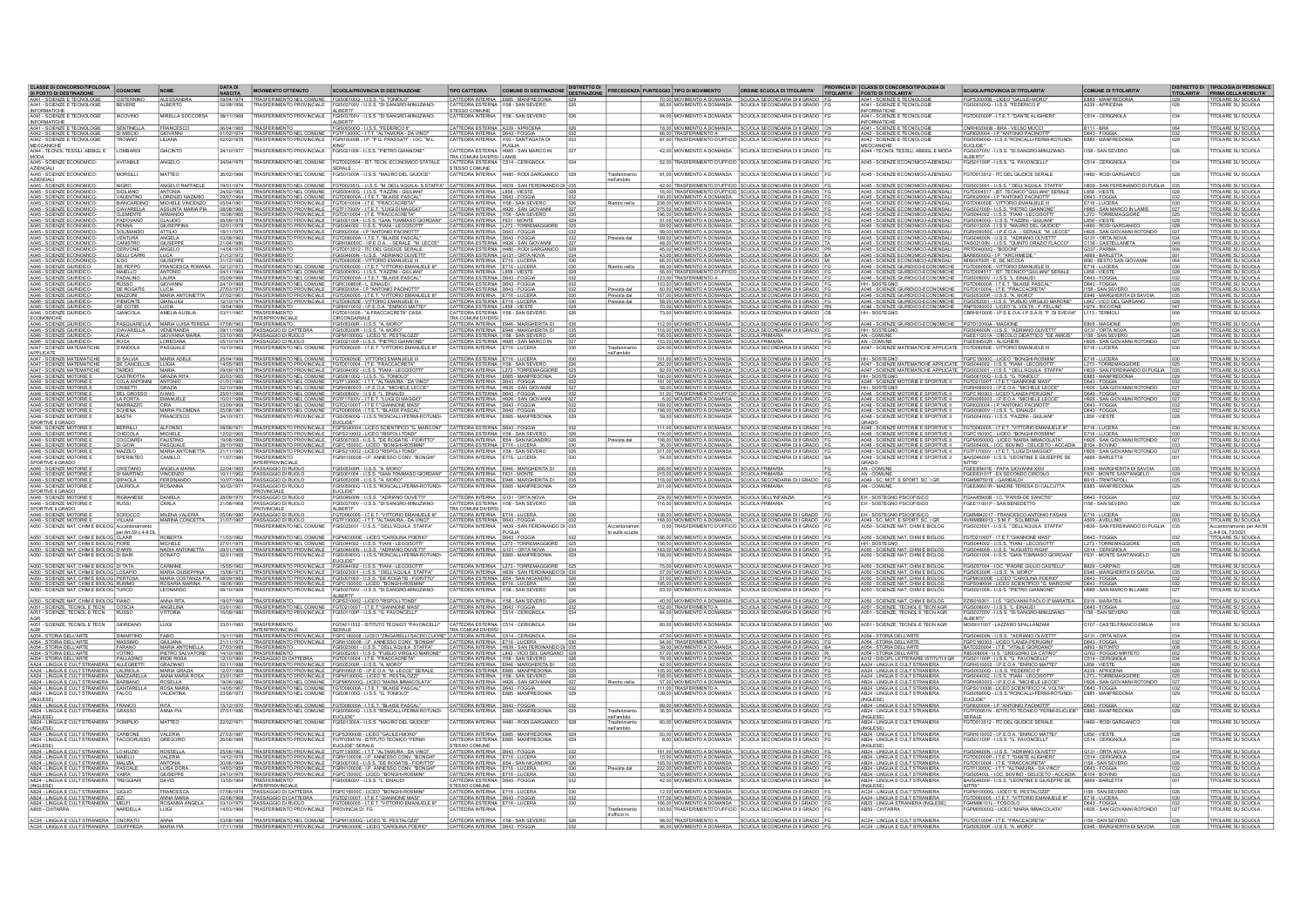|                                                                                                                                                                                                                                   | COGNOME                                               | <b>NOME</b>                                  |                                            | <b>MOVIMENTO OTTENUTO</b>                              | <b>SCUOLA/PROVINCIA DI DESTINAZIONE</b>                                                                                                                                                                                                                           | <b>TIPO CATTEDRA</b>                                                       | COMUNE DI DESTINAZIONE DISTRETTO DI                                                                                                 |                              | PRECEDENZA PUNTEGGIO TIPO DI MOVIMENTO                                        | ORDINE SCUOLA DI TITOLARITA'                                                                                                                                                                                                                                                                         |                                                                                                                                                                                                                               | SCUOLA/PROVINCIA DI TITOLARITA'                                                                                                                                                     | <b>COMUNE DI TITOLARITA</b>                                                                                 |                                                               |
|-----------------------------------------------------------------------------------------------------------------------------------------------------------------------------------------------------------------------------------|-------------------------------------------------------|----------------------------------------------|--------------------------------------------|--------------------------------------------------------|-------------------------------------------------------------------------------------------------------------------------------------------------------------------------------------------------------------------------------------------------------------------|----------------------------------------------------------------------------|-------------------------------------------------------------------------------------------------------------------------------------|------------------------------|-------------------------------------------------------------------------------|------------------------------------------------------------------------------------------------------------------------------------------------------------------------------------------------------------------------------------------------------------------------------------------------------|-------------------------------------------------------------------------------------------------------------------------------------------------------------------------------------------------------------------------------|-------------------------------------------------------------------------------------------------------------------------------------------------------------------------------------|-------------------------------------------------------------------------------------------------------------|---------------------------------------------------------------|
| DI POSTO DI DESTINAZIONE<br>1 - SCIENZE E TECNOLOGIE<br>1 - SCIENZE E TECNOLOGIE                                                                                                                                                  | CISTERNINO                                            | ALESSANDRA                                   | <b>NASCITA</b><br>09/04/1974<br>02/08/1956 | TRASFERIMENTO NEL COMUNE                               | FGIS06100Q - I.I.S.S. "G. TONIOLO                                                                                                                                                                                                                                 |                                                                            | CATTEDRA INTERNA E885 - MANFREDONIA<br>CATTEDRA ESTERNA   1158 - SAN SEVERO                                                         |                              |                                                                               | 70.00 MOVIMENTO A DOMANDA SCUOLA SECONDARIA DI II GRADO<br>86,00 MOVIMENTO A DOMANDA SCUOLA SECONDARIA DI II GRADO                                                                                                                                                                                   | TITOLARITA' POSTO DI TITOLARITA'<br>A041 - SCIENZE E TECNOLOGIE<br>A041 - SCIENZE E TECNOLOGIE                                                                                                                                | GPS20000B - LICEO "GALILEI-MORO                                                                                                                                                     | E885 - MANFREDONIA                                                                                          | TITOLARITA' PRIMA DELLA MOBILITA'                             |
| <b>INFORMATICHE</b>                                                                                                                                                                                                               |                                                       |                                              |                                            | <b>TRASFERIMENTO PROVINCIALE</b>                       | 700V - I.LS.S. "DI SANGRO-MINUZIANO<br>ALBERTI"                                                                                                                                                                                                                   | <b>STESSO COMUNE</b>                                                       |                                                                                                                                     |                              |                                                                               |                                                                                                                                                                                                                                                                                                      | <b>INFORMATICHE</b>                                                                                                                                                                                                           | GIS00300Q - I.I.S.S. "FEDERICO II                                                                                                                                                   |                                                                                                             | <b>TTOLARE SU SCUOLA</b>                                      |
| A041 - SCIENZE E TECNOLOGIE<br><b>INFORMATICHE</b>                                                                                                                                                                                | <b>IACOVINO</b>                                       | MRELLA SOCCORSA                              | 08/11/1968                                 | TRASFERIMENTO PROVINCIALE                              | EGIS03700V - LLS S. "DI SANGRO-MINLIZIANO-<br><b>ALBERTI</b>                                                                                                                                                                                                      | CATTEDRA INTERNA 1158 - SAN SEVERO                                         |                                                                                                                                     |                              |                                                                               | 94 00 MOVIMENTO A DOMANDA SCUOLA SECONDARIA DI ILGRADO                                                                                                                                                                                                                                               | A041 - SCIENZE E TECNOLOGIE<br>INFORMATICHE                                                                                                                                                                                   | EGTD02000P - IT F T "DANTE ALIGHIER!                                                                                                                                                | C514 - CERISNOLA                                                                                            | TITOLARE SU SCUOLA                                            |
| A041 - SCIENZE E TECNOLOGIE                                                                                                                                                                                                       | SENTINELLA                                            | FRANCESCO                                    | 06/04/1965                                 |                                                        | TRASFERIMENTO FGIS003000 - I.I.S.S. "FEDERICO II"<br>TRASFERIMENTO NEL COMUNE FGTF13000C - I.T.T. "ALTAMURA - DA VINC                                                                                                                                             | CATTEDRA ESTERNA A339 - APRICENA                                           |                                                                                                                                     |                              | 66.00 TRASFERIMENTO A                                                         | 18,00 MOVIMENTO A DOMANDA SCUOLA SECONDARIA DI II GRADO<br>SCUOLA SECONDARIA DI II GRADO                                                                                                                                                                                                             | A041 - SCIENZE E TECNOLOG<br>A042 - SCIENZE E TECNOLOGI                                                                                                                                                                       | NRH02000B - BRA - VELSO MUCC<br>FGRI020004 - LP."ANTONIO PACINOTI                                                                                                                   | B111 - BRA<br>D643 - FOGGIA                                                                                 | TOLARE SU SCUOLA<br><b>ITOLARE SU SCUOLA</b>                  |
| A042 - SCIENZE E TECNOLOGIE<br>A042 - SCIENZE E TECNOLOGIE                                                                                                                                                                        | <b>DI MISCIO</b><br>TROIANO                           | <b>SIOVANNI</b><br><b>ILIANA</b>             | 1/02/1974                                  | <b>TRASFERIMENTO PROVINCIALE</b>                       | FGRI16000B - I.P. "P.G. FRASSATI" - LOC. "M.L.                                                                                                                                                                                                                    | CATTEDRA INTERNA D643 - FOGGIA                                             |                                                                                                                                     |                              |                                                                               | 87,00 TRASFERMENTO D'UFFICIO SCUOLA SECONDARIA DI II GRADO                                                                                                                                                                                                                                           | A042 - SCIENZE E TECNOLOGI                                                                                                                                                                                                    | 900Q - I.I.S.S."RONCALLI-FERMI-ROTUNDI-                                                                                                                                             | E885 - MANFREDONIA                                                                                          | <b>ITOLARE SU SCUOLA</b>                                      |
| MECCANICHE<br>A044 - TECNOL TESSILI, ABBIGL E                                                                                                                                                                                     | LOMBARD                                               | GIACINTO                                     | 24/10/1977                                 |                                                        | KING*<br>TRASFERIMENTO PROVINCIALE FGIS021009 - I.I.S.S. "PIETRO GIANNONE                                                                                                                                                                                         | CATTEDRA ESTERNA H985 - SAN MARCO IN                                       | PUGLIA                                                                                                                              |                              | 42.00 MOVIMENTO A DOMANDA                                                     | SCUOLA SECONDARIA DI II GRADO                                                                                                                                                                                                                                                                        | <b>MECCANICHE</b><br>A044 - TECNOL TESSILI, ABBIGL E MODA                                                                                                                                                                     | EUCLIDE"<br>FGIS03700V - I.LS.S. "DI SANGRO-MINUZIANO                                                                                                                               | 158 - SAN SEVERC                                                                                            | <b>TITOLARE SU SCUOLA</b>                                     |
| MODA<br>A045 - SCIENZE ECONOMICO                                                                                                                                                                                                  | AVITABILE                                             | ANGELO                                       | 24/04/1975                                 | <b>RASFERIMENTO NEL COMUNE</b>                         | GTD020504 - IST. TECN. ECONOMICO STATALE                                                                                                                                                                                                                          | TRA COMUNI DIVERSI LAMIS<br>CATTEDRA ESTERNA C514 - CERIGNOLA              |                                                                                                                                     |                              |                                                                               | 52,00 TRASFERMENTO D'UFFICIO SCUOLA SECONDARIA DI II GRADO                                                                                                                                                                                                                                           | A045 - SCIENZE ECONOMICO-AZIENDAL                                                                                                                                                                                             | ALBERTIT<br>GIS01100P - I.I.S.S. "G. PAVONCELLI"                                                                                                                                    | C514 - CERIGNOLA                                                                                            | TITOLARE SU SCUOLA                                            |
| AZIENDALI<br>A045 - SCIENZE ECONOMICO-                                                                                                                                                                                            | MORSILLI                                              | <b>MATTEO</b>                                | 26/02/1966                                 | <b>TRASFERIMENTO NEL COMUNE</b>                        | SERALE<br>FGIS01300A - I.LS.S. "MAURO DEL GIUDICE                                                                                                                                                                                                                 | STESSO COMUNE                                                              | CATTEDRA INTERNA H480 - RODI GARGANICO                                                                                              |                              | 81.00 MOVIMENTO A DOMANDA                                                     | SCUOLA SECONDARIA DI II GRADO                                                                                                                                                                                                                                                                        | A045 - SCIENZE ECONOMICO-AZIENDALI                                                                                                                                                                                            | FGTD013512 - ITC DEL GIUDICE SERALE                                                                                                                                                 | <b>H480 - RODI GARGANICO</b>                                                                                | <b>TITOLARE SU SCUOLA</b>                                     |
| <b>AZIENDALI</b>                                                                                                                                                                                                                  |                                                       |                                              |                                            |                                                        |                                                                                                                                                                                                                                                                   |                                                                            |                                                                                                                                     | nell'ambito                  |                                                                               |                                                                                                                                                                                                                                                                                                      |                                                                                                                                                                                                                               |                                                                                                                                                                                     |                                                                                                             |                                                               |
| A045 - SCIENZE ECONOMICO<br>A045 - SCIENZE ECONOMICO                                                                                                                                                                              | <b>NIGRO</b><br>SICILIANO                             | ANGELO RAFFAELI<br>ANTONIA                   | 19/01/1974                                 |                                                        | TRASFERIMENTO NEL COMUNE FGTD02351L - I.I.S.S. "M. DELL'AQUILA- S.STAFFA" CATTEDRA INTERNA H839 - SAN FERDINANDO DI 03                                                                                                                                            | CATTEDRA INTERNA L858 - VIESTE                                             |                                                                                                                                     |                              |                                                                               | 42.00 TRASFERIMENTO D'UFFICIO SCUOLA SECONDARIA DI II GRADO<br>16.00 TRASFERMENTO D'UFFICIO SCUOLA SECONDARIA DI II GRADO<br>180.00 MOVIMENTO A DOMANDA SCUOLA SECONDARIA DI II GRADO                                                                                                                | A045 - SCIENZE ECONOMICO-AZIENDALI                                                                                                                                                                                            | A045 - SCIENZE ECONOMICO-AZIENDALI FGIS023001 - I.I.S.S. " DELL'AQUILA STAFFA<br>FGTD004517 - IST. TECNICO "GIULIANI" SE                                                            | H839 - SAN FERDINANDO DI PUGLIA<br>L858 - VIESTE                                                            | <b>TITOLARE SU SCUOLA</b><br>TITOLARE SU SCUOLA               |
| A045 - SCIENZE ECONOMICO<br>A045 - SCIENZE ECONOMICO                                                                                                                                                                              | VALENTINO<br>BIANCARDIN                               | LORENZO NAZARK<br>MICHELE VINCENZO           | 29/07/1964<br>05/04/1961                   |                                                        | TRASFERIMENTO NEL COMUNE FGIS00400G - I.I.S.S. "FAZZINI - GIULIAN"<br>TRASFERIMENTO NEL COMUNE FGTD08000A - I.T.E.T. "BLAISE PASCAL"<br>TRASFERIMENTO PROVINCIALE FGTD010004 - I.T.E. "FRACCACRETA"                                                               | CATTEDRA INTERNA D643 - FOGGIA<br>CATTEDRA INTERNA   1158 - SAN SEVERO     |                                                                                                                                     | Rientro nella                |                                                                               | 238,00 MOVIMENTO A DOMANDA   SCUOLA SECONDARIA DI II GRADO                                                                                                                                                                                                                                           | A045 - SCIENZE ECONOMICO-AZIENDALI EGRI020004 - I P. "ANTONIO PACINOTTI"<br>A045 - SCIENZE ECONOMICO-AZIENDALI FGTD06050E - VITTORIO EMANUELE III<br>A045 - SCIENZE ECONOMICO-AZIENDALI FGIS021009 - I.I.S.S. "PIETRO GIANNON |                                                                                                                                                                                     | D643 - FOGGIA<br>E716 - LUCERA                                                                              | <b>TITOLARE SU SCUOLA</b><br>TOLARE SU SCUOLA                 |
| A045 - SCIENZE ECONOMICO<br>A045 - SCIENZE ECONOMI                                                                                                                                                                                | CIAVARELLA<br>CLEMENTE                                | ASSUNTA MARIA PIA                            | 08/08/1960                                 |                                                        | TRASFERIMENTO PROVINCIALE FGTF17000V - I.T.E.T. "LUIGI DI MAGGIO"                                                                                                                                                                                                 | CATTEDRA INTERNA   H926 - SAN GIOVANNI                                     |                                                                                                                                     |                              |                                                                               | $\begin{tabular}{ c c c c c c c c } \hline 275,00 & MOVMERTO & DOMANDA & SCUOLA SECONDARAA & DII & GRADO \\ \hline 196,00 & MOVMERTO & DOMANDA & SCUOLA SECONDARAA & DI II GRADO \\ \hline 51,00 & MOVMRENTO & DOMANDA & SCUOLA SECONDARAA & DI II GRADO \\ \hline \end{tabular}$                    |                                                                                                                                                                                                                               |                                                                                                                                                                                     | H985 - SAN MARCO IN LAMIS                                                                                   | <b>ITOLARE SU SCUOLA</b>                                      |
| A045 - SCIENZE ECONOMICO<br>A045 - SCIENZE ECONOMICO                                                                                                                                                                              | PADOVANO<br>PENNA                                     | CLAUDIO<br><b>GIUSEPPINA</b>                 | 06/09/1978<br>02/01/1978                   |                                                        | TRASFERIMENTO PROVINCIALE FGTD010004 - LT.E. "FRACCACRETA" CATTEDRA INTERNA 1158 - SAN SEVERO TRASFERIMENTO PROVINCIALE FGTD010004 - LT.E. "FRACCACRETA" CATTEDRA INTERNA 1158 - SAN SEVERO<br>TRASFERIMENTO PROVINCIALE FGIS044002 - I.I.S.S. "FIANI - LECCISOTT |                                                                            |                                                                                                                                     |                              |                                                                               |                                                                                                                                                                                                                                                                                                      | A045 - SCIENZE ECONOMICO-AZIENDALI FGIS044002 - LLS.S. "FIANI - LECCISOTTI<br>A045 - SCIENZE ECONOMICO-AZIENDALI FGIS044002 - LLS.S. "FAZZINI - GIULIANI                                                                      |                                                                                                                                                                                     | L273 - TORREMAGGIORE<br>L858 - VIESTE<br>H480 - RODI GARGANIC                                               | TITOLARE SU SCUOLA<br><b>ITOLARE SU SCUOLA</b>                |
| A045 - SCIENZE ECONOMIC                                                                                                                                                                                                           | SOLMANDO                                              |                                              |                                            |                                                        | TRASFERIMENTO PROVINCIALE FGR1020004 - LP. "ANTONIO PACINOTTE"<br>TRASFERIMENTO PROVINCIALE FGTD08000A - LT.E.T. "BLAISE PASCAL"                                                                                                                                  |                                                                            | CATTEDRA INTERNA L273 - TORREMAGGIORE<br>CATTEDRA INTERNA D643 - FOGGIA                                                             |                              |                                                                               | 89,00 MOVIMENTO A DOMANDA SCUOLA SECONDARIA DI II GRADO<br>99,00 MOVIMENTO A DOMANDA SCUOLA SECONDARIA DI II GRADO                                                                                                                                                                                   |                                                                                                                                                                                                                               | A045 - SCIENZE ECONOMICO-AZIENDALI FGIS01300A - I.I.S.S. "MAURO DEL GIUDICE"<br>A045 - SCIENZE ECONOMICO-AZIENDALI FGRH08050C - I.P.E.O.A - SERALE "M. LECO                         | H926 - SAN GIOVANNI ROTONDO                                                                                 | <b>ITOLARE SU SCUOLA</b>                                      |
| A045 - SCIENZE ECONOMICO<br>A045 - SCIENZE ECONOMICO                                                                                                                                                                              | <b>VENTURA</b><br>CANISTRO                            | ANGELA<br>GIUSEPPE                           | 03/08/1963<br>21/04/1986                   | <b>TRASFERIMENTO</b>                                   | FGRH06050C - LP.E.O.A - SERALE "M. LECCI                                                                                                                                                                                                                          | CATTEDRA INTERNA   D643 - FOGGIA<br>CATTEDRA ESTERNA H926 - SAN GIOVANN    |                                                                                                                                     | Prevista dal                 |                                                                               | 169.00 MOVIMENTO A DOMANDA SCUOLA SECONDARIA DI II GRADO<br>48.00 MOVIMENTO A DOMANDA SCUOLA SECONDARIA DI II GRADO                                                                                                                                                                                  |                                                                                                                                                                                                                               | AG45 - SCIENZE ECONOMICO-AZIENDALI FGIS04600N - I.I.S.S. "ADRIANO OLIVETTI"<br>AG45 - SCIENZE ECONOMICO-AZIENDALI TAIS02100N - I.I.S.S. "QUINTO ORAZIO FLACCO                       | C136 - CASTELLANET/                                                                                         | <b>ITOLARE SU SCUOLA</b><br><b>ITOLARE SU SCUOLA</b>          |
| A045 - SCIENZE ECONOMIC<br>A045 - SCIENZE ECONOMICO                                                                                                                                                                               | <b>DELLI CARR</b>                                     | ANGELO<br>LUCA                               | 21/12/1972                                 | TRASFERIMENTO                                          | GTD013512 - ITC DEL GIUDICE SERALE<br>FGIS04600N - LLS.S. "ADRIANO OLIVETTI                                                                                                                                                                                       | CATTEDRA ESTERNA   G131 - ORTA NOVA                                        | CATTEDRA ESTERNA H480 - RODI GARGANICO 02                                                                                           |                              |                                                                               | 45.00 MOVIMENTO A DOMANDA SCUOLA SECONDARIA DI II GRADO<br>43.00 MOVIMENTO A DOMANDA SCUOLA SECONDARIA DI II GRADO                                                                                                                                                                                   | A045 - SCIENZE ECONOMICO-AZIENDALI PRTD040000 - "BODONI"<br>A045 - SCIENZE ECONOMICO-AZIENDALI BARI05000G - I.P. "ARCHIMEDE"                                                                                                  |                                                                                                                                                                                     | G337 - PARMA                                                                                                | <b>ITOLARE SU SCUOLA</b><br><b>TITOLARE SU SCUOLA</b>         |
| A045 - SCIENZE ECONOMICO<br>A046 - SCIENZE GIURIDICO                                                                                                                                                                              | <b>IUSO</b><br>DE PEPPO                               | <b>GIUSEPPE</b><br><b>FRANCESCA F</b>        | 31/12/1983<br>02/12/1973                   | TRASFERIMENTO<br>TRASFERIMENTO NEL COMUNE              | FGTD06050E - VITTORIO EMANUELE III<br><b>FGTD060005 - I.T.E.T. "VITTORIO EMANUELE I</b>                                                                                                                                                                           | CATTEDRA INTERNA E716 - LUCERA<br>CATTEDRA INTERNA E716 - LUCER            |                                                                                                                                     |                              |                                                                               | 66.00 MOVIMENTO A DOMANDA SCUOLA SECONDARIA DI II GRADO<br>68.00 MOVIMENTO A DOMANDA SCUOLA SECONDARIA DI II GRADO                                                                                                                                                                                   | A045 - SCIENZE ECONOMICO-AZIENDALI MIS04700R - E. DE NICOLA<br>A046 - SCIENZE GIURIDICO-ECONOMICHE FGTD06050E - VITTORIO EMANUELE II                                                                                          |                                                                                                                                                                                     | 1690 - SESTO SAN GIOVANN<br>E716 - LUCERA                                                                   | <b>TITOLARE SU SCUOLA</b><br><b>TITOLARE SU SCUOLA</b>        |
| A046 - SCIENZE GIURIDICO-<br>A046 - SCIENZE GIURIDICO-                                                                                                                                                                            | <b>MAIELLO</b>                                        | ANTONIO<br>LAURA                             | 04/11/1964                                 |                                                        | TRASFERIMENTO NEL COMUNE FGIS00400G - I.I.S.S. "FAZZINI - GIULIANI"<br>TRASFERIMENTO NEL COMUNE FGTD08000A - I.T.E.T. "BLAISE PASCAL"                                                                                                                             | CATTEDRA INTERNA L858 - VIESTE<br>CATTEDRA ESTERNA D643 - FOGGIA           |                                                                                                                                     | 028                          |                                                                               | 56.00 TRASFERMENTO D'UFFICIO SCUOLA SECONDARIA DI II GRADO                                                                                                                                                                                                                                           |                                                                                                                                                                                                                               | A046 - SCIENZE GIURIDICO-ECONOMICHE FGTD004517 - IST. TECNICO "GIULIANI" SERALE.<br>A046 - SCIENZE GIURIDICO-ECONOMICHE FGIS00800V - I.I.S.S. "L. EINAUDI                           | L858 - VIESTE                                                                                               | <b>TITOLARE SU SCUOLA</b>                                     |
| A046 - SCIENZE GIURIDICO                                                                                                                                                                                                          | PADALINO                                              | GIOVANNI                                     | 05/09/1969<br>24/10/1968                   |                                                        |                                                                                                                                                                                                                                                                   | CATTEDRA ESTERNA D643 - FOGGIA                                             |                                                                                                                                     |                              | 123.00 TRASFERIMENTO A                                                        | SCUOLA SECONDARIA DI II GRADO<br>123,00 TRASFERIMENTO A SCUULA SECONDARIA DI II GRADO                                                                                                                                                                                                                | HH - SOSTEGNO FGTD08000A - LT.E.T. "BLAISE PASCAL A046 - SCIENZE GIURIDICO-ECONOMICHE FGTD010004 - LT.E. "FRACCACRETA"                                                                                                        |                                                                                                                                                                                     | D643 - FOGGIA<br>D643 - FOGGIA                                                                              | ITOLARE SU SCUOLA<br>TITOLARE SU SCUOLA<br>TITOLARE SU SCUOLA |
| A046 - SCIENZE GIURIDICO<br>A046 - SCIENZE GIURIDICO                                                                                                                                                                              | DE ROGATI<br>MAZZONI                                  | LUCIA<br>MARIA ANTONIETTA                    | 27/02/1961                                 |                                                        | TRASFERIMENTO NEL COMUNE FGRO008508 - L. EINAUDI<br>TRASFERIMENTO PROVINCIALE FGRO2003-1. IP. ANTONIO PACINOTIT<br>TRASFERIMENTO PROVINCIALE FGTD080005 - I.T.E.T. "VITTORIO EMANUELE III"                                                                        | CATTEDRA INTERNA   E716 - LUCERA                                           |                                                                                                                                     | Prevista dal<br>Prevista dal |                                                                               | 60,00 MOVIMENTO A DOMANDA SCUOLA SECONDARIA DI II GRADO<br>167,00 MOVIMENTO A DOMANDA SCUOLA SECONDARIA DI II GRADO                                                                                                                                                                                  | A046 - SCIENZE GIURIDICO-ECONOMICHE   FGIS05300R - LLS.S. "A. MORO"                                                                                                                                                           |                                                                                                                                                                                     | 158 - SAN SEVERO<br>E946 - MARGHERITA DI SAVOIA                                                             | <b>ITOLARE SU SCUOLA</b>                                      |
| A046 - SCIENZE GIURIDICI<br>A046 - SCIENZE GIURIDICO                                                                                                                                                                              | PIEMONT<br>DE COTIIS                                  | <b>GIANLUIGI</b>                             | 2/10/1974                                  | TRASFERIMENTO PROVINCIALE                              | <b>GTD06050E - VITTORIO EMANUELE III</b>                                                                                                                                                                                                                          | CATTEDRA ESTERNA E716 - LUCERA                                             |                                                                                                                                     | Prevista dal                 |                                                                               | 58,00 MOVIMENTO A DOMANDA SCUOLA SECONDARIA DI II GRADO 70,00 MOVIMENTO A DOMANDA SCUOLA SECONDARIA DI II GRADO                                                                                                                                                                                      |                                                                                                                                                                                                                               | A046 - SCIENZE GIURIDICO-ECONOMICHE FGIS052001 - LLS.S. "PUBLIO VIRGILIO MARONE"<br>A046 - SCIENZE GIURIDICO-ECONOMICHE RNP S06003 - LICEO "A VOLTA - F. FELLINI"<br> HH - SOSTEGNO | L842 - VICO DEL GARGANO<br>H274 - RICCIONE<br>L113 - TERMOLI                                                | <b>TOLARE SU SCUOLA</b>                                       |
| A046 - SCIENZE GIURIDICO<br><b>ECONOMICHE</b>                                                                                                                                                                                     | <b>SIANCOLA</b>                                       | LUCIA<br>AMELIA AUSILIA                      | 19/04/1966<br>03/11/1967                   | TRASFERIMENTO<br><b>INTERPROVINCIALE</b>               | GRH010002 - LP.E.O.A. "ENRICO MATTEL"<br>GRH010002 - LP.E.O.A. "ENRICO MATTEL"<br>CIRCONDARIALE                                                                                                                                                                   | CATTEDRA ESTERNA L858 - VIESTE<br>TRA COMUNI DIVERSI                       |                                                                                                                                     |                              | 73.00 MOVIMENTO A DOMANDA                                                     | <b>SCUOLA SECONDARIA DI II GRADO</b>                                                                                                                                                                                                                                                                 |                                                                                                                                                                                                                               |                                                                                                                                                                                     |                                                                                                             | TITOLARE SU SCUOLA<br>TITOLARE SU SCUOLA                      |
| A046 - SCIENZE GIURIDICO                                                                                                                                                                                                          |                                                       | PASQUARELLA MARIA LUISA TERES                | 07/06/1963                                 |                                                        | GIS05300R - I.I.S.S. "A. MORO"                                                                                                                                                                                                                                    |                                                                            | CATTEDRA INTERNA E946 - MARGHERITA DI                                                                                               |                              |                                                                               | 112.00 MOVIMENTO A DOMANDA SCUOLA SECONDARIA DI II GRADO                                                                                                                                                                                                                                             | A046 - SCIENZE GIURIDICO-ECONOMICHE PGTD12000A - MAGIONE                                                                                                                                                                      |                                                                                                                                                                                     | E805 - MAGIONE                                                                                              | <b>TITOLARE SU SCUOLA</b>                                     |
| A046 - SCIENZE GIURIDICO-<br>A046 - SCIENZE GIURIDICO-                                                                                                                                                                            | <b>FIALA</b>                                          | CIAVARELLA VENERANDA<br><b>GIOVANNA MARV</b> | 03/10/1965                                 | 09/11/1968 PASSAGGIO DI CATTEDRA<br>PASSAGGIO DI RUOLO | FGIS05300R - LLS.S. "A. MORO"<br>FGPM10000G - LICEO "E. PESTALOZZI"                                                                                                                                                                                               | CATTEDRA ESTERNA   I158 - SAN SEVERO                                       | CATTEDRA INTERNA E946 - MARGHERITA DI                                                                                               |                              | 195.00 MOVIMENTO A DOMANDA SCUOLA PRIMARIA                                    | 116.00 MOVIMENTO A DOMANDA SCUOLA SECONDARIA DI II GRADO                                                                                                                                                                                                                                             | HH-SOSTEGNO<br>AN - COMUNE                                                                                                                                                                                                    | FGIS04600N - I.I.S.S. "ADRIANO OLIVETTI<br>FGEE11201A - CIRCOLO DIDATTICO "DE AMICIS"                                                                                               | G131 - ORTA NOVA<br>1158 - SAN SEVERO                                                                       | <b>TITOLARE SU SCUOLA</b><br><b>TITOLARE SU SCUOLA</b>        |
| A046 - SCIENZE GIURIDICO-<br>A047 - SCIENZE MATEMATICHE                                                                                                                                                                           | D'ANDOL/                                              | LOREDANA<br>PASQUALE                         | 05/10/1974<br>10/10/1962                   | PASSAGGIO DI RUOLO                                     | FGIS021009 - I I S.S. "PIETRO GIANNONE"<br>FGTD060005 - I T.E.T. "VITTORIO EMANUELE II                                                                                                                                                                            | CATTEDRA ESTERNA H985 - SAN MARCO IN CATTEDRA INTERNA E716 - LUCERA        |                                                                                                                                     |                              |                                                                               | 153.00 MOVIMENTO A DOMANDA SCUOLA PRIMARIA<br>224.00 MOVIMENTO A DOMANDA SCUOLA PRIMARIA                                                                                                                                                                                                             | AN - COMUNE<br>A047 - SCIENZE MATEMATICHE APPLICATE                                                                                                                                                                           | FGEE84502R - ALIGHIER<br>FGTD06050E - VITTORIO EMANUELE II                                                                                                                          | H926 - SAN GIOVANNI ROTONDO<br>E716 - LUCERA                                                                | TITOLARE SU SCUOLA<br>TITOLARE SU SCUOLA                      |
| APPLICATE                                                                                                                                                                                                                         |                                                       | MARIA ADELI                                  | 889110/12                                  | TRASFERIMENTO NEL COMUNE                               | FGTD06050E - VITTORIO EMANUELE III                                                                                                                                                                                                                                |                                                                            |                                                                                                                                     | nell'ambito                  |                                                                               |                                                                                                                                                                                                                                                                                                      |                                                                                                                                                                                                                               | GPC15000C - LICEO "BONGHI-ROSMIN                                                                                                                                                    |                                                                                                             | <b>TITOLARE SU SCUOLA</b>                                     |
| APPLICATE<br>A047 - SCIENZE MATEMATICHE<br>A047 - SCIENZE MATEMATICHE                                                                                                                                                             | DE CANCELLIS LUIGIA                                   |                                              |                                            |                                                        | 2006/1985 TRASFERIMENTO PROVINCIALE FGTD010004 - TTLC-FRACCACRETA"<br>14/05/1985 TRASFERIMENTO PROVINCIALE FGTD010004 - I.T.E. "FRACCACRETA"                                                                                                                      |                                                                            | CATTEDRA ESTERNA E716 - LUCERA<br>CATTEDRA ESTERNA 1158 - SAN SEVERO<br>CATTEDRA INTERNA 1273 - TORREMAGGIORE                       |                              |                                                                               | $\begin{array}{ l l l } \hline 101,00 & \text{MOVIMENTO A DOMANDA} & \text{SCUOLA SECONDARIA DI I GRADO} \\ \hline 252,00 & \text{MOVIMENTO A DOMANDA} & \text{SCUOLA SECONDARA DI I GRADO} \\ \hline 82,00 & \text{MOVIMENTO A DOMANDA} & \text{SCUOLA SECONDARA DI I GRADO} \\ \hline \end{array}$ | HH - SOSTEGNO FGPC15000C - LICEO "BONGHI-RO<br>A047 - SCIENZE MATEMATICHE APPLICATE FGIS044002 - LLS.S. "FIANI - LECCIS                                                                                                       |                                                                                                                                                                                     | E716 - LUCERA<br>L273 - TORREMAGGIORE                                                                       | TITOLARE SU SCUOLA                                            |
| A047 - SCIENZE MATEMATICHE<br>A048 - SCIENZE MOTORIE                                                                                                                                                                              | <b>TARDIO</b><br>CASTRIOTTA<br>CASTRIOTTA GRAZIA RITA | <b>MARIA</b>                                 | 20/03/1985                                 |                                                        | TRASFERIMENTO NEL COMUNE FGIS06100Q - I.I.S.S. "G. TONIOLO"                                                                                                                                                                                                       | CATTEDRA INTERNA E885 - MANFREDONIA                                        |                                                                                                                                     |                              |                                                                               | 160,00 MOVIMENTO A DOMANDA SCUOLA SECONDARIA DI II GRADO 181,00 MOVIMENTO A DOMANDA SCUOLA SECONDARIA DI II GRADO                                                                                                                                                                                    | HH - SOSTEGNO                                                                                                                                                                                                                 | A047 - SCIENZE MATEMATICHE APPLICATE FGIS023001 - I.LS.S. * DELL'AQUILA STAFF.<br>FGIS06100Q - I.I.S.S. "G. TONIOLC                                                                 | H839 - SAN FERDINANDO DI PUGLIA<br>E885 - MANFREDONA                                                        | <b>TITOLARE SU SCUOLA</b>                                     |
| A048 - SCIENZE MOTORIE<br>A048 - SCIENZE MOTORIE E                                                                                                                                                                                | <b>CRISETTI</b>                                       | GRAZIA                                       | 01/01/1960<br>02/10/1966                   | RASFERIMENTO NEL COMUNE FGTF13000C - I                 | TRASFERIMENTO NEL COMUNE FGRH060003 - LP.E.O.A. "MICHELE LECCE                                                                                                                                                                                                    | CATTEDRA INTERNA   D643 - FOGGIA<br>CATTEDRA INTERNA   H926 - SAN GIOVANNI |                                                                                                                                     |                              |                                                                               | 58.00 MOVIMENTO A DOMANDA SCUOLA SECONDARIA DI II GRADO                                                                                                                                                                                                                                              | A048 - SCIENZE MOTORIE E SPORTIVE II<br>HH-SOSTEGNO                                                                                                                                                                           | FGTD21000T - LT.E.T."GIANNONE MA<br>FGRH060003 - I.P.E.O.A. "MICHELE LECCE                                                                                                          | H926 - SAN GIOVANNI ROTONDO                                                                                 | TOLARE SU SCUOLA<br><b>ITOLARE SU SCUOLA</b>                  |
| A048 - SCIENZE MOTORIE<br>A048 - SCIENZE MOTORIE E                                                                                                                                                                                | DEL GROSSO<br>LA PORTA                                | <b>IVANO</b><br>EMANUELE                     | 25/01/1989<br>10/01/1989                   |                                                        | TRASFERIMENTO NEL COMUNE FGIS00800V - I.I.S.S. "L. EINAUDI<br>TRASFERIMENTO NEL COMUNE FGTF17000V - I.T.E.T. "LUIGI DI MAGGIO                                                                                                                                     | CATTEDRA ESTERNA   D643 - FOGGIA                                           | CATTEDRA INTERNA   H926 - SAN GIOVANNI                                                                                              |                              |                                                                               | 51.00 TRASFERMENTO D'UFFICIO SCUOLA SECONDARIA DI II GRADO 6.00 MOVIMENTO A DOMANDA SCUOLA SECONDARIA DI II GRADO                                                                                                                                                                                    | A048 - SCIENZE MOTORIE E SPORTIVE   FGPC160003 - LICEO "LANZA-PERUGINI"<br>A048 - SCIENZE MOTORIE E SPORTIVE   FGRH060003 - I.P.E.O.A. "MICHELE LECCE"                                                                        |                                                                                                                                                                                     | D643 - FOGGIA<br>H926 - SAN GIOVANNI ROTONDO                                                                | TITOLARE SU SCUOLA                                            |
| A048 - SCIENZE MOTORIE E<br>A048 - SCIENZE MOTORIE E                                                                                                                                                                              | <b>MARRAZZO</b><br><b>SCHENA</b>                      | CIRA<br>MARIA FILOMEN                        | 03/09/1968<br>05/08/1961                   |                                                        | TRASFERIMENTO NEL COMUNE FGTD21000T - I.T.E.T."GIANNONE MAST                                                                                                                                                                                                      | CATTEDRA INTERNA D643 - FOGGIA                                             |                                                                                                                                     |                              |                                                                               | 169.00 MOVIMENTO A DOMANDA SCUOLA SECONDARIA DI II GRADO                                                                                                                                                                                                                                             | A048 - SCIENZE MOTORIE E SPORTIVE II FGRI020004 - I.P. "ANTONIO PACINOTTI"                                                                                                                                                    |                                                                                                                                                                                     | D643 - FOGGIA<br>D643 - FOGGIA                                                                              | <b>TITOLARE SU SCUOLA</b><br><b>TITOLARE SU SCUOLA</b>        |
| A048 - SCIENZE MOTORIE E                                                                                                                                                                                                          |                                                       | FRANCESCO                                    |                                            | TRASFERIMENTO PROVINCIALE                              | TRASFERIMENTO NEL COMUNE FGTD08000A - I.T.E.T. "BLAISE PASCAL"<br>FGIS05900Q - I.I.S.S."RONCALLI-FERMI-ROTUNDI-                                                                                                                                                   | CATTEDRA INTERNA D643 - FOGGIA<br>CATTEDRA INTERNA E885 - MANFREDONIA      |                                                                                                                                     |                              |                                                                               | 198.00 MOVIMENTO A DOMANDA SCUOLA SECONDARIA DI II GRADO<br>59,00 MOVIMENTO A DOMANDA SCUOLA SECONDARIA DI II GRADO                                                                                                                                                                                  | A048 - SCIENZE MOTORIE E SPORTIVE   FGISO0800V - ILS.S. "L. ENAUDI<br>A048 - SCIENZE MOTORIE E SPORTIVE   FGISO0400G - I.I.S.S. "FAZZINI - GIULIANI"                                                                          |                                                                                                                                                                                     | L858 - VIESTE                                                                                               | <b>TITOLARE SU SCUOLA</b>                                     |
| SPORTIVE II GRADO<br>A048 - SCIENZE MOTORIE                                                                                                                                                                                       | BERRILLI                                              | <b>ALFONSC</b>                               | 08/06/1971                                 |                                                        | EUCLIDE*<br>TRASFERIMENTO PROVINCIALE FGPS040004 - LICEO SCIENTIFICO "G. MARCONI"                                                                                                                                                                                 | CATTEDRA ESTERNA   D643 - FOGGV                                            |                                                                                                                                     |                              |                                                                               | 111,00 MOVIMENTO A DOMANDA SCUOLA SECONDARIA DI II GRADO                                                                                                                                                                                                                                             | <b>GRADO</b>                                                                                                                                                                                                                  |                                                                                                                                                                                     |                                                                                                             | <b>TOLARE SU SCUOLA</b>                                       |
| A048 - SCIENZE MOTORIE E<br>A048 - SCIENZE MOTORIE E                                                                                                                                                                              | CHECOLA<br>COCCIARDI                                  | MICHELE<br>FAUSTINO                          | 12/02/1965<br>19/08/1966                   |                                                        | TRASFERIMENTO PROVINCIALE FGPS210002 - LICEO "RISPOLI-TONDI"<br>TRASFERIMENTO PROVINCIALE FGIS007003 - I.IS.S. "DE ROGATIS - FIORITTO"<br>TRASFERIMENTO PROVINCIALE FGPC15000C - LICEO "BONGHI-ROSMINI"                                                           | CATTEDRA ESTERNA 1158 - SAN SEVERO<br>CATTEDRA INTERNA 1054 - SAN NICANDRO |                                                                                                                                     | Prevista dal                 |                                                                               | 174,00 MOVIMENTO A DOMANDA SCUOLA SECONDARIA DI II GRADO<br>108,00 MOVIMENTO A DOMANDA SCUOLA SECONDARIA DI II GRADO<br>36,00 MOVIMENTO A DOMANDA SCUOLA SECONDARIA DI II GRADO                                                                                                                      |                                                                                                                                                                                                                               |                                                                                                                                                                                     | H926 - SAN GIOVANNI ROTONDO                                                                                 | TITOLARE SU SCUOLA                                            |
| A048 - SCIENZE MOTORIE                                                                                                                                                                                                            | <b>DI GIOIA</b>                                       | PASQUALE                                     | 28/10/1982                                 |                                                        |                                                                                                                                                                                                                                                                   | CATTEDRA ESTERNA E716 - LUCERA                                             |                                                                                                                                     |                              |                                                                               |                                                                                                                                                                                                                                                                                                      |                                                                                                                                                                                                                               |                                                                                                                                                                                     |                                                                                                             | <b>ITOLARE SU SCUOLA</b>                                      |
| A048 - SCIENZE MOTORIE E<br>A048 - SCIENZE MOTORIE E                                                                                                                                                                              | MAZZEO<br>SPERINTEO                                   | MARIA ANTONIE                                |                                            |                                                        | TRASFERIMENTO PROVINCIALE FGPS210002 - LICEO "RISPOLI-TONDI"<br>TRASFERIMENTO FROVINCIALE FGRH100008 - LP. ANNESSO CONV. "E                                                                                                                                       | CATTEDRA INTERNA   1158 - SAN SEVERO<br>CATTEDRA INTERNA   E716 - LUCERA   |                                                                                                                                     |                              |                                                                               | 311,00 MOVIMENTO A DOMANDA SCUOLA SECONDARIA DI II GRADO                                                                                                                                                                                                                                             | A048 - SCIENZE MOTORIE E SPORTIVE II<br>A048 - SCIENZE MOTORIE E SPORTIVE II                                                                                                                                                  | FGTF17000V - I.T.E.T. "LUIGI DI MAGGIO"<br>BAIS046009 - I.I.S.S. "LEONTINE E GIUSEPPE DE                                                                                            | H926 - SAN GIOVANNI ROTONDO<br>A669 - BARLETTA                                                              | TITOLARE SU SCUOLA<br>TITOLARE SU SCUOLA                      |
| SPORTIVE II GRADO<br>A048 - SCIENZE MOTORIE                                                                                                                                                                                       | CRISTIANO                                             | <b>ANGELA MARL</b>                           | 22/04/1965<br>10/11/1962                   | <b>INTERPROVINCIALE</b><br><b>PASSAGGIO DI RUOLO</b>   | 3505300R - LLS S "A MORO                                                                                                                                                                                                                                          |                                                                            | CATTEDRA INTERNA E946 - MARGHERITA DI                                                                                               |                              | 206.00 MOVIMENTO A DOMANDA SCUOLA PRIMARIA                                    |                                                                                                                                                                                                                                                                                                      | GRADO<br>AN - COMUNE                                                                                                                                                                                                          | NITTIS*<br>FGEE85401E - PAPA GIOVANNI XXII                                                                                                                                          | FR46 - MARGHERITA DI SAVOIA                                                                                 | <b>TITOLARE SU SCUOLA</b>                                     |
| A048 - SCIENZE MOTORIE E<br>A048 - SCIENZE MOTORIE E                                                                                                                                                                              | <b>DI MARTINO</b><br>DIPAOLA                          | VINCENZO<br><b>FERDINANDO</b>                | 10/07/1964                                 | PASSAGGIO DI RUOLO<br>PASSAGGIO DI RUOLO               | FGIS001004 - I.I.S.S. "GIAN TOMMASO GIORDANI" CATTEDRA INTERNA F631 - MONTE<br>FGIS05300R - LLS.S. "A. MORO"                                                                                                                                                      |                                                                            | CATTEDRA INTERNA E946 - MARGHERITA DI                                                                                               |                              | 215.00 MOVIMENTO A DOMANDA SCUOLA PRIMARM                                     | 118.00 MOVIMENTO A DOMANDA SCUOLA SECONDARIA DI IGRADO                                                                                                                                                                                                                                               | AN - COMUNE<br>A049 - SC. MOT. E SPORT. SC. I GR.                                                                                                                                                                             | FGEE83101T - EX SECONDO CIRCOLO<br>FGMM87501E - GARIBALDI                                                                                                                           | F631 - MONTE SANTANGELO<br><b>B915 - TRINITAPOLI</b>                                                        | <b>TITOLARE SU SCUOLA</b><br><b>TITOLARE SU SCUOLA</b>        |
| A048 - SCIENZE MOTORIE E                                                                                                                                                                                                          | <b>LAURIOLA</b>                                       | ROSANNA                                      | 30/03/1971                                 | PASSAGGIO DI RUOLO                                     | GISOS900O - LIS S "RONCALLEERMEROTUNDE CATTEDRA INTERNA FRAS - MANEREDONIA<br>EUCLIDE <sup>®</sup>                                                                                                                                                                |                                                                            |                                                                                                                                     |                              | 201.00 MOVIMENTO A DOMANDA SCUOLA PRIMARIA                                    |                                                                                                                                                                                                                                                                                                      | AN - COMUNE                                                                                                                                                                                                                   | FGEE88801R - MADRE TERESA DI CALCUTTA                                                                                                                                               | <b>F885 - MANEREDONIA</b>                                                                                   | <b>TITOLARE SU SCUOLA</b>                                     |
| SPORTIVE II GRADO<br>A048 - SCIENZE MOTORIE E<br>A048 - SCIENZE MOTORIE E                                                                                                                                                         | RIGNANESE<br><b>RUSSI</b>                             | DANIELA<br>CARLA                             | 28/09/1970<br>1/08/1968                    | PROVINCIALE<br>PASSAGGIO DI RUOL<br>ASSAGGIO DI RUOLO  | GIS04600N - LLS.S.<br>GIS03700V - LLS.S. "DI SANGRO-MINUZIANO                                                                                                                                                                                                     | CATTEDRA ESTERNA 1158 - SAN SEVERO                                         |                                                                                                                                     |                              | 224,00 MOVIMENTO A DOMANDA SCUOLA DELL'INFANZIA<br>116.00 MOVIMENTO A DOMANDA | <b>SCUOLA PRIMARIA</b>                                                                                                                                                                                                                                                                               | EH - SOSTEGNO PSICOFISICO                                                                                                                                                                                                     | PARISI-DE SANCTIS'<br>FGAA85900B - I.C. "PARISI-DE SA<br>FGEE11001P - SAN BENEDETTO                                                                                                 | D643 - FOGGIA<br>1158 - SAN SEVERO                                                                          | <b>ITOLARE SU SCUOLA</b><br>ITOLARE SU SCUOLA                 |
| SPORTIVE II GRADO                                                                                                                                                                                                                 |                                                       |                                              |                                            | PROVINCIALE<br>PASSAGGIO DI RUOLO                      | <b>N RERTI*</b>                                                                                                                                                                                                                                                   | TRA COMUNI DIVERSI<br>CATTEDRA INTERNA E716 - LUCERA                       |                                                                                                                                     |                              |                                                                               |                                                                                                                                                                                                                                                                                                      |                                                                                                                                                                                                                               |                                                                                                                                                                                     |                                                                                                             |                                                               |
| A048 - SCIENZE MOTORIE E VIL                                                                                                                                                                                                      | SCROCCO<br>VILLANI                                    | MILENA VALERIA<br>MARINA CONCE"              | 05/06/1980<br>31/07/1967                   | PASSAGGIO DI RUOLO                                     | STD060005 - I.T.E.T. "VITTORIO EMANUELE III"<br>:GTF13000C - LT.T. "ALTAMURA - DA VINCI"<br>:GIS023001 - LLS.S. " DELL'AQUILA STAFFA"                                                                                                                             | CATTEDRA ESTERNA D643 - FOGGIA                                             |                                                                                                                                     |                              |                                                                               | 106,00 MOVIMENTO A DOMANDA SCUOLA SECONDARIA DI I GRADO<br>168,00 MOVIMENTO A DOMANDA SCUOLA SECONDARIA DI I GRADO                                                                                                                                                                                   | <b>EH - SOSTEGNO PSICOFISICO</b>                                                                                                                                                                                              | FGMM842017 - FRANCESCO ANTONIO FASAN<br>AVMM886013 - S.M. F. SOLIMENA<br>FGIS023001 - I.I.S.S. * DELL'AQUILA STAFFA                                                                 | E716 - LUCERA<br>A509 - AVELLINO                                                                            | TITOLARE SU SCUOLA<br><b>TITOLARE SU SCUOLA</b>               |
|                                                                                                                                                                                                                                   | per Art.59 c.4-8 DL                                   |                                              |                                            | <b>TRASFERIMENTO NEL COMUNE</b>                        |                                                                                                                                                                                                                                                                   |                                                                            | CATTEDRA INTERNA H839 - SAN FERDINANDO DI<br>PUGLIA                                                                                 | to sulla scuola              |                                                                               |                                                                                                                                                                                                                                                                                                      | A049 - SC. MOT. E SPORT. SC. I GR.<br>A050 - SCIENZE NAT, CHIM E BIOLOG                                                                                                                                                       |                                                                                                                                                                                     | H839 - SAN FERDINANDO DI PUGLI/                                                                             | nto per Art.5<br>.4-8 DL 73/2021                              |
| A050 - SCIENZE NAT. CHIM E BIOLOG CLAAR                                                                                                                                                                                           |                                                       | <b>ROBERTA</b>                               | 11/03/1962                                 |                                                        | TRASFERIMENTO NEL COMUNE FGPM03000E - LICEO "CAROLINA POERIC                                                                                                                                                                                                      | CATTEDRA INTERNA   D643 - FOGGIA                                           |                                                                                                                                     |                              |                                                                               | 186.00 MOVIMENTO A DOMANDA SCUOLA SECONDARIA DI II GRADO                                                                                                                                                                                                                                             | A050 - SCIENZE NAT. CHIM E BIOLOG                                                                                                                                                                                             | FGTD21000T - I.T.E.T."GIANNONE MAS                                                                                                                                                  | D643 - FOGGIA                                                                                               | <b>ITOLARE SU SCUOLA</b><br><b>TITOLARE SU SCUOLA</b>         |
| A050 - SCIENZE NAT. CHIM E BIOLOG FIORE<br>A050 - SCIENZE NAT. CHIM E BIOLOG D'ARRI<br>A050 - SCIENZE NAT. CHIM E BIOLOG D'ARRI                                                                                                   |                                                       | MICHELE<br>NADIA ANTONIETTA                  | 27/01/1975<br>09/01/1968                   |                                                        | TRASFERIMENTO NEL COMUNE FGIS044002 - I.I.S.S. "FIANI - LECCISOTTI<br>TRASFERIMENTO PROVINCIALE FGIS04600N - I.I.S.S. "ADRIANO OLIVETT                                                                                                                            | CATTEDRA INTERNA G131 - ORTA NOVA                                          | CATTEDRA INTERNA L273 - TORREMAGGIORE                                                                                               |                              |                                                                               | 106.00 MOVIMENTO A DOMANDA SCUOLA SECONDARIA DI II GRADO 183.00 MOVIMENTO A DOMANDA SCUOLA SECONDARIA DI II GRADO                                                                                                                                                                                    | HH-SOSTEGNO<br>A050 - SCIENZE NAT. CHIM E BIOLOG                                                                                                                                                                              | GIS044002 - I.LS.S. "FIANI - LECCISOTTI<br>FGIS048009 - I.I.S.S. "AUGUSTO RIGHI"<br>FGIS001004 - I.I.S.S. "GIAN TOMMASO GIORDANI"                                                   | L273 - TORREMAGGIORE<br>C514 - CERIGNOLA<br>F631 - MONTE SANTANGELO                                         | <b>TITOLARE SU SCUOLA</b>                                     |
|                                                                                                                                                                                                                                   |                                                       | <b>DONATO</b>                                | 02/01/1965                                 | <b>TRASFERIMENTO PROVINCIALE</b>                       | FGIS05900Q - I.I.S.S."RONCALLI-FERMI-ROTUNDI-<br>FUCLIDE*                                                                                                                                                                                                         | CATTEDRA INTERNA E885 - MANFREDONIA                                        |                                                                                                                                     |                              | 158,00 MOVIMENTO A DOMANDA                                                    | SCUOLA SECONDARIA DI II GRADO                                                                                                                                                                                                                                                                        | A050 - SCIENZE NAT, CHIM E BIOLOG                                                                                                                                                                                             |                                                                                                                                                                                     |                                                                                                             | <b>TITOLARE SU SCUOLA</b>                                     |
| A050 - SCIENZE NAT. CHIM E BIOLOG DI TATA<br>A050 - SCIENZE NAT, CHIM E BIOLOG   LOSAPIO<br>A050 - SCIENZE NAT, CHIM E BIOLOG   PERTOSA<br>A050 - SCIENZE NAT, CHIM E BIOLOG   RUMMO<br>A050 - SCIENZE NAT, CHIM E BIOLOG   TURCO |                                                       | CARMINE<br>MARIA GIUSEPP                     | 15/05/1962<br>15/06/1973                   |                                                        | TRASFERIMENTO PROVINCIALE FGIS044002 - I.I.S.S. "FIANI - LECCSOTTI"<br>TRASFERIMENTO PROVINCIALE FGIS023001 - I.I.S.S. "DELL'AQULA STAFFA"<br>TRASFERIMENTO PROVINCIALE FGIS007003 - I.I.S.S. "DE ROGATIS - FIORITTO"                                             |                                                                            | CATTEDRA INTERNA L273 - TORREMAGGIORE 02<br>CATTEDRA INTERNA H839 - SAN FERDINANDO DI 03<br>CATTEDRA ESTERNA 1054 - SAN NICANDRO 02 |                              |                                                                               |                                                                                                                                                                                                                                                                                                      | A050 - SCIENZE NAT. CHIM E BIOLOG<br>A050 - SCIENZE NAT, CHIM E BIOLOG<br>A050 - SCIENZE NAT, CHIM E BIOLOG                                                                                                                   | FGIS057004 - LOC, "PADRE GIULIO CASTELLI<br>FGIS05300R - LLS.S. "A. MORO"<br>FGPM03000E - LICEO "CAROLINA POERIO"                                                                   | B829 - CARPINO<br>E946 - MARGHERITA DI SAVOIA<br>D643 - FOGGIA                                              | ITOLARE SU SCUOLA.<br>ITOLARE SU SCUOLA                       |
|                                                                                                                                                                                                                                   |                                                       | MARIA COSTANZA PIA                           | 08/09/1983                                 | <b>TRASFERIMENT</b>                                    |                                                                                                                                                                                                                                                                   |                                                                            |                                                                                                                                     |                              |                                                                               | 57,00 MOVIMENTO A DOMANDA SCUOLA SECONDARIA DI II GRADO<br>51,00 MOVIMENTO A DOMANDA SCUOLA SECONDARIA DI II GRADO                                                                                                                                                                                   |                                                                                                                                                                                                                               |                                                                                                                                                                                     |                                                                                                             | <b>ITOLARE SU SCUOLA</b>                                      |
|                                                                                                                                                                                                                                   |                                                       | ROSARIA MARINA                               | 18/06/1960                                 | TRASFERIMENTO PROVINCIALE                              | FGPC15000C - LICEO "BONGHI-ROSMIN"<br>FGPC15000C - LICEO "BONGHI-ROSMIN"<br>ALBERTI*                                                                                                                                                                              | CATTEDRA INTERNA E716 - LUCERA<br>CATTEDRA INTERNA 158 - SAN SEVERO        |                                                                                                                                     |                              |                                                                               | 195,00 MOVIMENTO A DOMANDA SCUOLA SECONDARIA DI II GRADO<br>63,00 MOVIMENTO A DOMANDA SCUOLA SECONDARIA DI II GRADO                                                                                                                                                                                  | A050 - SCIENZE NAT, CHIM E BIOLOG<br>A050 - SCIENZE NAT, CHIM E BIOLOG                                                                                                                                                        | GRISOLOGICA - LICEO SCIENTIFICO "G. MARCONI"<br>"GIS021009 - LICEO SCIENTIFICO "G. MARCONI"                                                                                         | D643 - FOGGIA<br>H985 - SAN MARCO IN LAMIS                                                                  | TOLARE SU SCUOLA                                              |
| A050 - SCIENZE NAT, CHIM E BIOLOG FIANO                                                                                                                                                                                           |                                                       | <b>NNA RITA</b>                              | 19/07/1968                                 | <b>TRASFERIMENT</b>                                    | GPS210002 - LICEO "RISPOLI-TONDI                                                                                                                                                                                                                                  | ATTEDRA INTERNA 1158 - SAN SEVERO                                          |                                                                                                                                     |                              |                                                                               | 40,00 MOVIMENTO A DOMANDA SCUOLA SECONDARIA DI II GRADO                                                                                                                                                                                                                                              | A050 - SCIENZE NAT, CHIM E BIOLOG                                                                                                                                                                                             | 2IS016001 - I.I.S. "GIOVANNI PAOLO II" MARATEA                                                                                                                                      | E919 - MARATEA                                                                                              | TOLARE SU SCUOLA                                              |
| A051 - SCIENZE, TECNOL E TECN COSCIA<br>A051 - SCIENZE, TECNOL E TECN RUSSO                                                                                                                                                       |                                                       | ANGELINA<br>VITTORIA                         | 03/01/1961<br>16/09/1980                   | TRASFERIMENTO NEL COMUNE<br>RASFERIMENTO PROVINCIALE   | FGTD21000T - I.T.E.T."GIANNONE MAST                                                                                                                                                                                                                               | CATTEDRA INTERNA   D643 - FOGGIA<br>  CATTEDRA INTERNA   C514 - CERIGNOLA  |                                                                                                                                     |                              | 152,00 TRASFERIMENTO A<br>64,00 MOVIMENTO A DOMANDA                           | SCUOLA SECONDARIA DI II GRADO F                                                                                                                                                                                                                                                                      | A051 - SCIENZE, TECNOL E TECN AGR.<br>A051 - SCIENZE, TECNOL E TECN AGR.                                                                                                                                                      | FGIS00800V - I.I.S.S. "L. EINAUDI<br>FGIS03700V - I.I.S.S. "DI SANGRO-MINUZIANO                                                                                                     | D643 - FOGGIA<br>1158 - SAN SEVERO                                                                          | ITOLARE SU SCUOLA<br>ITOLARE SU SCUOLA                        |
| AGR<br>A051 - SCIENZE, TECNOL E TECN                                                                                                                                                                                              | <b>GIORDANO</b>                                       | LUIGI                                        | 23/01/1983                                 | <b>TRASFERIMENTO</b>                                   | STA011532 - ISTITUTO TECNICO "PAVONCELLI"                                                                                                                                                                                                                         | CATTEDRA ESTERNA                                                           | C514 - CERIGNOLA                                                                                                                    |                              | 80,00 MOVIMENTO A DOMANDA                                                     | SCUOLA SECONDARIA DI II GRADO                                                                                                                                                                                                                                                                        | A051 - SCIENZE, TECNOL E TECN AGR                                                                                                                                                                                             | <b>ALBERTIT</b><br>MOIS011007 - LAZZARO SPALLANZAN                                                                                                                                  | C107 - CASTELFRANCO EMILIA                                                                                  | <b>ITOLARE SU SCUOLA</b>                                      |
| <b>AGR</b>                                                                                                                                                                                                                        | <b>DIMARTING</b>                                      | FARIO                                        | 15/11/1985                                 | <b>INTERPROVINCIALE</b>                                | SERALE<br>TRASFERIMENTO PROVINCIALE FGPC180008 - LICEO "ZINGARELLI-SACRO CUORE"                                                                                                                                                                                   | <b>TRA COMUNI DIVERSI</b><br>CATTEDRA INTERNA C514 - CERIGNOLI             |                                                                                                                                     |                              | 47.00 MOVIMENTO A DOMANDA                                                     | SCUOLA SECONDARIA DI ILGRADO                                                                                                                                                                                                                                                                         | A054 - STORIA DELL'ARTE                                                                                                                                                                                                       | GISO4600N - LLS S "ADRIANO OLIVETTI                                                                                                                                                 | G131 - ORTA NOVA                                                                                            | <b>TITOLARE SU SCUOLA</b>                                     |
| A054 - STORIA DELL'ARTE<br>A054 - STORIA DELL'ARTE<br>A054 - STORIA DELL'ARTE                                                                                                                                                     | <b>MASSIMO</b><br>ARANO                               | GIULIANA<br>MARIA ANTONELLA                  | 21/11/1974<br>27/03/1985                   |                                                        | TRASFERIMENTO PROVINCIALE FGRH100008-LP. ANNESSO CONV. "BONGHT" CATTEDRA INTERNA E716-LUCERA                                                                                                                                                                      |                                                                            |                                                                                                                                     |                              |                                                                               | 94.00 TRASFERMENTO A SCUOLA SECONDARIA DI II GRADO<br>39,00 MOVIMENTO A DOMANDA SCUOLA SECONDARIA DI II GRADO                                                                                                                                                                                        | A054 - STORIA DELL'ARTE<br>A054 - STORIA DELL'ARTE                                                                                                                                                                            | FGPC160003 - LICEO "LANZA-PERUGIN"<br>BATD220004 - I.T.E. "VITALE GIORDANO"                                                                                                         |                                                                                                             | TITOLARE SU SCUOLA.<br>TITOLARE SU SCUOLA                     |
| A054 - STORIA DELL'ARTE                                                                                                                                                                                                           | <b>VOTINO</b>                                         | PIETRO SALVATORE                             | 14/10/1980                                 | <b>TRASFERIMENT</b>                                    | FGIS052001 - I.LS.S. "PUBLIO VIRGILIO MARONE" CATTEDRA INTERNA L842 - VICO DEL GARGANO 022<br>FGTD010004 - I.T.E. "FRACCACRETA" CATTEDRA INTERNA 1158 - SAN SEVERO 02                                                                                             |                                                                            |                                                                                                                                     |                              |                                                                               | 57,00 MOVIMENTO A DOMANDA   SCUOLA SECONDARIA DI II GRADO                                                                                                                                                                                                                                            | A054 - STORIA DELL'ART                                                                                                                                                                                                        | RIIS008004 - I.I.S. "GREGORIO DA CATINO                                                                                                                                             | <b>D643 - FOGGIA<br/>A893 - BITONTO<br/>G763 - POGGIO MIRTETO<br/>C514 - CERISNOLA<br/>C654 - CERISNOLA</b> | <b>TOLARE SU SCUOLA</b>                                       |
| A054 - STORIA DELL'ARTE<br>AA24 - LINGUA E CULT STRANIERA ALLEGRETTI                                                                                                                                                              |                                                       | <b>IRIDE ROSA</b><br>GRAZIANO                | 02/11/1988                                 | PASSAGGIO DI CATTEDR                                   | TRASFERIMENTO PROVINCIALE FGIS05300R - LLS.S. "A. MORO"<br>TRASFERIMENTO PROVINCIALE FGIS05300R - LLS.S. "A. MORO"<br>TRASFERIMENTO PROVINCIALE FGRH06051D - LP.E.O.A. "M. LECCE" SERALE                                                                          |                                                                            | CATTEDRA INTERNA E946 - MARGHERITA DI                                                                                               |                              |                                                                               | 78,00 MOVIMENTO A DOMANDA SCUOLA SECONDARIA DI II GRADO<br>42,00 MOVIMENTO A DOMANDA SCUOLA SECONDARIA DI II GRADO                                                                                                                                                                                   | A012 - DISCIPL LETTERARIE ISTITUTI II GR<br>AA24 - LINGUA E CULT STRANIERA                                                                                                                                                    | FGIS01100P - I.LS.S. "G. PAVONCELL!"<br>FGRH010002 - I.P.E.O.A. "ENRICO MATTER                                                                                                      | L858 - VIESTE                                                                                               | <b>ITOLARE SU SCUOLA</b><br><b>TOLARE SU SCUOLA</b>           |
| AA24 - LINGUA E CULT STRANIERA LAURIOLA                                                                                                                                                                                           |                                                       | <b>MARIA GRAZIA</b><br>ANNA MARIA R          |                                            |                                                        |                                                                                                                                                                                                                                                                   | CATTEDRA ESTERNA E885 - MANFREDONIA                                        |                                                                                                                                     |                              |                                                                               | 105.00 MOVIMENTO A DOMANDA SCUOLA SECONDARIA DI II GRADO                                                                                                                                                                                                                                             | AA24 - LINGUA E CULT STRANIERA                                                                                                                                                                                                | FGIS00300Q - I.I.S.S. "FEDERICO II"                                                                                                                                                 | A339 - APRICENA                                                                                             | <b>ITOLARE SU SCUOLA</b>                                      |
| AA24 - LINGUA E CULT STRANIERA MAZZARELLAB24 - LINGUA E CULT STRANIERA BARBANO<br>AB24 - LINGUA E CULT STRANIERA                                                                                                                  | CANTARELLA                                            | ROSELLA<br><b>ROSA MARK</b>                  | 19/06/1982<br>14/05/1987                   |                                                        | TRASFERIMENTO PROVINCIALE FGPM10000G - LICEO "E. PESTALOZZI"<br>TRASFERIMENTO PROVINCIALE FGPM05000Q - LICEO "MARIA IMMACOLATA"<br>TRASFERIMENTO NEL COMUNE   FGTD08000A - I.T.E.T. "BLAISE PASCAL"                                                               | CATTEDRA INTERNA   D643 - FOGGIA                                           | CATTEDRA INTERNA 1158 - SAN SEVERO<br>CATTEDRA INTERNA 1158 - SAN GIOVANNI                                                          | Rientro nella                | 111.00 TRASFERIMENTO A                                                        | 158,00 MOVIMENTO A DOMANDA<br>57,00 MOVIMENTO A DOMANDA<br>57,00 MOVIMENTO A DOMANDA<br>5 CUOLA SECONDARIA DI II GRADO<br>SCUOLA SECONDARIA DI II GRADO                                                                                                                                              | AA24 - LINGUA E CULT STRANIERA<br>AB24 - LINGUA E CULT STRANIERA<br>AB24 - LINGUA E CULT STRANIERA                                                                                                                            | FGIS044002 - I.I.S.S. "FIANI - LECCISOTTI"<br>FGRH060003 - I.P.E.O.A. "MICHELE LECCE<br>FGPS010008 - LICEO SCIENTIFICO "A. VOLTA                                                    | L273 - TORREMAGGIORE<br>H926 - SAN GIOVANNI ROTONDO<br>D643 - FOGGIA                                        | TOLARE SU SCUOLA<br><b>ITOLARE SU SCUOLA</b>                  |
| AB24 - LINGUA E CULT STRANIERA                                                                                                                                                                                                    | FALCO                                                 | VALENTINA                                    | 23/06/1973                                 | <b>TRASFERIMENTO NEL COMUN</b>                         | 106100Q - I.I.S.S. "G. TONIOLO                                                                                                                                                                                                                                    | CATTEDRA INTERNA                                                           | E885 - MANFREDONIA                                                                                                                  |                              | 139,00 MOVIMENTO A DOMANDA                                                    | SCUOLA SECONDARIA DI II GRADO                                                                                                                                                                                                                                                                        | AB24 - LINGUA E CULT STRANIERA                                                                                                                                                                                                | 00Q - I.I.S.S."RONCALLI-FERMI-ROTUND                                                                                                                                                | E885 - MANFREDONIA                                                                                          | <b>ITOLARE SU SCUOLA</b>                                      |
| (INGLESE)<br>AB24 - LINGUA E CULT STRANIERA FRANCO                                                                                                                                                                                |                                                       | <b>RITA</b>                                  | 15/12/1970                                 |                                                        | TRASFERIMENTO NEL COMUNE FGTD08000A - I.T.E.T. "BLAISE PASCAL"                                                                                                                                                                                                    | CATTEDRA INTERNA D643 - FOGGIA                                             |                                                                                                                                     |                              |                                                                               | 89.00 MOVIMENTO A DOMANDA SCUOLA SECONDARIA DI II GRADO                                                                                                                                                                                                                                              | (INGLESE)<br>AB24 - LINGUA E CULT STRANIERA                                                                                                                                                                                   | EUCLIDE"<br>FGRI020004 - LP."ANTONIO PACINOTTI                                                                                                                                      | D643 - FOGGIA                                                                                               | <b>TITOLARE SU SCUOLA</b>                                     |
| AB24 - LINGUA E CULT STRANIERA                                                                                                                                                                                                    | GRASSO                                                | ANNA PIA                                     |                                            | <b>TRASFERIMENTO NEL COMUNE</b>                        | 505900Q - I.I.S.S."RONCALLI-FERMI-ROTUNDI-                                                                                                                                                                                                                        | CATTEDRA INTERNA                                                           | E885 - MANFREDONIA                                                                                                                  | nell'ambito                  | 36.50 MOVIMENTO A DOMANDA                                                     | SCUOLA SECONDARIA DI II GRADO                                                                                                                                                                                                                                                                        | AB24 - LINGUA E CULT STRANIER/                                                                                                                                                                                                | FGTF05951N - ISTITUTO TECNICO "FERMI-EUCLIDE"                                                                                                                                       | E885 - MANFREDONA                                                                                           | <b>TITOLARE SU SCUOLA</b>                                     |
| (INGLESE)<br>AB24 - LINGUA E CULT STRANIERA                                                                                                                                                                                       | OMPILIO                                               | MATTEO                                       | 22/02/1971                                 | RASFERIMENTO NEL COMUNI                                | EUCLIDE"<br>FGIS01300A - I.I.S.S. "MAURO DEL GIUDICE"                                                                                                                                                                                                             | CATTEDRA INTERNA                                                           | <b>H480 - RODI GARGANIC</b>                                                                                                         | nell'ambito                  | 80.00 MOVIMENTO A DOMANDA                                                     | SCUOLA SECONDARIA DI II GRADO                                                                                                                                                                                                                                                                        | (INGLESE)<br>AB24 - LINGUA E CULT STRANIERA<br>(INGLESE)                                                                                                                                                                      | SERALE<br>FGTD013512 - ITC DEL GIUDICE SERALE                                                                                                                                       | <b>H480 - RODI GARGANICO</b>                                                                                | <b>TTOLARE SU SCUOLA</b>                                      |
| MSLESE)<br>AB24 - LINGUA E CULT STRANIERA<br>AB24 - LINGUA E CULT STRANIERA                                                                                                                                                       |                                                       | VALERIA                                      | 27/03/1987                                 | TRASFERIMENTO PROVINCIALE<br>TRASFERIMENTO PROVINCIALE | FGPS20000B - LICEO "GALILEI-MORO                                                                                                                                                                                                                                  | CATTEDRA INTERNA E885 - MANFREDONIA                                        |                                                                                                                                     |                              |                                                                               | 50,00 MOVIMENTO A DOMANDA SCUOLA SECONDARIA DI II GRADO                                                                                                                                                                                                                                              | AB24 - LINGUA E CULT STRANIERA<br>AB24 - LINGUA E CULT STRANIERA                                                                                                                                                              | -<br>GRH010002 - I.P.E.O.A. "ENRICO MATTEI"<br>GIS01100P - I.I.S.S. "G. PAVONCELLI"                                                                                                 | L858 - VIESTE<br>C514 - CERIGNOL                                                                            | <b>ITOLARE SU SCUOLA</b><br>ITOLARE SU SCUOLA                 |
| (INGLESE)                                                                                                                                                                                                                         | FACCIORUSSC                                           | GREGORIO                                     | 26/06/1969                                 |                                                        | GTF05951N - ISTITUTO TECNICO "FERM<br>EUCLIDE" SERALE                                                                                                                                                                                                             | CATTEDRA ESTERNA   E885 - MANFREDONIA<br>STESSO COMUNE                     |                                                                                                                                     |                              | 8.00 MOVIMENTO A DOMANDA                                                      | SCUOLA SECONDARIA DI II GRADO                                                                                                                                                                                                                                                                        | (INGLESE)                                                                                                                                                                                                                     |                                                                                                                                                                                     |                                                                                                             |                                                               |
| AB24 - LINGUA E CULT STRANIERA LO MUZICA<br>AB24 - LINGUA E CULT STRANIERA MAIELLI                                                                                                                                                |                                                       | OSSELL<br>VALERIA                            | 14/12/1978                                 |                                                        | STE13000C - LT.T. "ALTAMURA - DA VINC<br>TRASFERIMENTO PROVINCIALE FGRH100008 - LP. ANNESSO CONV. "BONGHI                                                                                                                                                         | CATTEDRA INTERNA D643 - FOGGIA                                             |                                                                                                                                     |                              | 161,00 MOVIMENTO A DOMANDA                                                    | SCUOLA SECONDARIA DI II GRADO<br>15,00 MOVIMENTO A DOMANDA SCUOLA SECONDARIA DI II GRADO                                                                                                                                                                                                             | AB24 - LINGUA E CULT STRANIER<br>AB24 - LINGUA E CULT STRANIERA                                                                                                                                                               | FGIS04600N - LLS.S. "ADRIANO OLIVETTI"<br>FGTD02000P - LT.E.T. "DANTE ALIGHIERI"                                                                                                    | G131 - ORTA NOVA<br>C514 - CERIGNOLA                                                                        | ITOLARE SU SCUOLA<br>ITOLARE SU SCUOLA                        |
| AB24 - LINGUA E CULT STRANIERA MALIZIA<br>AB24 - LINGUA E CULT STRANIERA PASCALE                                                                                                                                                  |                                                       | ANTONIA<br>LUISA DORA                        | 20/06/1964<br>14/03/1959                   | <b>TRASFERIMENTO PROVINCIALE</b>                       | TRASFERIMENTO PROVINCIALE FGIS007003 - I.I.S.S. "DE ROGATIS - FIORITTO"<br>FGRH100008 - LP. ANNESSO CONV. "BONGHI"                                                                                                                                                | CATTEDRA INTERNA 1054 - SAN NICANDRO<br>CATTEDRA INTERNA 12716 - LUCERA    |                                                                                                                                     | Prevista dal                 |                                                                               | 165.00 MOVIMENTO A DOMANDA SCUOLA SECONDARIA DI II GRADO<br>222.00 MOVIMENTO A DOMANDA SCUOLA SECONDARIA DI II GRADO                                                                                                                                                                                 | AB24 - LINGUA E CULT STRANIERA<br>AB24 - LINGUA E CULT STRANIERA                                                                                                                                                              | FGTD010004 - I.T.E. "FRACCACRETA"<br>FGTF13000C - I.T.T. "ALTAMURA - DA VINCI                                                                                                       | 158 - SAN SEVERO<br>D643 - FOGGIA                                                                           | <b>ITOLARE SU SCUOLA</b><br><b>TOLARE SU SCUOLA</b>           |
| AB24 - LINGUA E CULT STRANIERA VAIRA                                                                                                                                                                                              | TREGGIAR                                              | <b>GIUSEPPE</b><br><b>DAVID</b>              | 24/10/1979                                 |                                                        | TRASFERIMENTO PROVINCIALE FGPC15000C - LICEO "BONGHI-ROSMINI"                                                                                                                                                                                                     | CATTEDRA INTERNA E716 - LUCERA                                             |                                                                                                                                     |                              |                                                                               | 55.00 MOVIMENTO A DOMANDA SCUOLA SECONDARIA DI II GRADO                                                                                                                                                                                                                                              | AB24 - LINGUA E CULT STRANIERA                                                                                                                                                                                                | FGIS05400L - I.OC. BOVINO - DELICETO - ACCADIA   B104 - BOVINO                                                                                                                      |                                                                                                             | TITOLARE SU SCUOLA                                            |
| AB24 - LINGUA E CULT STRANIERA<br>(INGLESE)                                                                                                                                                                                       |                                                       |                                              | 13/05/1964                                 | <b>TRASFERIMENTO</b><br><b>INTERPROVINCIALE</b>        | GIS00800V - I.I.S.S. "L. EINAUDI                                                                                                                                                                                                                                  | CATTEDRA ESTERNA D643 - FOGGIA<br>STESSO COMUNE                            |                                                                                                                                     |                              |                                                                               | 42.00 MOVIMENTO A DOMANDA SCUOLA SECONDARIA DI II GRADO                                                                                                                                                                                                                                              | AB24 - LINGUA E CULT STRANIERA<br>(INGLESE)                                                                                                                                                                                   | BAIS046009 - I.I.S.S. "LEONTINE E GIUSEPPE DE<br>NITTIS*                                                                                                                            | A669 - BARLETTA                                                                                             | <b>TITOLARE SU SCUOLA</b>                                     |
| AB24 - LINGUA E CULT STRANIERA GIGLIO                                                                                                                                                                                             |                                                       | <b>FRANCESCA</b><br>anna Maria               | 07/06/1974<br>02/08/1968                   | PASSAGGIO DI CATTEDRA<br>PASSAGGIO DI CATTEDRA         | FGPC15000C - LICEO "BONGHI-ROSMINI"                                                                                                                                                                                                                               | CATTEDRA INTERNA E716 - LUCERA<br>CATTEDRA INTERNA D643 - FOGGIA           |                                                                                                                                     |                              |                                                                               | 12.00 MOVIMENTO A DOMANDA SCUOLA SECONDARIA DI II GRADO                                                                                                                                                                                                                                              | AC24 - LINGUA E CULT STRANIERA<br>AA24 - LINGUA E CULT STRANIERA                                                                                                                                                              | FGPM10000G - LICEO "E, PESTALOZZI"<br>FGTD060005 - I.T.E.T. "VITTORIO EMANUELE                                                                                                      | 158 - SAN SEVERO<br>716 - LUCERA                                                                            | <b>ITOLARE SU SCUOLA</b><br>TOLARE SU SCUOLA                  |
| AB24 - LINGUA E CULT STRANIERA MELFI<br>AB55 - CHITARRA NARD                                                                                                                                                                      | <b>JARDELL</b>                                        | ROSANNA ANGEI<br>LUIG                        | 03/10/1970<br>4/03/1966                    | PASSAGGIO DI RUOLO<br>TRASFERIMENTO PROVINCIALE        | FGTD21000T - I.T.E.T."GIANNONE MAST<br>FGTD060005 - I.T.E.T. "VITTORIO EMANUELE III<br>PROVINCIA DI FG                                                                                                                                                            | CATTEDRA ESTERNA E716 - LUCERA                                             |                                                                                                                                     |                              |                                                                               | 177,00 MOVIMENTO A DOMANDA SCUOLA SECONDARIA DI II GRADO<br>166,00 MOVIMENTO A DOMANDA SCUOLA SECONDARIA DI I GRADO<br>100,00 TRASFERMENTO D'UFFICIO SCUOLA SECONDARIA DI II GRADO                                                                                                                   | AB25 - LINGUA STRANIERA (INGLESE<br>AB55 - CHITARRA                                                                                                                                                                           | FGMM86101L - FOSCOLO<br>GPM05000Q - LICEO "MARIA IMMACOLATA                                                                                                                         | D643 - FOGGIA<br>1926 - SAN GIOVAN                                                                          | <b>ITOLARE SU SCUOLA</b><br><b>ITOLARE SU SCUOLA</b>          |
|                                                                                                                                                                                                                                   |                                                       |                                              |                                            |                                                        |                                                                                                                                                                                                                                                                   |                                                                            |                                                                                                                                     | d'ufficio in                 |                                                                               |                                                                                                                                                                                                                                                                                                      |                                                                                                                                                                                                                               |                                                                                                                                                                                     | 1158 - SAN SEVER                                                                                            | <b>TITOLARE SU SCUOLA</b>                                     |
| AC24 - LINGUA E CULT STRANIERA ONORATO                                                                                                                                                                                            |                                                       | ANNA                                         |                                            |                                                        | 308/1969 TRASFERIMENTO NEL COMUNE FGPM10000G - LICEO "E. PESTALOZZI"<br>17/11/1059 TRASFERIMENTO DROUNICIALE FCDM03000E LICEO "CAROLINA DOE                                                                                                                       | CATTEDRA INTERNA 1158 - SAN SEVERO                                         |                                                                                                                                     |                              | 98,00 TRASFERMENTO A                                                          | ) A SCUOLA SECONDARIA DI II GRADO F<br>OMANDA SCUOLA SECONDARIA DI II GRADO F                                                                                                                                                                                                                        | AC24 - LINGUA E CULT STRANIERA                                                                                                                                                                                                | FGTD010004 - I.T.E. "FRACCACRETA"                                                                                                                                                   |                                                                                                             |                                                               |